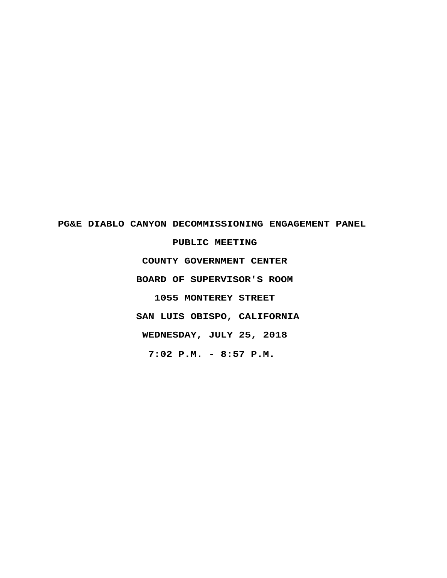# **PG&E DIABLO CANYON DECOMMISSIONING ENGAGEMENT PANEL PUBLIC MEETING COUNTY GOVERNMENT CENTER BOARD OF SUPERVISOR'S ROOM 1055 MONTEREY STREET SAN LUIS OBISPO, CALIFORNIA WEDNESDAY, JULY 25, 2018 7:02 P.M. - 8:57 P.M.**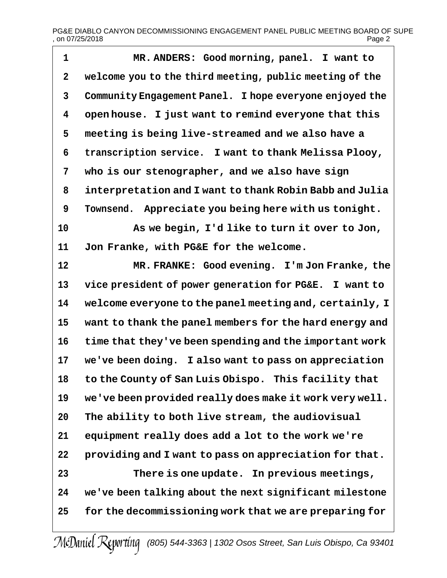# PG&E DIABLO CANYON DECOMMISSIONING ENGAGEMENT PANEL PUBLIC MEETING BOARD OF SUPE , on 07/25/2018 Page 2

 **MR. ANDERS: Good morning, panel. I want to welcome you to the third meeting, public meeting of the Community Engagement Panel. I hope everyone enjoyed the open house. I just want to remind everyone that this meeting is being live-streamed and we also have a transcription service. I want to thank Melissa Plooy, who is our stenographer, and we also have sign interpretation and I want to thank Robin Babb and Julia Townsend. Appreciate you being here with us tonight. As we begin, I'd like to turn it over to Jon, Jon Franke, with PG&E for the welcome. MR. FRANKE: Good evening. I'm Jon Franke, the vice president of power generation for PG&E. I want to welcome everyone to the panel meeting and, certainly, I want to thank the panel members for the hard energy and time that they've been spending and the important work we've been doing. I also want to pass on appreciation to the County of San Luis Obispo. This facility that we've been provided really does make it work very well. The ability to both live stream, the audiovisual equipment really does add a lot to the work we're providing and I want to pass on appreciation for that. There is one update. In previous meetings, we've been talking about the next significant milestone for the decommissioning work that we are preparing for**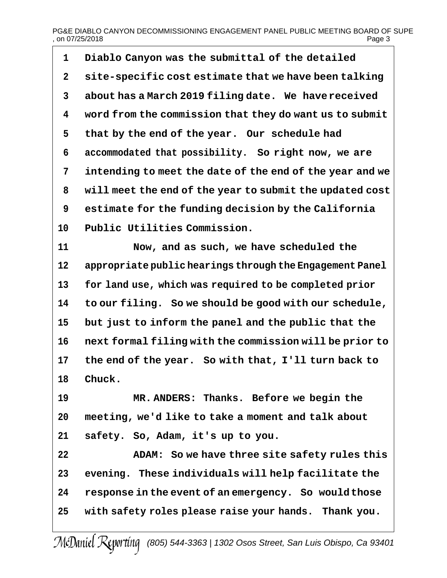## PG&E DIABLO CANYON DECOMMISSIONING ENGAGEMENT PANEL PUBLIC MEETING BOARD OF SUPE<br>on 07/25/2018  $.$  on 07/25/2018

 **Diablo Canyon was the submittal of the detailed site-specific cost estimate that we have been talking about has a March 2019 filing date. We havereceived word from the commission that they do want us to submit that by the end of the year. Our schedule had accommodated that possibility. So right now, we are intending to meet the date of the end of the year and we will meet the end of the year to submit the updated cost estimate for the funding decision by the California Public Utilities Commission.**

 **Now, and as such, we have scheduled the appropriate public hearings through the Engagement Panel for land use, which was required to be completed prior to our filing. So we should be good with our schedule, but just to inform the panel and the public that the next formal filing with the commission will be prior to the end of the year. So with that, I'll turn back to Chuck.**

 **MR. ANDERS: Thanks. Before we begin the meeting, we'd like to take a moment and talk about safety. So, Adam, it's up to you.**

 **ADAM: So we have three site safety rules this evening. These individuals will help facilitate the response in the event of an emergency. So wouldthose with safety roles please raise your hands. Thank you.**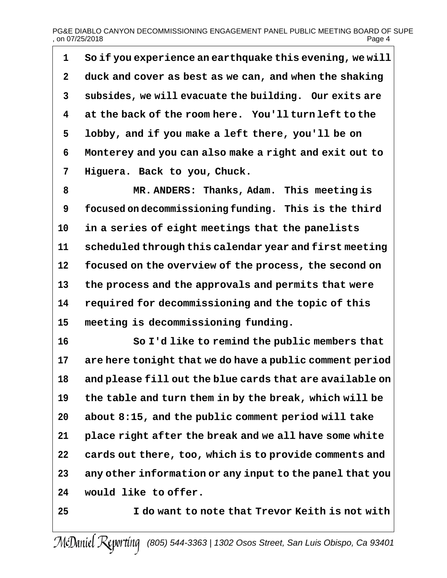**So if you experience an earthquake this evening, we will duck and cover as best as we can, and when the shaking subsides, we will evacuate the building. Our exits are at the back of the room here. You'll turn left to the lobby, and if you make a left there, you'll be on Monterey and you can also make a right and exit out to Higuera. Back to you, Chuck.**

 **MR. ANDERS: Thanks, Adam. This meeting is focused on decommissioning funding. This is the third in a series of eight meetings that the panelists scheduled through this calendar year and first meeting focused on the overview of the process, the second on the process and the approvals and permits that were required for decommissioning and the topic of this meeting is decommissioning funding.**

 **So I'd like to remind the public members that are here tonight that we do have a public comment period and please fill out the blue cards that are available on the table and turn them in by the break, which will be about 8:15, and the public comment period will take place right after the break and we all have some white cards out there, too, which is to provide comments and any other information or any input to the panel that you would like to offer.**

**I do want to note that Trevor Keith is not with**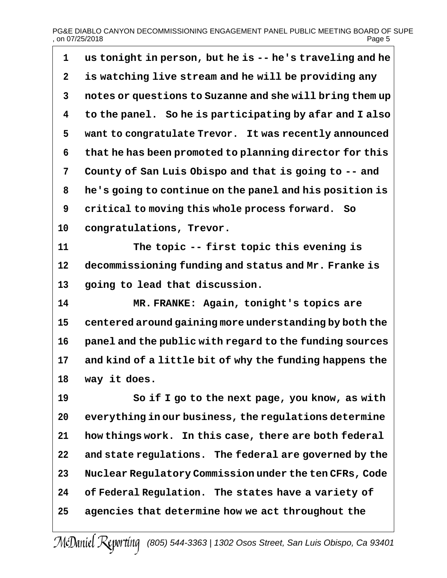# PG&E DIABLO CANYON DECOMMISSIONING ENGAGEMENT PANEL PUBLIC MEETING BOARD OF SUPE<br>page 5 , on 07/25/2018

| 1           | us tonight in person, but he is -- he's traveling and he |
|-------------|----------------------------------------------------------|
| $\mathbf 2$ | is watching live stream and he will be providing any     |
| 3           | notes or questions to Suzanne and she will bring them up |
| 4           | to the panel. So he is participating by afar and I also  |
| 5           | want to congratulate Trevor. It was recently announced   |
| 6           | that he has been promoted to planning director for this  |
| 7           | County of San Luis Obispo and that is going to -- and    |
| 8           | he's going to continue on the panel and his position is  |
| 9           | critical to moving this whole process forward.<br>So     |
| 10          | congratulations, Trevor.                                 |
| 11          | The topic -- first topic this evening is                 |
| 12          | decommissioning funding and status and Mr. Franke is     |
| 13          | going to lead that discussion.                           |
| 14          | MR. FRANKE: Again, tonight's topics are                  |
| 15          | centered around gaining more understanding by both the   |
| 16          | panel and the public with regard to the funding sources  |
| 17          | and kind of a little bit of why the funding happens the  |
| 18          | way it does.                                             |
| 19          | So if I go to the next page, you know, as with           |
| 20          | everything in our business, the regulations determine    |
| 21          | how things work. In this case, there are both federal    |
| 22          | and state regulations. The federal are governed by the   |
| 23          | Nuclear Regulatory Commission under the ten CFRs, Code   |
| 24          | of Federal Regulation. The states have a variety of      |
| 25          | agencies that determine how we act throughout the        |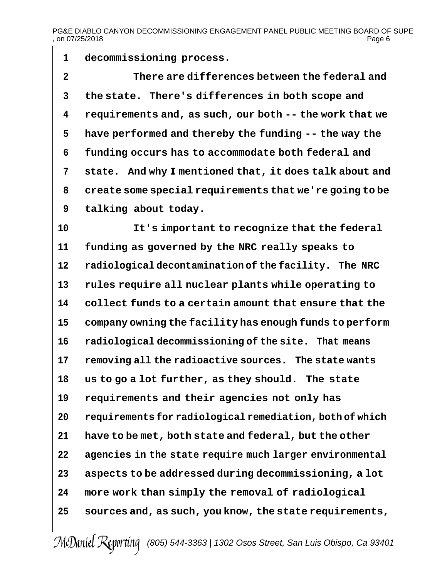**decommissioning process.**

 **There are differences between the federal and the state. There's differences in both scope and requirements and, as such, our both -- the work that we have performed and thereby the funding -- the way the funding occurs has to accommodate both federal and state. And why I mentioned that, it does talk about and create some special requirements that we're going to be talking about today.**

 **It's important to recognize that the federal funding as governed by the NRC really speaks to radiological decontamination of the facility. The NRC rules require all nuclear plants while operating to collect funds to a certain amount that ensure that the company owning the facility has enough funds to perform radiological decommissioning of the site. That means removing all the radioactive sources. The state wants us to go a lot further, as they should. The state requirements and their agencies not only has requirements for radiological remediation, both of which have to be met, both state and federal, but the other agencies in the state require much larger environmental aspects to be addressed during decommissioning, a lot more work than simply the removal of radiological sources and, as such, you know, the state requirements,**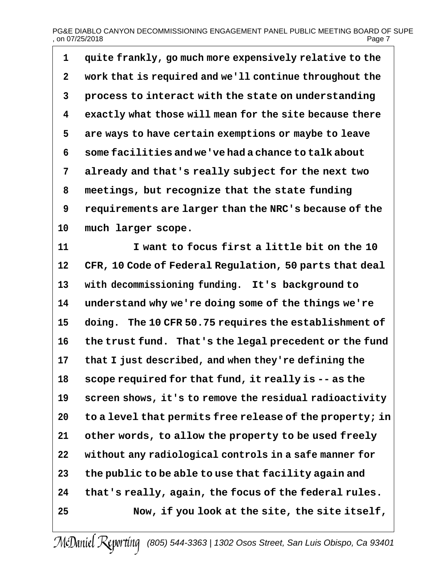# PG&E DIABLO CANYON DECOMMISSIONING ENGAGEMENT PANEL PUBLIC MEETING BOARD OF SUPE , on 07/25/2018  $P_{\text{area}}$  ,  $P_{\text{area}}$  ,  $P_{\text{area}}$  ,  $P_{\text{area}}$  ,  $P_{\text{area}}$  ,  $P_{\text{area}}$  ,  $P_{\text{area}}$  ,  $P_{\text{area}}$  ,  $P_{\text{area}}$  ,  $P_{\text{area}}$  ,  $P_{\text{area}}$  ,  $P_{\text{area}}$  ,  $P_{\text{area}}$  ,  $P_{\text{area}}$  ,  $P_{\text{area}}$  ,  $P_{\text{area}}$  ,  $P_{\text{area}}$  ,

 **quite frankly, go much more expensively relative to the work that is required and we'll continue throughout the process to interact with the state on understanding exactly what those will mean for the site because there are ways to have certain exemptions or maybe to leave some facilities and we've had a chance to talk about already and that's really subject for the next two meetings, but recognize that the state funding requirements are larger than the NRC's because of the much larger scope.**

 **I want to focus first a little bit on the 10 CFR, 10 Code of Federal Regulation, 50 parts that deal with decommissioning funding. It's background to understand why we're doing some of the things we're doing. The 10 CFR 50.75 requires the establishment of the trust fund. That's the legal precedent or the fund that I just described, and when they're defining the scope required for that fund, it really is -- as the screen shows, it's to remove the residual radioactivity to a level that permits free release of the property; in other words, to allow the property to be used freely without any radiological controls in a safe manner for the public to be able to use that facility again and that's really, again, the focus of the federal rules. Now, if you look at the site, the site itself,**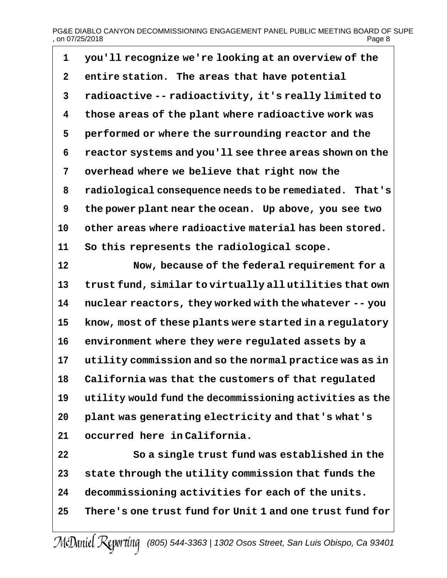## PG&E DIABLO CANYON DECOMMISSIONING ENGAGEMENT PANEL PUBLIC MEETING BOARD OF SUPE , on 07/25/2018 Page 8

 **you'll recognize we're looking at an overview of the entire station. The areas that have potential radioactive -- radioactivity, it's really limited to those areas of the plant where radioactive work was performed or where the surrounding reactor and the reactor systems and you'll see three areas shown on the overhead where we believe that right now the radiological consequence needs to be remediated. That's the power plant near the ocean. Up above, you see two other areas where radioactive material has been stored. So this represents the radiological scope.**

 **Now, because of the federal requirement for a trust fund, similar to virtually all utilities that own nuclear reactors, they worked with the whatever -- you know, most of these plants were started in a regulatory environment where they were regulated assets by a utility commission and so the normal practice was as in California was that the customers of that regulated utility would fund the decommissioning activities as the plant was generating electricity and that's what's occurred here in California.**

 **So a single trust fund was established in the state through the utility commission that funds the decommissioning activities for each of the units. There's one trust fund for Unit 1 and one trust fund for**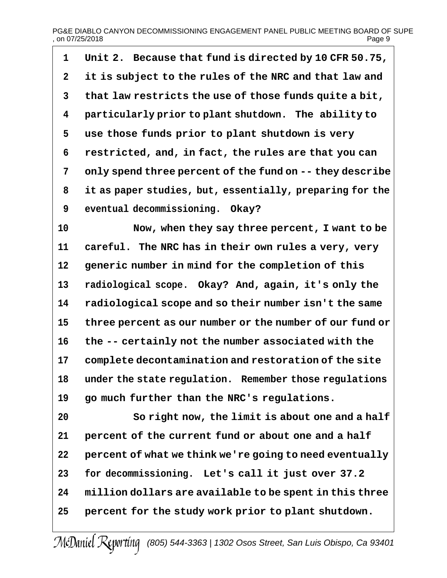## PG&E DIABLO CANYON DECOMMISSIONING ENGAGEMENT PANEL PUBLIC MEETING BOARD OF SUPE  $,$  on 07/25/2018

| $\mathbf{1}$   | Unit 2. Because that fund is directed by 10 CFR 50.75,   |
|----------------|----------------------------------------------------------|
| $\overline{2}$ | it is subject to the rules of the NRC and that law and   |
| $\mathbf{3}$   | that law restricts the use of those funds quite a bit,   |
| 4              | particularly prior to plant shutdown. The ability to     |
| 5              | use those funds prior to plant shutdown is very          |
| 6              | restricted, and, in fact, the rules are that you can     |
| 7              | only spend three percent of the fund on -- they describe |
| 8              | it as paper studies, but, essentially, preparing for the |
| 9              | eventual decommissioning. Okay?                          |

 **Now, when they say three percent, I want to be careful. The NRC has in their own rules a very, very generic number in mind for the completion of this radiological scope. Okay? And, again, it's only the radiological scope and so their number isn't the same three percent as our number or the number of our fund or the -- certainly not the number associated with the complete decontamination and restoration of the site under the state regulation. Remember those regulations go much further than the NRC's regulations.**

 **So right now, the limit is about one and a half percent of the current fund or about one and a half percent of what we think we're going to need eventually for decommissioning. Let's call it just over 37.2 million dollars are available to be spent in this three percent for the study work prior to plant shutdown.**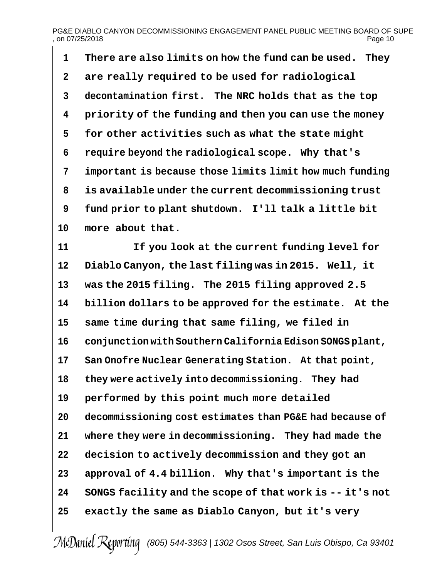# PG&E DIABLO CANYON DECOMMISSIONING ENGAGEMENT PANEL PUBLIC MEETING BOARD OF SUPE<br>on 07/25/2018  $.$  on 07/25/2018

 **There are also limits on how the fund can be used. They are really required to be used for radiological decontamination first. The NRC holds that as the top priority of the funding and then you can use the money for other activities such as what the state might require beyond the radiological scope. Why that's important is because those limits limit how much funding is available under the current decommissioning trust fund prior to plant shutdown. I'll talk a little bit more about that.**

 **If you look at the current funding level for Diablo Canyon, the last filing was in 2015. Well, it was the 2015 filing. The 2015 filing approved 2.5 billion dollars to be approved for the estimate. At the same time during that same filing, we filed in conjunction with Southern California Edison SONGS plant, San Onofre Nuclear Generating Station. At that point, they were actively into decommissioning. They had performed by this point much more detailed decommissioning cost estimates than PG&E had because of where they were in decommissioning. They had made the decision to actively decommission and they got an approval of 4.4 billion. Why that's important is the SONGS facility and the scope of that work is -- it's not exactly the same as Diablo Canyon, but it's very**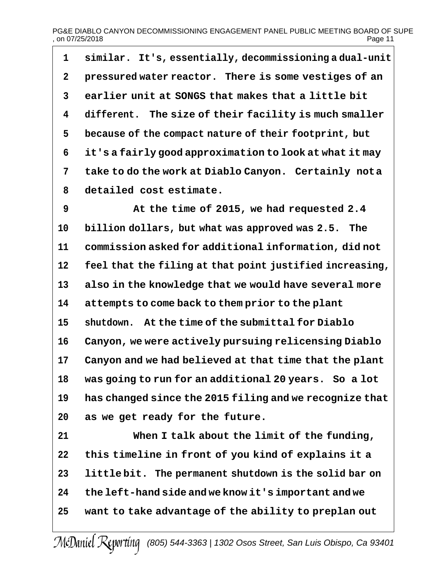## PG&E DIABLO CANYON DECOMMISSIONING ENGAGEMENT PANEL PUBLIC MEETING BOARD OF SUPE<br>on 07/25/2018  $.$  on 07/25/2018

 **similar. It's, essentially, decommissioning a dual-unit pressured water reactor. There is some vestiges of an earlier unit at SONGS that makes that a little bit different. The size of their facility is much smaller because of the compact nature of their footprint, but it's a fairly good approximation to look at what it may take to do the work at Diablo Canyon. Certainly nota detailed cost estimate.**

 **At the time of 2015, we had requested 2.4 billion dollars, but what was approved was 2.5. The commission asked for additional information, did not feel that the filing at that point justified increasing, also in the knowledge that we would have several more attempts to come back to them prior to the plant shutdown. At the time of the submittal for Diablo Canyon, we were actively pursuing relicensing Diablo Canyon and we had believed at that time that the plant was going to run for an additional 20 years. So a lot has changed since the 2015 filing and we recognize that as we get ready for the future.**

 **When I talk about the limit of the funding, this timeline in front of you kind of explains it a little bit. The permanent shutdown is the solid bar on the left-hand side and we know it's important and we want to take advantage of the ability to preplan out**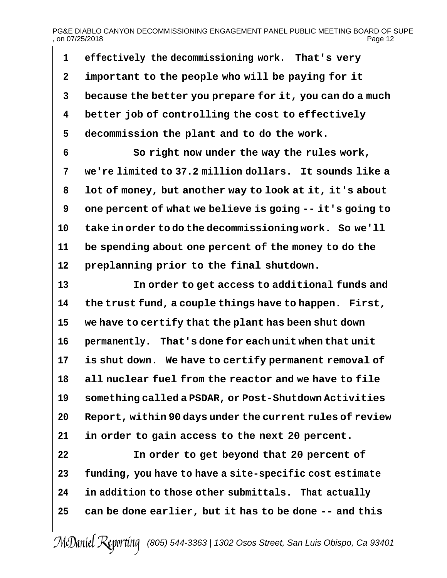# PG&E DIABLO CANYON DECOMMISSIONING ENGAGEMENT PANEL PUBLIC MEETING BOARD OF SUPE<br>2 Page 12  $.$  on 07/25/2018

 **effectively the decommissioning work. That's very important to the people who will be paying for it because the better you prepare for it, you can do a much better job of controlling the cost to effectively decommission the plant and to do the work.**

 **So right now under the way the rules work, we're limited to 37.2 million dollars. It sounds like a lot of money, but another way to look at it, it's about one percent of what we believe is going -- it's going to take in order to do the decommissioning work. So we'll be spending about one percent of the money to do the preplanning prior to the final shutdown.**

 **In order to get access to additional funds and the trust fund, a couple things have to happen. First, we have to certify that the plant has been shut down permanently. That's done for each unit when that unit is shut down. We have to certify permanent removal of all nuclear fuel from the reactor and we have to file something called a PSDAR, or Post-Shutdown Activities Report, within 90 days under the current rules of review in order to gain access to the next 20 percent.**

 **In order to get beyond that 20 percent of funding, you have to have a site-specific cost estimate in addition to those other submittals. That actually can be done earlier, but it has to be done -- and this**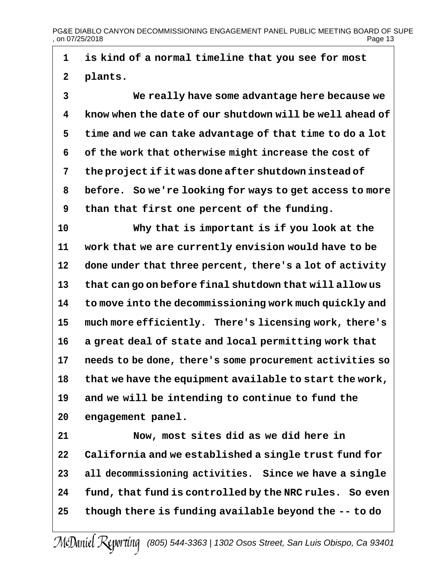# PG&E DIABLO CANYON DECOMMISSIONING ENGAGEMENT PANEL PUBLIC MEETING BOARD OF SUPE<br>on 07/25/2018 Page 13  $.$  on 07/25/2018

 **is kind of a normal timeline that you see for most plants.**

 **We really have some advantage here because we know when the date of our shutdown will be well ahead of time and we can take advantage of that time to do a lot of the work that otherwise might increase the cost of the project if it was done after shutdown instead of before. So we're looking for ways to get access to more than that first one percent of the funding.**

 **Why that is important is if you look at the work that we are currently envision would have to be done under that three percent, there's a lot of activity that can go on before final shutdown that will allow us to move into the decommissioning work much quickly and much more efficiently. There's licensing work, there's a great deal of state and local permitting work that needs to be done, there's some procurement activities so that we have the equipment available to start the work, and we will be intending to continue to fund the engagement panel.**

 **Now, most sites did as we did here in California and we established a single trust fund for all decommissioning activities. Since we have a single fund, that fund is controlled by the NRC rules. So even though there is funding available beyond the -- to do**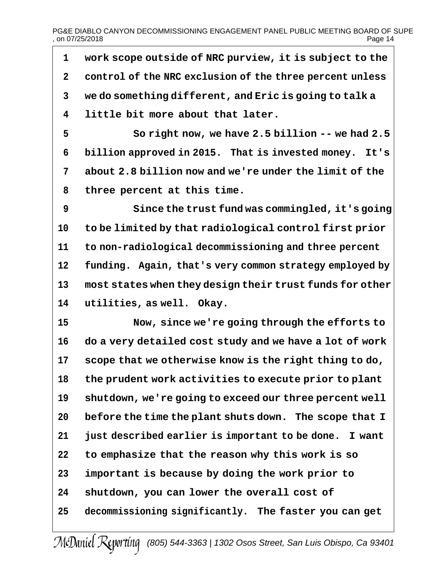# PG&E DIABLO CANYON DECOMMISSIONING ENGAGEMENT PANEL PUBLIC MEETING BOARD OF SUPE<br>on 07/25/2018  $.$  on 07/25/2018

 **work scope outside of NRC purview, it is subject to the control of the NRC exclusion of the three percent unless we do something different, and Eric is going to talk a little bit more about that later. So right now, we have 2.5 billion -- we had 2.5 billion approved in 2015. That is invested money. It's about 2.8 billion now and we're under the limit of the three percent at this time. Since the trust fund was commingled, it's going to be limited by that radiological control first prior to non-radiological decommissioning and three percent funding. Again, that's very common strategy employed by most states when they design their trust funds for other utilities, as well. Okay. Now, since we're going through the efforts to do a very detailed cost study and we have a lot of work scope that we otherwise know is the right thing to do, the prudent work activities to execute prior to plant shutdown, we're going to exceed our three percent well before the time the plant shuts down. The scope that I just described earlier is important to be done. I want to emphasize that the reason why this work is so important is because by doing the work prior to shutdown, you can lower the overall cost of decommissioning significantly. The faster you can get**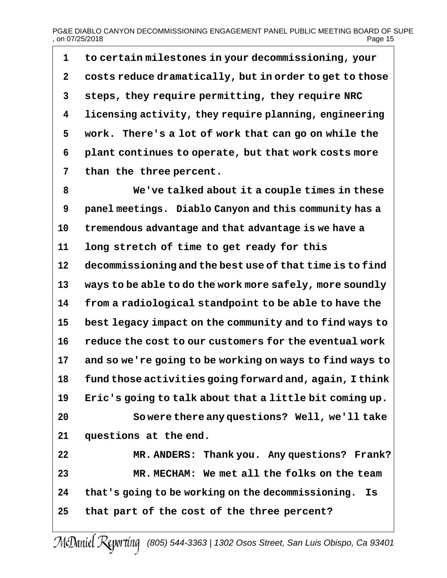## PG&E DIABLO CANYON DECOMMISSIONING ENGAGEMENT PANEL PUBLIC MEETING BOARD OF SUPE<br>01 Page 15  $.$  on 07/25/2018

 **to certain milestones in your decommissioning, your costs reduce dramatically, but in order to get to those steps, they require permitting, they require NRC licensing activity, they require planning, engineering work. There's a lot of work that can go on while the plant continues to operate, but that work costs more than the three percent.**

 **We've talked about it a couple times in these panel meetings. Diablo Canyon and this community has a tremendous advantage and that advantage is we have a long stretch of time to get ready for this decommissioning and the best use of that time is to find ways to be able to do the work more safely, more soundly from a radiological standpoint to be able to have the best legacy impact on the community and to find ways to reduce the cost to our customers for the eventual work and so we're going to be working on ways to find ways to fund those activities going forward and, again, I think Eric's going to talk about that a little bit coming up. So were there any questions? Well, we'll take questions at the end. MR. ANDERS: Thank you. Any questions? Frank?**

 **MR. MECHAM: We met all the folks on the team that's going to be working on the decommissioning. Is that part of the cost of the three percent?**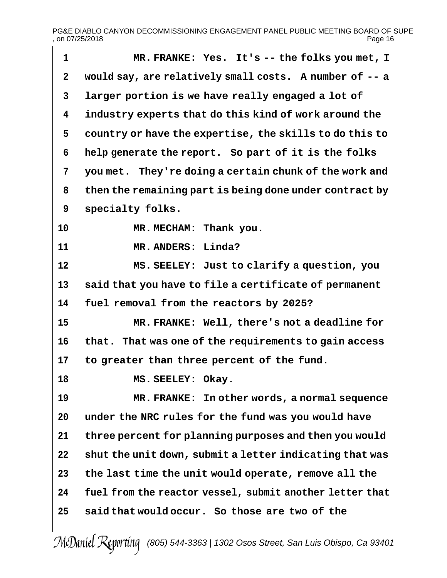h.

| $\mathbf 1$ | MR. FRANKE: Yes. It's -- the folks you met, I            |
|-------------|----------------------------------------------------------|
| $\mathbf 2$ | would say, are relatively small costs. A number of -- a  |
| 3           | larger portion is we have really engaged a lot of        |
| 4           | industry experts that do this kind of work around the    |
| 5           | country or have the expertise, the skills to do this to  |
| 6           | help generate the report. So part of it is the folks     |
| 7           | you met. They're doing a certain chunk of the work and   |
| 8           | then the remaining part is being done under contract by  |
| 9           | specialty folks.                                         |
| 10          | MR. MECHAM: Thank you.                                   |
| 11          | MR. ANDERS: Linda?                                       |
| 12          | MS. SEELEY: Just to clarify a question, you              |
| 13          | said that you have to file a certificate of permanent    |
| 14          | fuel removal from the reactors by 2025?                  |
| 15          | MR. FRANKE: Well, there's not a deadline for             |
| 16          | that. That was one of the requirements to gain access    |
| 17          | to greater than three percent of the fund.               |
| 18          | MS. SEELEY: Okay.                                        |
| 19          | MR. FRANKE: In other words, a normal sequence            |
| 20          | under the NRC rules for the fund was you would have      |
| 21          | three percent for planning purposes and then you would   |
| 22          | shut the unit down, submit a letter indicating that was  |
| 23          | the last time the unit would operate, remove all the     |
| 24          | fuel from the reactor vessel, submit another letter that |
| 25          | said that would occur. So those are two of the           |
|             |                                                          |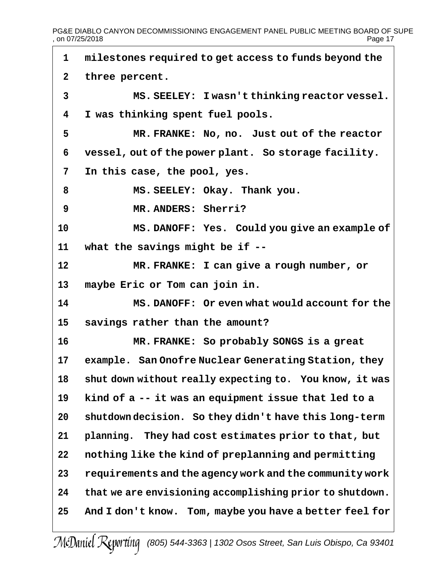PG&E DIABLO CANYON DECOMMISSIONING ENGAGEMENT PANEL PUBLIC MEETING BOARD OF SUPE<br>on 07/25/2018 Page 17  $.$  on 07/25/2018

 **milestones required to get access to funds beyond the three percent. MS. SEELEY: I wasn't thinking reactor vessel. I was thinking spent fuel pools. MR. FRANKE: No, no. Just out of the reactor vessel, out of the power plant. So storage facility. In this case, the pool, yes. MS. SEELEY: Okay. Thank you. MR. ANDERS: Sherri? MS. DANOFF: Yes. Could you give an example of what the savings might be if -- MR. FRANKE: I can give a rough number, or maybe Eric or Tom can join in. MS. DANOFF: Or even what would account for the savings rather than the amount? MR. FRANKE: So probably SONGS is a great example. San Onofre Nuclear Generating Station, they shut down without really expecting to. You know, it was kind of a -- it was an equipment issue that led to a shutdown decision. So they didn't have this long-term planning. They had cost estimates prior to that, but nothing like the kind of preplanning and permitting requirements and the agency work and the community work that we are envisioning accomplishing prior to shutdown. And I don't know. Tom, maybe you have a better feel for**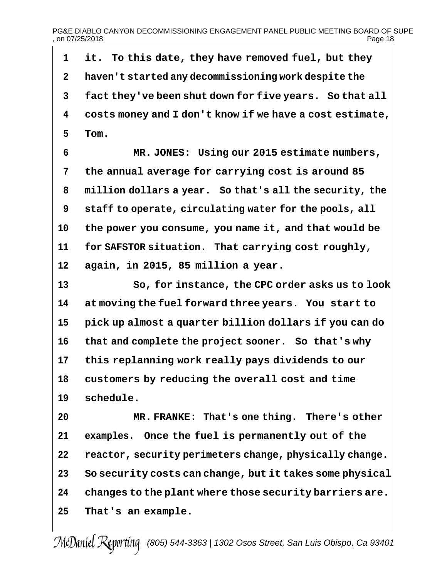PG&E DIABLO CANYON DECOMMISSIONING ENGAGEMENT PANEL PUBLIC MEETING BOARD OF SUPE<br>on 07/25/2018 Page 18  $.$  on 07/25/2018

 **it. To this date, they have removed fuel, but they haven't started any decommissioning work despite the fact they've been shut down for five years. So that all costs money and I don't know if we have a cost estimate, Tom. MR. JONES: Using our 2015 estimate numbers, the annual average for carrying cost is around 85 million dollars a year. So that's all the security, the staff to operate, circulating water for the pools, all the power you consume, you name it, and that would be for SAFSTOR situation. That carrying cost roughly, again, in 2015, 85 million a year. So, for instance, the CPC order asks us to look at moving the fuel forward three years. You start to pick up almost a quarter billion dollars if you can do that and complete the project sooner. So that's why this replanning work really pays dividends to our customers by reducing the overall cost and time schedule. MR. FRANKE: That's one thing. There's other examples. Once the fuel is permanently out of the reactor, security perimeters change, physically change. So security costs can change, but it takes some physical changes to the plant where those security barriers are. That's an example.**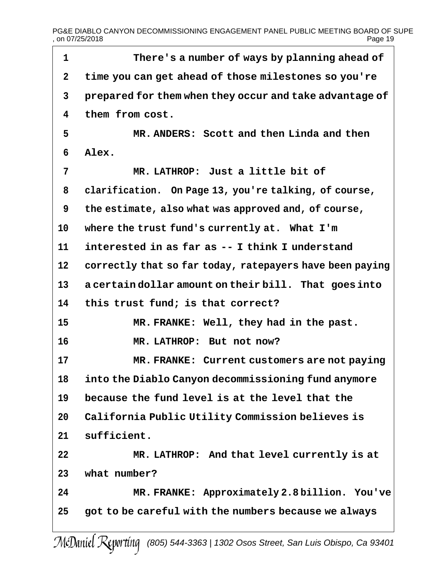PG&E DIABLO CANYON DECOMMISSIONING ENGAGEMENT PANEL PUBLIC MEETING BOARD OF SUPE<br>Page 19 , on 07/25/2018

| 1  | There's a number of ways by planning ahead of            |
|----|----------------------------------------------------------|
| 2  | time you can get ahead of those milestones so you're     |
| 3  | prepared for them when they occur and take advantage of  |
| 4  | them from cost.                                          |
| 5  | MR. ANDERS: Scott and then Linda and then                |
| 6  | Alex.                                                    |
| 7  | MR. LATHROP: Just a little bit of                        |
| 8  | clarification. On Page 13, you're talking, of course,    |
| 9  | the estimate, also what was approved and, of course,     |
| 10 | where the trust fund's currently at. What I'm            |
| 11 | interested in as far as -- I think I understand          |
| 12 | correctly that so far today, ratepayers have been paying |
| 13 | a certain dollar amount on their bill. That goes into    |
| 14 | this trust fund; is that correct?                        |
| 15 | MR. FRANKE: Well, they had in the past.                  |
| 16 | MR. LATHROP: But not now?                                |
| 17 | MR. FRANKE: Current customers are not paying             |
| 18 | into the Diablo Canyon decommissioning fund anymore      |
| 19 | because the fund level is at the level that the          |
| 20 | California Public Utility Commission believes is         |
| 21 | sufficient.                                              |
| 22 | MR. LATHROP: And that level currently is at              |
| 23 | what number?                                             |
| 24 | MR. FRANKE: Approximately 2.8 billion. You've            |
| 25 | got to be careful with the numbers because we always     |
|    | $\epsilon$                                               |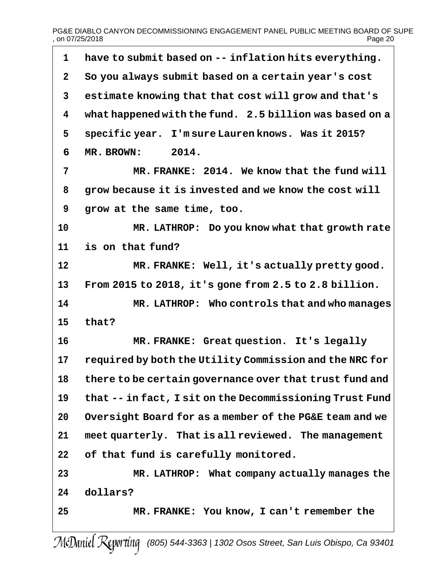## PG&E DIABLO CANYON DECOMMISSIONING ENGAGEMENT PANEL PUBLIC MEETING BOARD OF SUPE<br>page 20 , on 07/25/2018

| 1            | have to submit based on -- inflation hits everything.    |
|--------------|----------------------------------------------------------|
| $\mathbf{2}$ | So you always submit based on a certain year's cost      |
| 3            | estimate knowing that that cost will grow and that's     |
| 4            | what happened with the fund. 2.5 billion was based on a  |
| 5            | specific year. I'm sure Lauren knows. Was it 2015?       |
| 6            | 2014.<br>MR. BROWN:                                      |
| 7            | MR. FRANKE: 2014. We know that the fund will             |
| 8            | grow because it is invested and we know the cost will    |
| 9            | grow at the same time, too.                              |
| 10           | MR. LATHROP: Do you know what that growth rate           |
| 11           | is on that fund?                                         |
| 12           | MR. FRANKE: Well, it's actually pretty good.             |
| 13           | From 2015 to 2018, it's gone from 2.5 to 2.8 billion.    |
| 14           | MR. LATHROP: Who controls that and who manages           |
| 15           | that?                                                    |
| 16           | MR. FRANKE: Great question. It's legally                 |
| 17           | required by both the Utility Commission and the NRC for  |
| 18           | there to be certain governance over that trust fund and  |
| 19           | that -- in fact, I sit on the Decommissioning Trust Fund |
| 20           | Oversight Board for as a member of the PG&E team and we  |
| 21           | meet quarterly. That is all reviewed. The management     |
| 22           | of that fund is carefully monitored.                     |
| 23           | MR. LATHROP: What company actually manages the           |
| 24           | dollars?                                                 |
| 25           | MR. FRANKE: You know, I can't remember the               |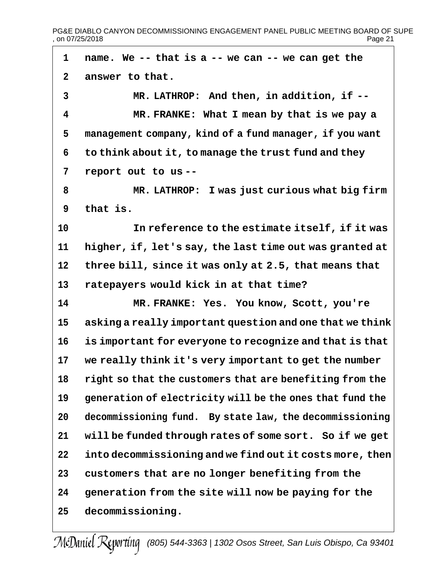PG&E DIABLO CANYON DECOMMISSIONING ENGAGEMENT PANEL PUBLIC MEETING BOARD OF SUPE<br>01 Page 21  $,$  on 07/25/2018

 **name. We -- that is a -- we can -- we can get the answer to that. MR. LATHROP: And then, in addition, if -- MR. FRANKE: What I mean by that is we pay a management company, kind of a fund manager, if you want to think about it, to manage the trust fund and they report out to us -- MR. LATHROP: I was just curious what big firm that is. In reference to the estimate itself, if it was higher, if, let's say, the last time out was granted at three bill, since it was only at 2.5, that means that ratepayers would kick in at that time? MR. FRANKE: Yes. You know, Scott, you're asking a really important question and one that we think is important for everyone to recognize and that is that we really think it's very important to get the number right so that the customers that are benefiting from the generation of electricity will be the ones that fund the decommissioning fund. By state law, the decommissioning will be funded through rates of some sort. So if we get into decommissioning and we find out it costs more, then customers that are no longer benefiting from the generation from the site will now be paying for the decommissioning.**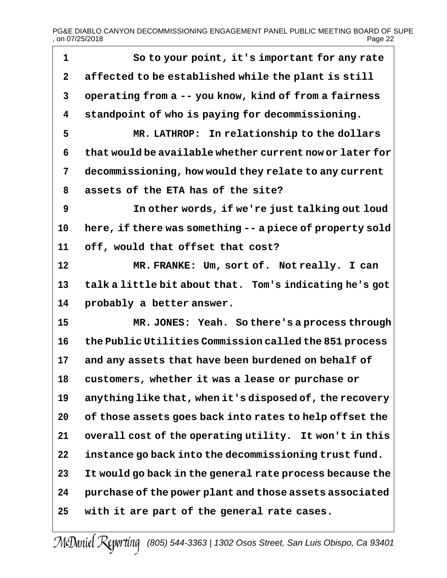PG&E DIABLO CANYON DECOMMISSIONING ENGAGEMENT PANEL PUBLIC MEETING BOARD OF SUPE<br>page 22 , on 07/25/2018

| 1            | So to your point, it's important for any rate            |
|--------------|----------------------------------------------------------|
| $\mathbf{2}$ | affected to be established while the plant is still      |
| 3            | operating from a -- you know, kind of from a fairness    |
| 4            | standpoint of who is paying for decommissioning.         |
| 5            | MR. LATHROP: In relationship to the dollars              |
| 6            | that would be available whether current now or later for |
| 7            | decommissioning, how would they relate to any current    |
| 8            | assets of the ETA has of the site?                       |
| 9            | In other words, if we're just talking out loud           |
| 10           | here, if there was something -- a piece of property sold |
| 11           | off, would that offset that cost?                        |
| 12           | MR. FRANKE: Um, sort of. Not really. I can               |
| 13           | talk a little bit about that. Tom's indicating he's got  |
| 14           | probably a better answer.                                |
| 15           | MR. JONES: Yeah. So there's a process through            |
| 16           | the Public Utilities Commission called the 851 process   |
| 17           | and any assets that have been burdened on behalf of      |
| 18           | customers, whether it was a lease or purchase or         |
| 19           | anything like that, when it's disposed of, the recovery  |
| 20           | of those assets goes back into rates to help offset the  |
| 21           | overall cost of the operating utility. It won't in this  |
| 22           | instance go back into the decommissioning trust fund.    |
| 23           | It would go back in the general rate process because the |
| 24           | purchase of the power plant and those assets associated  |
| 25           | with it are part of the general rate cases.              |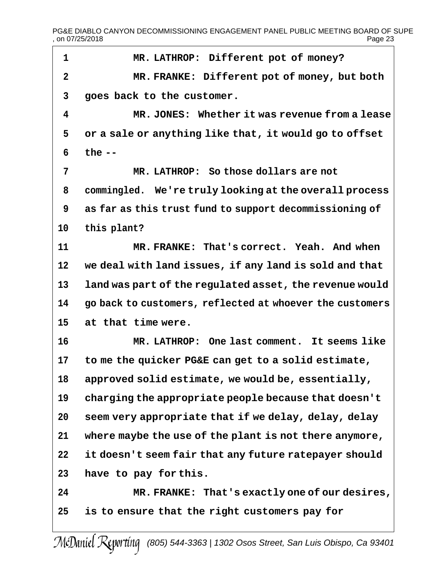PG&E DIABLO CANYON DECOMMISSIONING ENGAGEMENT PANEL PUBLIC MEETING BOARD OF SUPE<br>page 23 , on 07/25/2018

| $\mathbf{1}$   | MR. LATHROP: Different pot of money?                     |
|----------------|----------------------------------------------------------|
| $\overline{2}$ | MR. FRANKE: Different pot of money, but both             |
| 3              | goes back to the customer.                               |
| 4              | MR. JONES: Whether it was revenue from a lease           |
| 5              | or a sale or anything like that, it would go to offset   |
| 6              | the $--$                                                 |
| 7              | MR. LATHROP: So those dollars are not                    |
| 8              | commingled. We're truly looking at the overall process   |
| 9              | as far as this trust fund to support decommissioning of  |
| 10             | this plant?                                              |
| 11             | MR. FRANKE: That's correct. Yeah. And when               |
| 12             | we deal with land issues, if any land is sold and that   |
| 13             | land was part of the regulated asset, the revenue would  |
| 14             | go back to customers, reflected at whoever the customers |
| 15             | at that time were.                                       |
| 16             | MR. LATHROP: One last comment. It seems like             |
| 17             | to me the quicker PG&E can get to a solid estimate,      |
| 18             | approved solid estimate, we would be, essentially,       |
| 19             | charging the appropriate people because that doesn't     |
| 20             | seem very appropriate that if we delay, delay, delay     |
| 21             | where maybe the use of the plant is not there anymore,   |
| 22             | it doesn't seem fair that any future ratepayer should    |
| 23             | have to pay for this.                                    |
| 24             | MR. FRANKE: That's exactly one of our desires,           |
| 25             | is to ensure that the right customers pay for            |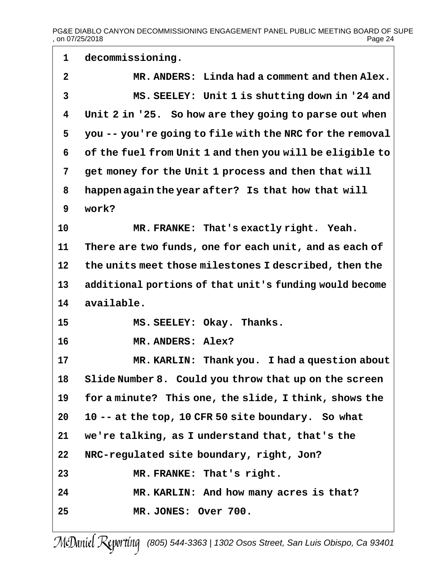**decommissioning. MR. ANDERS: Linda had a comment and then Alex. MS. SEELEY: Unit 1 is shutting down in '24 and Unit 2 in '25. So how are they going to parse out when you -- you're going to file with the NRC for the removal of the fuel from Unit 1 and then you will be eligible to get money for the Unit 1 process and then that will happen again the year after? Is that how that will work? MR. FRANKE: That's exactly right. Yeah. There are two funds, one for each unit, and as each of the units meet those milestones I described, then the additional portions of that unit's funding would become available. MS. SEELEY: Okay. Thanks. MR. ANDERS: Alex? MR. KARLIN: Thank you. I had a question about Slide Number 8. Could you throw that up on the screen for a minute? This one, the slide, I think, shows the 10 -- at the top, 10 CFR 50 site boundary. So what we're talking, as I understand that, that's the NRC-regulated site boundary, right, Jon? MR. FRANKE: That's right. MR. KARLIN: And how many acres is that? MR. JONES: Over 700.**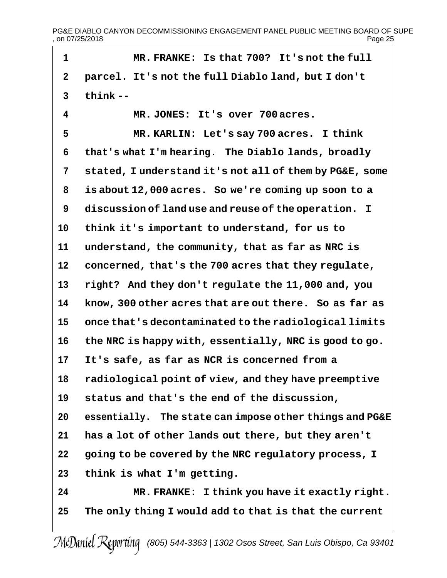PG&E DIABLO CANYON DECOMMISSIONING ENGAGEMENT PANEL PUBLIC MEETING BOARD OF SUPE<br>on 07/25/2018 Page 25  $,$  on 07/25/2018

 **MR. FRANKE: Is that 700? It's not the full parcel. It's not the full Diablo land, but I don't think -- MR. JONES: It's over 700acres. MR. KARLIN: Let's say 700 acres. I think that's what I'm hearing. The Diablo lands, broadly stated, I understand it's not all of them by PG&E, some is about 12,000 acres. So we're coming up soon to a discussion of land use and reuse of the operation. I think it's important to understand, for us to understand, the community, that as far as NRC is concerned, that's the 700 acres that they regulate, right? And they don't regulate the 11,000 and, you know, 300 other acres that are out there. So as far as once that's decontaminated to the radiological limits the NRC is happy with, essentially, NRC is good to go. It's safe, as far as NCR is concerned from a radiological point of view, and they have preemptive status and that's the end of the discussion, essentially. The state can impose other things and PG&E has a lot of other lands out there, but they aren't going to be covered by the NRC regulatory process, I think is what I'm getting. MR. FRANKE: I think you have it exactly right. The only thing I would add to that is that the current**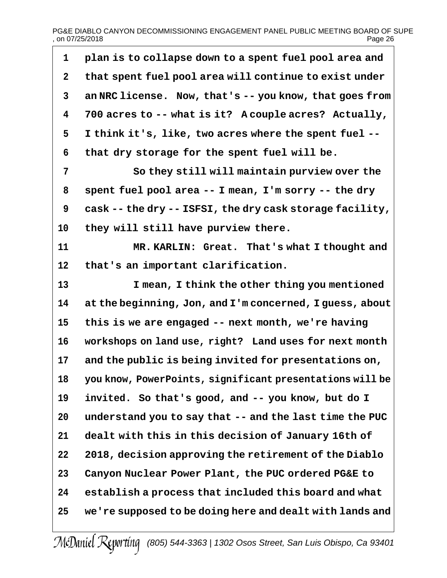# PG&E DIABLO CANYON DECOMMISSIONING ENGAGEMENT PANEL PUBLIC MEETING BOARD OF SUPE<br>Page 26 , on 07/25/2018

| 1            | plan is to collapse down to a spent fuel pool area and   |
|--------------|----------------------------------------------------------|
| $\mathbf 2$  | that spent fuel pool area will continue to exist under   |
| $\mathbf{3}$ | an NRC license. Now, that's -- you know, that goes from  |
| 4            | 700 acres to -- what is it? A couple acres? Actually,    |
| 5            | I think it's, like, two acres where the spent fuel --    |
| 6            | that dry storage for the spent fuel will be.             |
| 7            | So they still will maintain purview over the             |
| 8            | spent fuel pool area -- I mean, I'm sorry -- the dry     |
| 9            | cask -- the dry -- ISFSI, the dry cask storage facility, |
| 10           | they will still have purview there.                      |
| 11           | MR. KARLIN: Great. That's what I thought and             |
| 12           | that's an important clarification.                       |
| 13           | I mean, I think the other thing you mentioned            |
| 14           | at the beginning, Jon, and I'm concerned, I guess, about |
| 15           | this is we are engaged -- next month, we're having       |
| 16           | workshops on land use, right? Land uses for next month   |
| 17           | and the public is being invited for presentations on,    |
| 18           | you know, PowerPoints, significant presentations will be |
| 19           | invited. So that's good, and -- you know, but do I       |
| 20           | understand you to say that -- and the last time the PUC  |
| 21           | dealt with this in this decision of January 16th of      |
| 22           | 2018, decision approving the retirement of the Diablo    |
| 23           | Canyon Nuclear Power Plant, the PUC ordered PG&E to      |
| 24           | establish a process that included this board and what    |
| 25           | we're supposed to be doing here and dealt with lands and |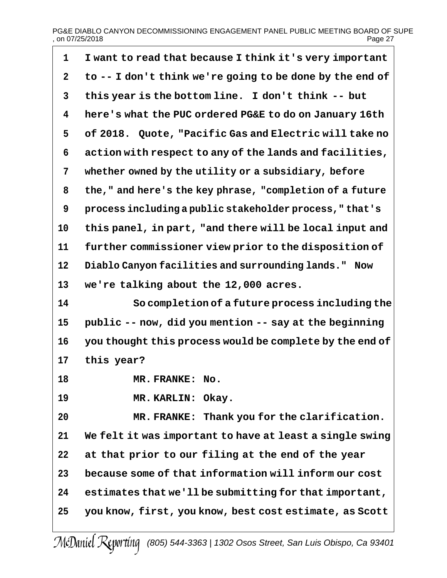# PG&E DIABLO CANYON DECOMMISSIONING ENGAGEMENT PANEL PUBLIC MEETING BOARD OF SUPE<br>page 27 , on 07/25/2018

| 1            | I want to read that because I think it's very important   |
|--------------|-----------------------------------------------------------|
| $\mathbf{2}$ | to -- I don't think we're going to be done by the end of  |
| 3            | this year is the bottom line. I don't think -- but        |
| 4            | here's what the PUC ordered PG&E to do on January 16th    |
| 5            | of 2018. Quote, "Pacific Gas and Electric will take no    |
| 6            | action with respect to any of the lands and facilities,   |
| 7            | whether owned by the utility or a subsidiary, before      |
| 8            | the, " and here's the key phrase, "completion of a future |
| 9            | process including a public stakeholder process, "that's   |
| 10           | this panel, in part, "and there will be local input and   |
| 11           | further commissioner view prior to the disposition of     |
| 12           | Diablo Canyon facilities and surrounding lands." Now      |
| 13           | we're talking about the 12,000 acres.                     |
| 14           | So completion of a future process including the           |
| 15           | public -- now, did you mention -- say at the beginning    |
| 16           | you thought this process would be complete by the end of  |
| 17           | this year?                                                |
| 18           | MR. FRANKE: No.                                           |
| 19           | MR. KARLIN: Okay.                                         |
| 20           | MR. FRANKE: Thank you for the clarification.              |
| 21           | We felt it was important to have at least a single swing  |
| 22           | at that prior to our filing at the end of the year        |
| 23           | because some of that information will inform our cost     |
| 24           | estimates that we'll be submitting for that important,    |
| 25           | you know, first, you know, best cost estimate, as Scott   |
|              |                                                           |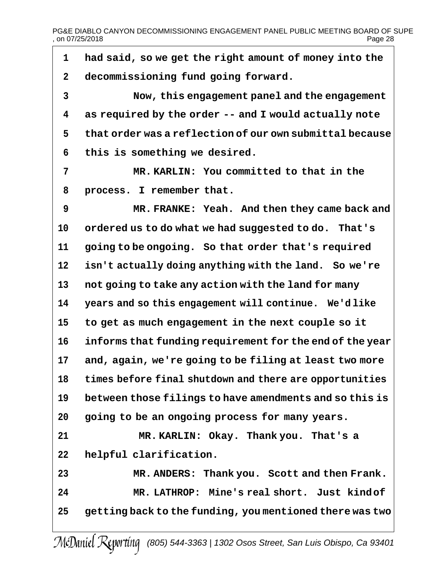PG&E DIABLO CANYON DECOMMISSIONING ENGAGEMENT PANEL PUBLIC MEETING BOARD OF SUPE<br>on 07/25/2018 Page 28  $.$  on 07/25/2018

 **had said, so we get the right amount of money into the decommissioning fund going forward. Now, this engagement panel and the engagement as required by the order -- and I would actually note that order was a reflection of our own submittal because this is something we desired. MR. KARLIN: You committed to that in the process. I remember that. MR. FRANKE: Yeah. And then they came back and ordered us to do what we had suggested to do. That's going to be ongoing. So that order that's required isn't actually doing anything with the land. So we're not going to take any action with the land for many years and so this engagement will continue. We'd like to get as much engagement in the next couple so it informs that funding requirement for the end of the year and, again, we're going to be filing at least two more times before final shutdown and there are opportunities between those filings to have amendments and so this is going to be an ongoing process for many years. MR. KARLIN: Okay. Thank you. That's a helpful clarification. MR. ANDERS: Thank you. Scott and then Frank. MR. LATHROP: Mine's real short. Just kindof getting back to the funding, you mentioned there was two**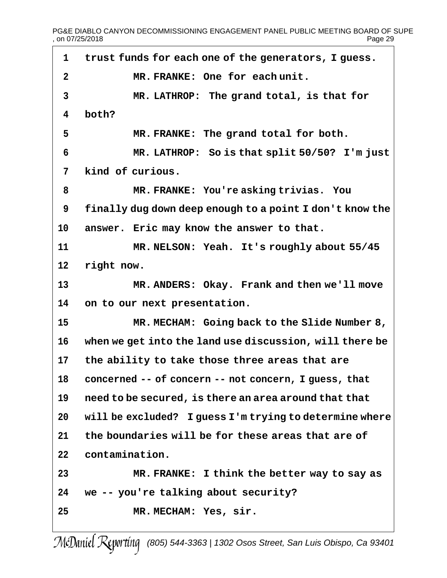PG&E DIABLO CANYON DECOMMISSIONING ENGAGEMENT PANEL PUBLIC MEETING BOARD OF SUPE , on 07/25/2018 Page 29

 **trust funds for each one of the generators, I guess. MR. FRANKE: One for each unit. MR. LATHROP: The grand total, is that for both? MR. FRANKE: The grand total for both. MR. LATHROP: So is that split 50/50? I'm just kind of curious. MR. FRANKE: You're asking trivias. You finally dug down deep enough to a point I don't know the answer. Eric may know the answer to that. MR. NELSON: Yeah. It's roughly about 55/45 right now. MR. ANDERS: Okay. Frank and then we'll move on to our next presentation. MR. MECHAM: Going back to the Slide Number 8, when we get into the land use discussion, will there be the ability to take those three areas that are concerned -- of concern -- not concern, I guess, that need to be secured, is there an area around that that will be excluded? I guess I'm trying to determine where the boundaries will be for these areas that are of contamination. MR. FRANKE: I think the better way to say as we -- you're talking about security? MR. MECHAM: Yes, sir.**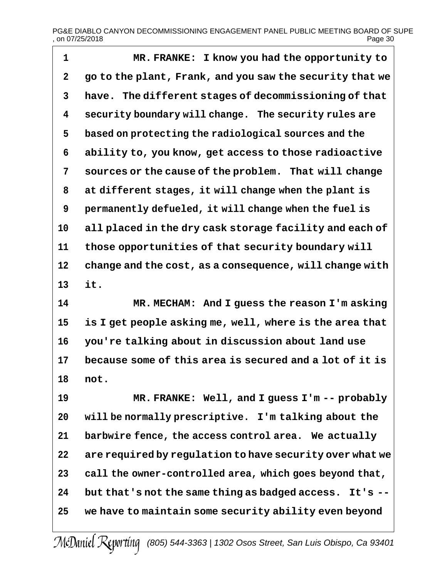# PG&E DIABLO CANYON DECOMMISSIONING ENGAGEMENT PANEL PUBLIC MEETING BOARD OF SUPE<br>on 07/25/2018  $,$  on 07/25/2018

 **MR. FRANKE: I know you had the opportunity to go to the plant, Frank, and you saw the security that we have. The different stages of decommissioning of that security boundary will change. The security rules are based on protecting the radiological sources and the ability to, you know, get access to those radioactive sources or the cause of the problem. That will change at different stages, it will change when the plant is permanently defueled, it will change when the fuel is all placed in the dry cask storage facility and each of those opportunities of that security boundary will change and the cost, as a consequence, will change with it.**

 **MR. MECHAM: And I guess the reason I'm asking is I get people asking me, well, where is the area that you're talking about in discussion about land use because some of this area is secured and a lot of it is not.**

 **MR. FRANKE: Well, and I guess I'm -- probably will be normally prescriptive. I'm talking about the barbwire fence, the access control area. We actually are required by regulation to have security over what we call the owner-controlled area, which goes beyond that, but that's not the same thing as badged access. It's -- we have to maintain some security ability even beyond**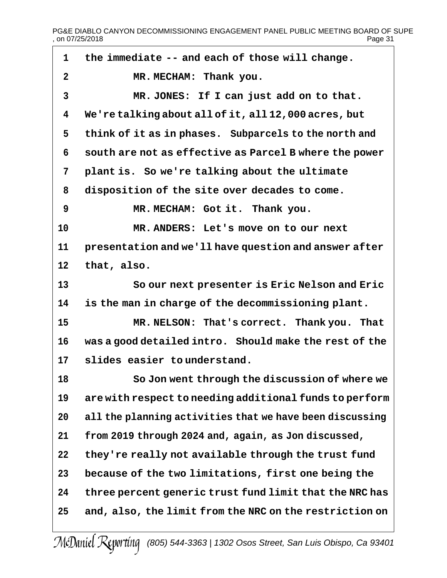PG&E DIABLO CANYON DECOMMISSIONING ENGAGEMENT PANEL PUBLIC MEETING BOARD OF SUPE<br>page 31 , on 07/25/2018

| $\mathbf{1}$ | the immediate -- and each of those will change.          |
|--------------|----------------------------------------------------------|
| 2            | MR. MECHAM: Thank you.                                   |
| 3            | MR. JONES: If I can just add on to that.                 |
| 4            | We're talking about all of it, all 12,000 acres, but     |
| 5            | think of it as in phases. Subparcels to the north and    |
| 6            | south are not as effective as Parcel B where the power   |
| 7            | plant is. So we're talking about the ultimate            |
| 8            | disposition of the site over decades to come.            |
| 9            | MR. MECHAM: Got it. Thank you.                           |
| 10           | MR. ANDERS: Let's move on to our next                    |
| 11           | presentation and we'll have question and answer after    |
| 12           | that, also.                                              |
| 13           | So our next presenter is Eric Nelson and Eric            |
| 14           | is the man in charge of the decommissioning plant.       |
| 15           | MR. NELSON: That's correct. Thank you. That              |
| 16           | was a good detailed intro. Should make the rest of the   |
| 17           | slides easier to understand.                             |
| 18           | So Jon went through the discussion of where we           |
| 19           | are with respect to needing additional funds to perform  |
| 20           | all the planning activities that we have been discussing |
| 21           | from 2019 through 2024 and, again, as Jon discussed,     |
| 22           | they're really not available through the trust fund      |
| 23           | because of the two limitations, first one being the      |
| 24           | three percent generic trust fund limit that the NRC has  |
| 25           | and, also, the limit from the NRC on the restriction on  |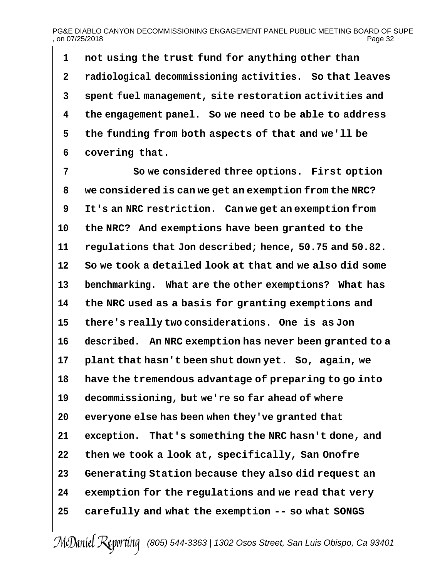## PG&E DIABLO CANYON DECOMMISSIONING ENGAGEMENT PANEL PUBLIC MEETING BOARD OF SUPE<br>02 Page 32  $.$  on 07/25/2018

 **not using the trust fund for anything other than radiological decommissioning activities. So that leaves spent fuel management, site restoration activities and the engagement panel. So we need to be able to address the funding from both aspects of that and we'll be covering that.**

 **So we considered three options. First option we considered is can we get an exemption from the NRC? It's an NRC restriction. Can we get an exemption from the NRC? And exemptions have been granted to the regulations that Jon described; hence, 50.75 and 50.82. So we took a detailed look at that and we also did some benchmarking. What are the other exemptions? What has the NRC used as a basis for granting exemptions and there's really two considerations. One is as Jon described. An NRC exemption has never been granted to a plant that hasn't been shut down yet. So, again, we have the tremendous advantage of preparing to go into decommissioning, but we're so far ahead of where everyone else has been when they've granted that exception. That's something the NRC hasn't done, and then we took a look at, specifically, San Onofre Generating Station because they also did request an exemption for the regulations and we read that very carefully and what the exemption -- so what SONGS**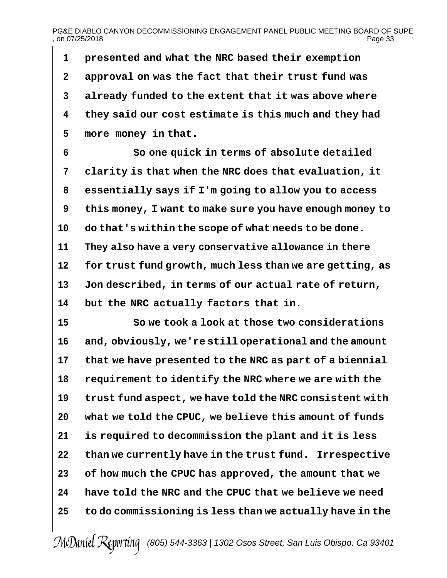# PG&E DIABLO CANYON DECOMMISSIONING ENGAGEMENT PANEL PUBLIC MEETING BOARD OF SUPE<br>on 07/25/2018  $.$  on 07/25/2018

 **presented and what the NRC based their exemption approval on was the fact that their trust fund was already funded to the extent that it was above where they said our cost estimate is this much and they had more money in that.**

 **So one quick in terms of absolute detailed clarity is that when the NRC does that evaluation, it essentially says if I'm going to allow you to access this money, I want to make sure you have enough money to do that's within the scope of what needs to be done. They also have a very conservative allowance in there for trust fund growth, much less than we are getting, as Jon described, in terms of our actual rate of return, but the NRC actually factors that in.**

 **So we took a look at those two considerations and, obviously, we're still operational and the amount that we have presented to the NRC as part of a biennial requirement to identify the NRC where we are with the trust fund aspect, we have told the NRC consistent with what we told the CPUC, we believe this amount of funds is required to decommission the plant and it is less than we currently have in the trust fund. Irrespective of how much the CPUC has approved, the amount that we have told the NRC and the CPUC that we believe we need to do commissioning is less than we actually have in the**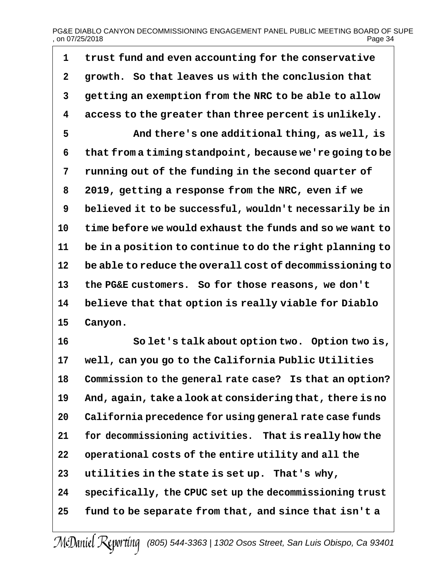## PG&E DIABLO CANYON DECOMMISSIONING ENGAGEMENT PANEL PUBLIC MEETING BOARD OF SUPE<br>on 07/25/2018 Page 34  $,$  on 07/25/2018

 **trust fund and even accounting for the conservative growth. So that leaves us with the conclusion that getting an exemption from the NRC to be able to allow access to the greater than three percent is unlikely. And there's one additional thing, as well, is that from a timing standpoint, because we're going to be running out of the funding in the second quarter of 2019, getting a response from the NRC, even if we believed it to be successful, wouldn't necessarily be in time before we would exhaust the funds and so we want to be in a position to continue to do the right planning to be able to reduce the overall cost of decommissioning to the PG&E customers. So for those reasons, we don't believe that that option is really viable for Diablo Canyon.**

 **So let's talk about option two. Option two is, well, can you go to the California Public Utilities Commission to the general rate case? Is that an option? And, again, take a look at considering that, there is no California precedence for using general rate case funds for decommissioning activities. That is really how the operational costs of the entire utility and all the utilities in the state is set up. That's why, specifically, the CPUC set up the decommissioning trust fund to be separate from that, and since that isn't a**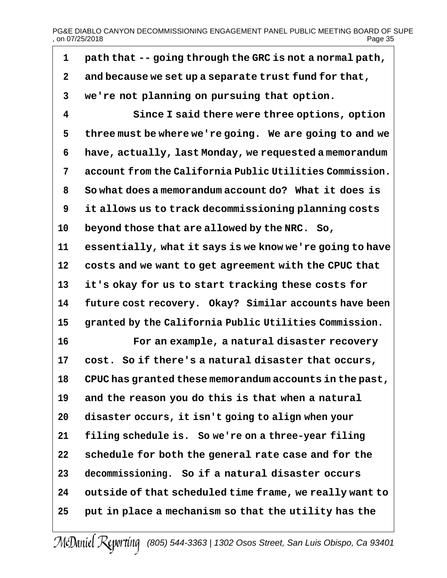# PG&E DIABLO CANYON DECOMMISSIONING ENGAGEMENT PANEL PUBLIC MEETING BOARD OF SUPE<br>page 35<br>Page 35 , on 07/25/2018

| 1           | path that -- going through the GRC is not a normal path, |
|-------------|----------------------------------------------------------|
| $\mathbf 2$ | and because we set up a separate trust fund for that,    |
| 3           | we're not planning on pursuing that option.              |
| 4           | Since I said there were three options, option            |
| 5           | three must be where we're going. We are going to and we  |
| 6           | have, actually, last Monday, we requested a memorandum   |
| 7           | account from the California Public Utilities Commission. |
| 8           | So what does a memorandum account do? What it does is    |
| 9           | it allows us to track decommissioning planning costs     |
| 10          | beyond those that are allowed by the NRC. So,            |
| 11          | essentially, what it says is we know we're going to have |
| 12          | costs and we want to get agreement with the CPUC that    |
| 13          | it's okay for us to start tracking these costs for       |
| 14          | future cost recovery. Okay? Similar accounts have been   |
| 15          | granted by the California Public Utilities Commission.   |
| 16          | For an example, a natural disaster recovery              |
| 17          | cost. So if there's a natural disaster that occurs,      |
| 18          | CPUC has granted these memorandum accounts in the past,  |
| 19          | and the reason you do this is that when a natural        |
| 20          | disaster occurs, it isn't going to align when your       |
| 21          | filing schedule is. So we're on a three-year filing      |
| 22          | schedule for both the general rate case and for the      |
| 23          | decommissioning. So if a natural disaster occurs         |
| 24          | outside of that scheduled time frame, we really want to  |
| 25          | put in place a mechanism so that the utility has the     |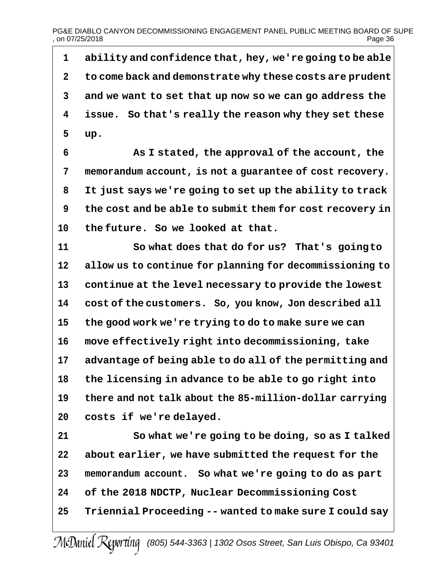**ability and confidence that, hey, we're going to be able to come back and demonstrate why these costs are prudent and we want to set that up now so we can go address the issue. So that's really the reason why they set these up.**

 **As I stated, the approval of the account, the memorandum account, is not a guarantee of cost recovery. It just says we're going to set up the ability to track the cost and be able to submit them for cost recovery in the future. So we looked at that.**

 **So what does that do for us? That's goingto allow us to continue for planning for decommissioning to continue at the level necessary to provide the lowest cost of the customers. So, you know, Jon described all the good work we're trying to do to make sure we can move effectively right into decommissioning, take advantage of being able to do all of the permitting and the licensing in advance to be able to go right into there and not talk about the 85-million-dollar carrying costs if we're delayed.**

 **So what we're going to be doing, so as I talked about earlier, we have submitted the request for the memorandum account. So what we're going to do as part of the 2018 NDCTP, Nuclear Decommissioning Cost Triennial Proceeding -- wanted to make sure I could say**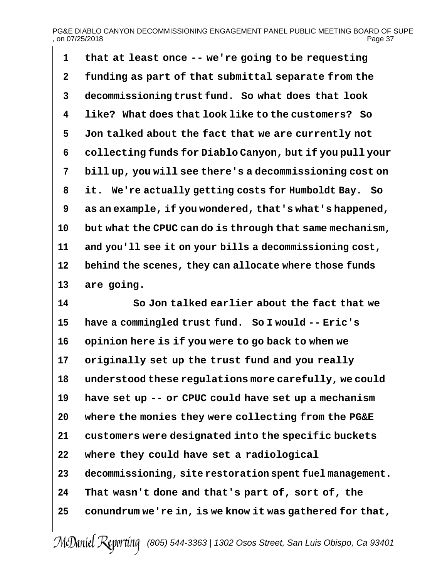# PG&E DIABLO CANYON DECOMMISSIONING ENGAGEMENT PANEL PUBLIC MEETING BOARD OF SUPE<br>on 07/25/2018 Page 37  $.$  on 07/25/2018

 **that at least once -- we're going to be requesting funding as part of that submittal separate from the decommissioning trust fund. So what does that look like? What does that look like to the customers? So Jon talked about the fact that we are currently not collecting funds for Diablo Canyon, but if you pull your bill up, you will see there's a decommissioning cost on it. We're actually getting costs for Humboldt Bay. So as an example, if you wondered, that's what's happened, but what the CPUC can do is through that same mechanism, and you'll see it on your bills a decommissioning cost, behind the scenes, they can allocate where those funds are going.**

 **So Jon talked earlier about the fact that we have a commingled trust fund. So I would -- Eric's opinion here is if you were to go back to when we originally set up the trust fund and you really understood these regulations more carefully, we could have set up -- or CPUC could have set up a mechanism where the monies they were collecting from the PG&E customers were designated into the specific buckets where they could have set a radiological decommissioning, site restoration spent fuel management. That wasn't done and that's part of, sort of, the conundrum we're in, is we know it was gathered for that,**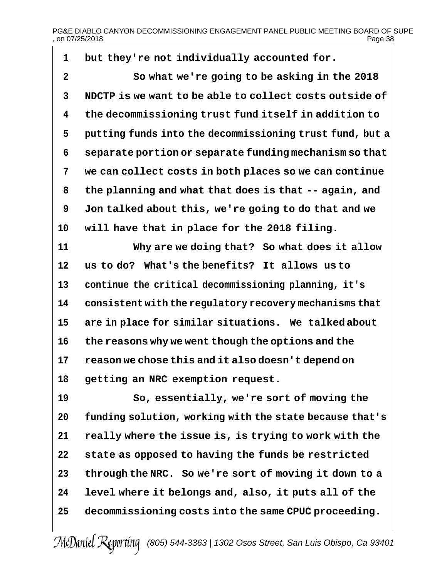# PG&E DIABLO CANYON DECOMMISSIONING ENGAGEMENT PANEL PUBLIC MEETING BOARD OF SUPE  $.$  on 07/25/2018

 **but they're not individually accounted for. So what we're going to be asking in the 2018 NDCTP is we want to be able to collect costs outside of the decommissioning trust fund itself in addition to putting funds into the decommissioning trust fund, but a separate portion or separate funding mechanism so that we can collect costs in both places so we can continue the planning and what that does is that -- again, and Jon talked about this, we're going to do that and we will have that in place for the 2018 filing. Why are we doing that? So what does it allow us to do? What's the benefits? It allows us to continue the critical decommissioning planning, it's consistent with the regulatory recovery mechanisms that are in place for similar situations. We talked about the reasons why we went though the options and the reason we chose this and it also doesn't depend on getting an NRC exemption request. So, essentially, we're sort of moving the funding solution, working with the state because that's really where the issue is, is trying to work with the state as opposed to having the funds be restricted through the NRC. So we're sort of moving it down to a level where it belongs and, also, it puts all of the decommissioning costs into the same CPUC proceeding.**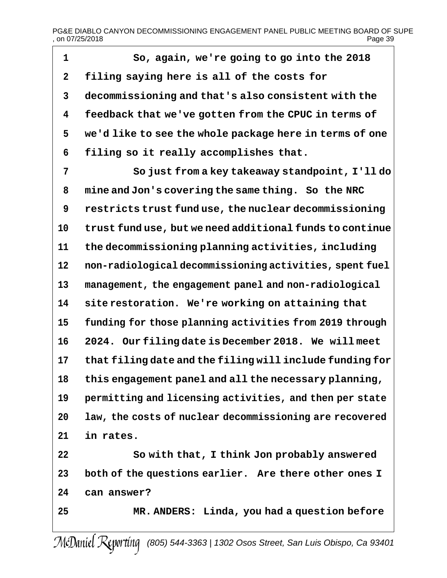# PG&E DIABLO CANYON DECOMMISSIONING ENGAGEMENT PANEL PUBLIC MEETING BOARD OF SUPE<br>on 07/25/2018 Page 39  $,$  on 07/25/2018

 **So, again, we're going to go into the 2018 filing saying here is all of the costs for decommissioning and that's also consistent with the feedback that we've gotten from the CPUC in terms of we'd like to see the whole package here in terms of one filing so it really accomplishes that.**

 **So just from a key takeaway standpoint, I'll do mine and Jon's covering the same thing. So the NRC restricts trust fund use, the nuclear decommissioning trust fund use, but we need additional funds to continue the decommissioning planning activities, including non-radiological decommissioning activities, spent fuel management, the engagement panel and non-radiological site restoration. We're working on attaining that funding for those planning activities from 2019 through 2024. Our filing date is December 2018. We will meet that filing date and the filing will include funding for this engagement panel and all the necessary planning, permitting and licensing activities, and then per state law, the costs of nuclear decommissioning are recovered in rates.**

 **So with that, I think Jon probably answered both of the questions earlier. Are there other ones I can answer?**

**MR. ANDERS: Linda, you had a question before**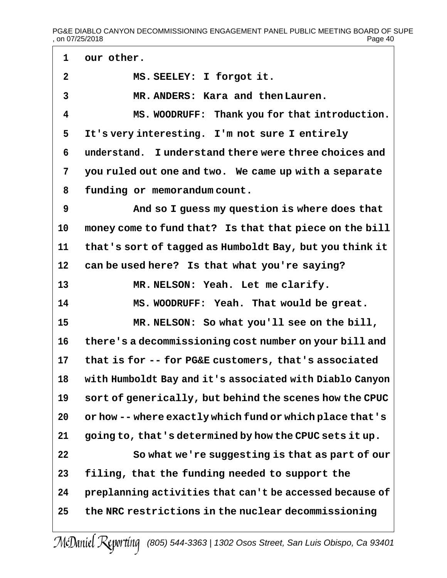PG&E DIABLO CANYON DECOMMISSIONING ENGAGEMENT PANEL PUBLIC MEETING BOARD OF SUPE<br>on 07/25/2018 Page 40  $,$  on 07/25/2018

 **our other. MS. SEELEY: I forgot it. MR. ANDERS: Kara and then Lauren. MS. WOODRUFF: Thank you for that introduction. It's very interesting. I'm not sure I entirely understand. I understand there were three choices and you ruled out one and two. We came up with a separate funding or memorandum count. And so I guess my question is where does that money come to fund that? Is that that piece on the bill that's sort of tagged as Humboldt Bay, but you think it can be used here? Is that what you're saying? MR. NELSON: Yeah. Let me clarify. MS. WOODRUFF: Yeah. That would be great. MR. NELSON: So what you'll see on the bill, there's a decommissioning cost number on your bill and that is for -- for PG&E customers, that's associated with Humboldt Bay and it's associated with Diablo Canyon sort of generically, but behind the scenes how the CPUC or how -- where exactly which fund or which place that's going to, that's determined by how the CPUC sets it up. So what we're suggesting is that as part of our filing, that the funding needed to support the preplanning activities that can't be accessed because of the NRC restrictions in the nuclear decommissioning**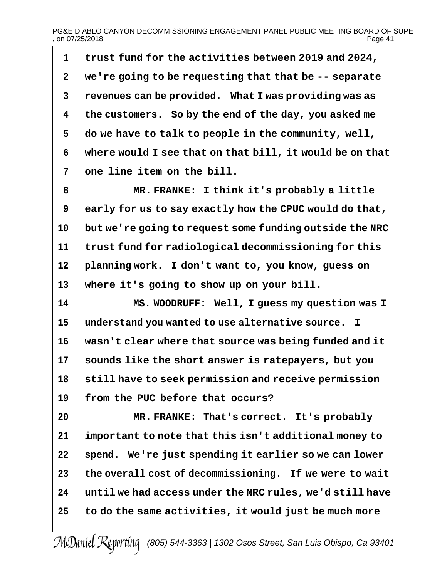# PG&E DIABLO CANYON DECOMMISSIONING ENGAGEMENT PANEL PUBLIC MEETING BOARD OF SUPE , on 07/25/2018 Page 41

 **trust fund for the activities between 2019 and 2024, we're going to be requesting that that be -- separate revenues can be provided. What I was providing was as the customers. So by the end of the day, you asked me do we have to talk to people in the community, well, where would I see that on that bill, it would be on that one line item on the bill.**

 **MR. FRANKE: I think it's probably a little early for us to say exactly how the CPUC would do that, but we're going to request some funding outside the NRC trust fund for radiological decommissioning for this planning work. I don't want to, you know, guess on where it's going to show up on your bill.**

 **MS. WOODRUFF: Well, I guess my question was I understand you wanted to use alternative source. I wasn't clear where that source was being funded and it sounds like the short answer is ratepayers, but you still have to seek permission and receive permission from the PUC before that occurs?**

 **MR. FRANKE: That's correct. It's probably important to note that this isn't additional money to spend. We're just spending it earlier so we can lower the overall cost of decommissioning. If we were to wait until we had access under the NRC rules, we'd still have to do the same activities, it would just be much more**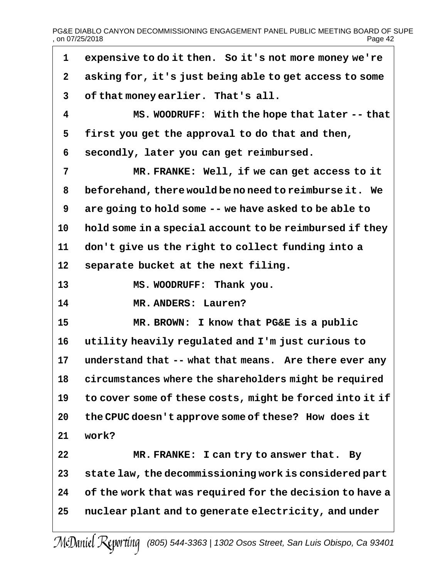PG&E DIABLO CANYON DECOMMISSIONING ENGAGEMENT PANEL PUBLIC MEETING BOARD OF SUPE<br>Page 42 , on 07/25/2018

┑

| $\mathbf 1$  | expensive to do it then. So it's not more money we're    |
|--------------|----------------------------------------------------------|
| $\mathbf{2}$ | asking for, it's just being able to get access to some   |
| 3            | of that money earlier. That's all.                       |
| 4            | MS. WOODRUFF: With the hope that later -- that           |
| 5            | first you get the approval to do that and then,          |
| 6            | secondly, later you can get reimbursed.                  |
| 7            | MR. FRANKE: Well, if we can get access to it             |
| 8            | beforehand, there would be no need to reimburse it. We   |
| 9            | are going to hold some -- we have asked to be able to    |
| 10           | hold some in a special account to be reimbursed if they  |
| 11           | don't give us the right to collect funding into a        |
| 12           | separate bucket at the next filing.                      |
| 13           | MS. WOODRUFF: Thank you.                                 |
| 14           | MR. ANDERS: Lauren?                                      |
| 15           | MR. BROWN: I know that PG&E is a public                  |
| 16           | utility heavily regulated and I'm just curious to        |
| 17           | understand that -- what that means. Are there ever any   |
| 18           | circumstances where the shareholders might be required   |
| 19           | to cover some of these costs, might be forced into it if |
| 20           | the CPUC doesn't approve some of these? How does it      |
| 21           | work?                                                    |
| 22           | MR. FRANKE: I can try to answer that. By                 |
| 23           | state law, the decommissioning work is considered part   |
| 24           | of the work that was required for the decision to have a |
| 25           | nuclear plant and to generate electricity, and under     |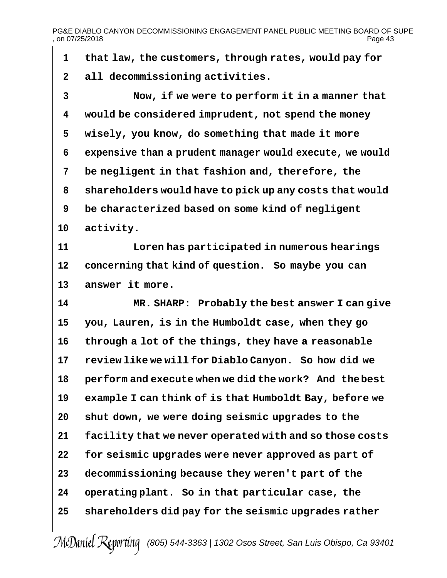PG&E DIABLO CANYON DECOMMISSIONING ENGAGEMENT PANEL PUBLIC MEETING BOARD OF SUPE<br>page 43 , on 07/25/2018

| 1            | that law, the customers, through rates, would pay for    |
|--------------|----------------------------------------------------------|
| $\mathbf{2}$ | all decommissioning activities.                          |
| 3            | Now, if we were to perform it in a manner that           |
| 4            | would be considered imprudent, not spend the money       |
| 5            | wisely, you know, do something that made it more         |
| 6            | expensive than a prudent manager would execute, we would |
| 7            | be negligent in that fashion and, therefore, the         |
| 8            | shareholders would have to pick up any costs that would  |
| 9            | be characterized based on some kind of negligent         |
| 10           | activity.                                                |
| 11           | Loren has participated in numerous hearings              |
| 12           | concerning that kind of question. So maybe you can       |
| 13           | answer it more.                                          |
| 14           | MR. SHARP: Probably the best answer I can give           |
| 15           |                                                          |
|              | you, Lauren, is in the Humboldt case, when they go       |
| 16           | through a lot of the things, they have a reasonable      |
| 17           | review like we will for Diablo Canyon. So how did we     |
| 18           | perform and execute when we did the work? And the best   |
| 19           | example I can think of is that Humboldt Bay, before we   |
| 20           | shut down, we were doing seismic upgrades to the         |
| 21           | facility that we never operated with and so those costs  |
| 22           | for seismic upgrades were never approved as part of      |
| 23           | decommissioning because they weren't part of the         |
| 24           | operating plant. So in that particular case, the         |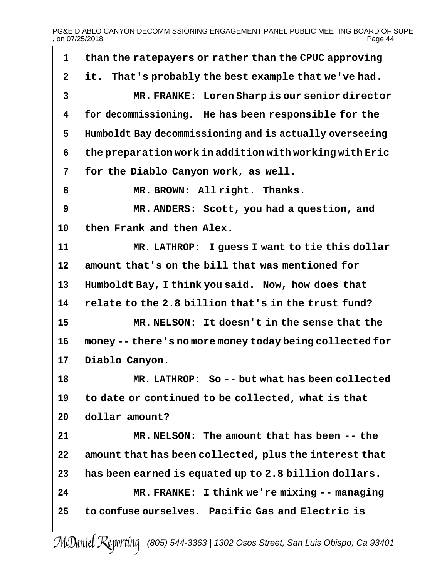# PG&E DIABLO CANYON DECOMMISSIONING ENGAGEMENT PANEL PUBLIC MEETING BOARD OF SUPE<br>page 44 , on 07/25/2018

| 1              | than the ratepayers or rather than the CPUC approving    |
|----------------|----------------------------------------------------------|
| $\mathbf 2$    | it. That's probably the best example that we've had.     |
| $\overline{3}$ | MR. FRANKE: Loren Sharp is our senior director           |
| 4              | for decommissioning. He has been responsible for the     |
| 5              | Humboldt Bay decommissioning and is actually overseeing  |
| 6              | the preparation work in addition with working with Eric  |
| 7              | for the Diablo Canyon work, as well.                     |
| 8              | MR. BROWN: Allright. Thanks.                             |
| 9              | MR. ANDERS: Scott, you had a question, and               |
| 10             | then Frank and then Alex.                                |
| 11             | MR. LATHROP: I guess I want to tie this dollar           |
| 12             | amount that's on the bill that was mentioned for         |
| 13             | Humboldt Bay, I think you said. Now, how does that       |
| 14             | relate to the 2.8 billion that's in the trust fund?      |
| 15             | MR. NELSON: It doesn't in the sense that the             |
| 16             | money -- there's no more money today being collected for |
| 17             | Diablo Canyon.                                           |
| 18             | MR. LATHROP: So -- but what has been collected           |
| 19             | to date or continued to be collected, what is that       |
| 20             | dollar amount?                                           |
| 21             | MR. NELSON: The amount that has been -- the              |
| 22             | amount that has been collected, plus the interest that   |
| 23             | has been earned is equated up to 2.8 billion dollars.    |
| 24             | MR. FRANKE: I think we're mixing -- managing             |
| 25             | to confuse ourselves. Pacific Gas and Electric is        |
|                |                                                          |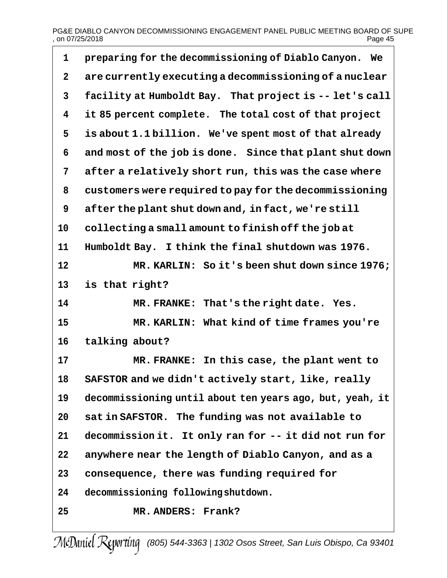# PG&E DIABLO CANYON DECOMMISSIONING ENGAGEMENT PANEL PUBLIC MEETING BOARD OF SUPE<br>Page 45 , on 07/25/2018

| 1            | preparing for the decommissioning of Diablo Canyon. We   |
|--------------|----------------------------------------------------------|
| $\mathbf{2}$ | are currently executing a decommissioning of a nuclear   |
| $\mathbf{3}$ | facility at Humboldt Bay. That project is -- let's call  |
| 4            | it 85 percent complete. The total cost of that project   |
| 5            | is about 1.1 billion. We've spent most of that already   |
| 6            | and most of the job is done. Since that plant shut down  |
| 7            | after a relatively short run, this was the case where    |
| 8            | customers were required to pay for the decommissioning   |
| 9            | after the plant shut down and, in fact, we're still      |
| 10           | collecting a small amount to finish off the job at       |
| 11           | Humboldt Bay. I think the final shutdown was 1976.       |
| 12           | MR. KARLIN: So it's been shut down since 1976;           |
| 13           | is that right?                                           |
| 14           | That's the right date. Yes.<br>MR. FRANKE:               |
| 15           | MR. KARLIN: What kind of time frames you're              |
| 16           | talking about?                                           |
| 17           | In this case, the plant went to<br>MR. FRANKE:           |
| 18           | SAFSTOR and we didn't actively start, like, really       |
| 19           | decommissioning until about ten years ago, but, yeah, it |
| 20           | sat in SAFSTOR. The funding was not available to         |
| 21           | decommission it. It only ran for -- it did not run for   |
| 22           | anywhere near the length of Diablo Canyon, and as a      |
| 23           | consequence, there was funding required for              |
| 24           | decommissioning following shutdown.                      |
| 25           | MR. ANDERS: Frank?                                       |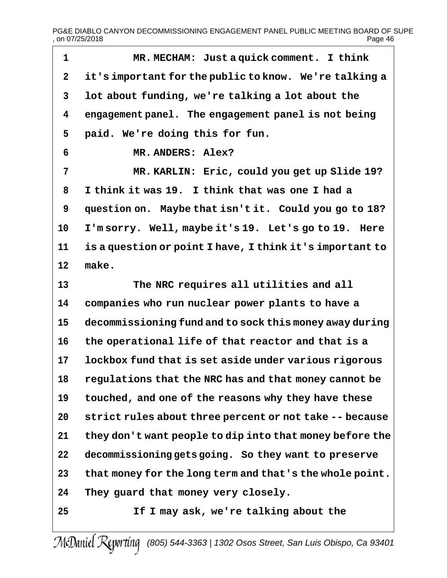| 1           | MR. MECHAM: Just a quick comment. I think                |
|-------------|----------------------------------------------------------|
| $\mathbf 2$ | it's important for the public to know. We're talking a   |
| 3           | lot about funding, we're talking a lot about the         |
| 4           | engagement panel. The engagement panel is not being      |
| 5           | paid. We're doing this for fun.                          |
| 6           | MR. ANDERS: Alex?                                        |
| 7           | MR. KARLIN: Eric, could you get up Slide 19?             |
| 8           | I think it was 19. I think that was one I had a          |
| 9           | question on. Maybe that isn't it. Could you go to 18?    |
| 10          | I'm sorry. Well, maybe it's 19. Let's go to 19. Here     |
| 11          | is a question or point I have, I think it's important to |
| 12          | make.                                                    |
| 13          | The NRC requires all utilities and all                   |
| 14          | companies who run nuclear power plants to have a         |
| 15          | decommissioning fund and to sock this money away during  |
| 16          | the operational life of that reactor and that is a       |
| 17          | lockbox fund that is set aside under various rigorous    |
| 18          | regulations that the NRC has and that money cannot be    |
| 19          | touched, and one of the reasons why they have these      |
| 20          | strict rules about three percent or not take -- because  |
| 21          | they don't want people to dip into that money before the |
| 22          | decommissioning gets going. So they want to preserve     |
| 23          | that money for the long term and that's the whole point. |
| 24          | They guard that money very closely.                      |
| 25          | If I may ask, we're talking about the                    |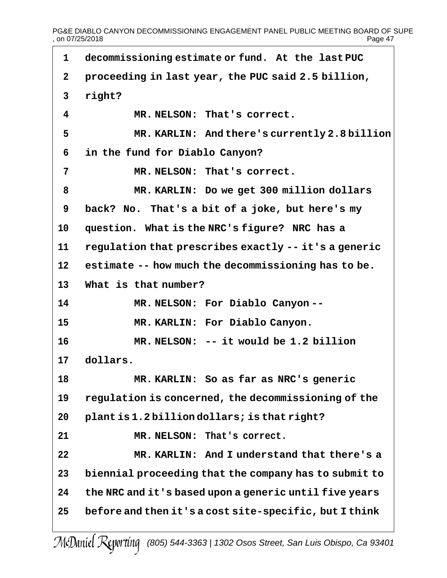PG&E DIABLO CANYON DECOMMISSIONING ENGAGEMENT PANEL PUBLIC MEETING BOARD OF SUPE<br>page 47 , on 07/25/2018

 $\overline{\phantom{a}}$ 

| $\mathbf{1}$ | decommissioning estimate or fund. At the last PUC      |
|--------------|--------------------------------------------------------|
| $\mathbf 2$  | proceeding in last year, the PUC said 2.5 billion,     |
| 3            | right?                                                 |
| 4            | MR. NELSON: That's correct.                            |
| 5            | MR. KARLIN: And there's currently 2.8 billion          |
| 6            | in the fund for Diablo Canyon?                         |
| 7            | MR. NELSON: That's correct.                            |
| 8            | MR. KARLIN: Do we get 300 million dollars              |
| 9            | back? No. That's a bit of a joke, but here's my        |
| 10           | question. What is the NRC's figure? NRC has a          |
| 11           | regulation that prescribes exactly -- it's a generic   |
| 12           | estimate -- how much the decommissioning has to be.    |
| 13           | What is that number?                                   |
| 14           | MR. NELSON: For Diablo Canyon--                        |
| 15           | MR. KARLIN: For Diablo Canyon.                         |
| 16           | MR. NELSON: -- it would be 1.2 billion                 |
| 17           | dollars.                                               |
| 18           | MR. KARLIN: So as far as NRC's generic                 |
| 19           | regulation is concerned, the decommissioning of the    |
| 20           | plant is 1.2 billion dollars; is that right?           |
| 21           | MR. NELSON: That's correct.                            |
| 22           | MR. KARLIN: And I understand that there's a            |
| 23           | biennial proceeding that the company has to submit to  |
| 24           | the NRC and it's based upon a generic until five years |
| 25           | before and then it's a cost site-specific, but I think |
|              |                                                        |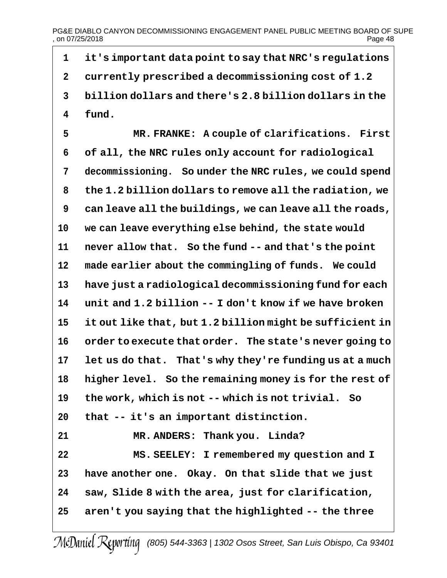**it's important data point to say that NRC's regulations currently prescribed a decommissioning cost of 1.2 billion dollars and there's 2.8 billion dollars in the fund. MR. FRANKE: A couple of clarifications. First of all, the NRC rules only account for radiological decommissioning. So under the NRC rules, we could spend the 1.2 billion dollars to remove all the radiation, we can leave all the buildings, we can leave all the roads,**

 **we can leave everything else behind, the state would never allow that. So the fund -- and that's the point made earlier about the commingling of funds. We could have just a radiological decommissioning fund for each unit and 1.2 billion -- I don't know if we have broken it out like that, but 1.2 billion might be sufficient in order to execute that order. The state's never going to let us do that. That's why they're funding us at a much higher level. So the remaining money is for the rest of the work, which is not -- which is not trivial. So**

**that -- it's an important distinction.**

 **MR. ANDERS: Thank you. Linda? MS. SEELEY: I remembered my question and I have another one. Okay. On that slide that we just saw, Slide 8 with the area, just for clarification, aren't you saying that the highlighted -- the three**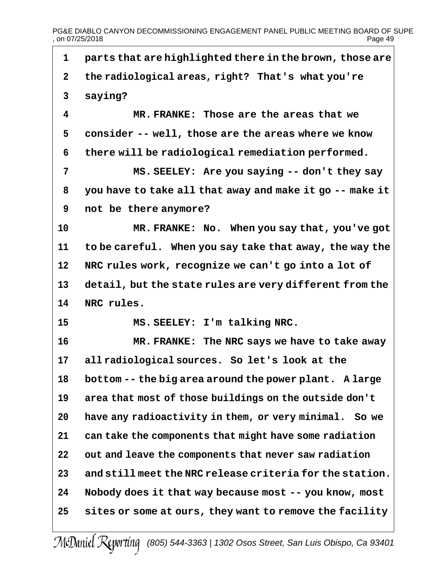PG&E DIABLO CANYON DECOMMISSIONING ENGAGEMENT PANEL PUBLIC MEETING BOARD OF SUPE<br>Page 49 , on 07/25/2018

| 1            | parts that are highlighted there in the brown, those are |
|--------------|----------------------------------------------------------|
| $\mathbf{2}$ | the radiological areas, right? That's what you're        |
| $\mathbf{3}$ | saying?                                                  |
| 4            | MR. FRANKE: Those are the areas that we                  |
| 5            | consider -- well, those are the areas where we know      |
| 6            | there will be radiological remediation performed.        |
| 7            | MS. SEELEY: Are you saying -- don't they say             |
| 8            | you have to take all that away and make it go -- make it |
| 9            | not be there anymore?                                    |
| 10           | MR. FRANKE: No. When you say that, you've got            |
| 11           | to be careful. When you say take that away, the way the  |
| 12           | NRC rules work, recognize we can't go into a lot of      |
| 13           | detail, but the state rules are very different from the  |
| 14           | NRC rules.                                               |
| 15           | MS. SEELEY: I'm talking NRC.                             |
| 16           | MR. FRANKE: The NRC says we have to take away            |
| 17           | all radiological sources. So let's look at the           |
| 18           | bottom -- the big area around the power plant. A large   |
| 19           | area that most of those buildings on the outside don't   |
| 20           | have any radioactivity in them, or very minimal. So we   |
| 21           | can take the components that might have some radiation   |
| 22           | out and leave the components that never saw radiation    |
| 23           | and still meet the NRC release criteria for the station. |
| 24           | Nobody does it that way because most -- you know, most   |
| 25           | sites or some at ours, they want to remove the facility  |
|              |                                                          |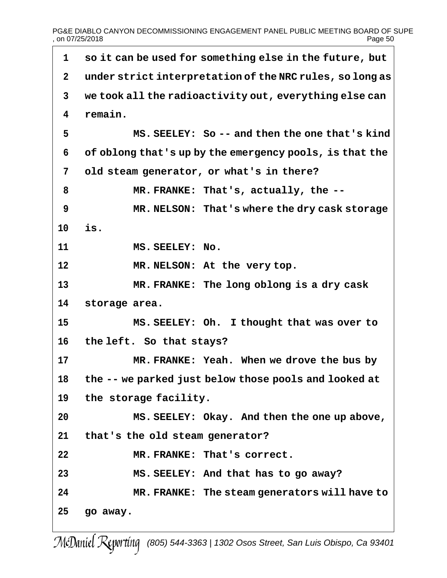# PG&E DIABLO CANYON DECOMMISSIONING ENGAGEMENT PANEL PUBLIC MEETING BOARD OF SUPE<br>on 07/25/2018 Page 50  $,$  on 07/25/2018

 **so it can be used for something else in the future, but under strict interpretation of the NRC rules, so long as we took all the radioactivity out, everything else can remain. MS. SEELEY: So -- and then the one that's kind of oblong that's up by the emergency pools, is that the old steam generator, or what's in there? MR. FRANKE: That's, actually, the -- MR. NELSON: That's where the dry cask storage is. MS. SEELEY: No. MR. NELSON: At the very top. MR. FRANKE: The long oblong is a dry cask storage area. MS. SEELEY: Oh. I thought that was over to the left. So that stays? MR. FRANKE: Yeah. When we drove the bus by the -- we parked just below those pools and looked at the storage facility. MS. SEELEY: Okay. And then the one up above, that's the old steam generator? MR. FRANKE: That's correct. MS. SEELEY: And that has to go away? MR. FRANKE: The steam generators will have to go away.**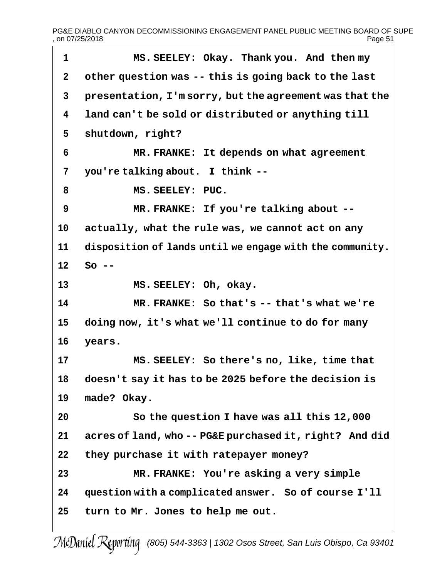PG&E DIABLO CANYON DECOMMISSIONING ENGAGEMENT PANEL PUBLIC MEETING BOARD OF SUPE<br>01 Page 51  $,$  on 07/25/2018

 **MS. SEELEY: Okay. Thank you. And then my other question was -- this is going back to the last presentation, I'm sorry, but the agreement was that the land can't be sold or distributed or anything till shutdown, right? MR. FRANKE: It depends on what agreement you're talking about. I think -- MS. SEELEY: PUC. MR. FRANKE: If you're talking about -- actually, what the rule was, we cannot act on any disposition of lands until we engage with the community. So -- MS. SEELEY: Oh, okay. MR. FRANKE: So that's -- that's what we're doing now, it's what we'll continue to do for many years. MS. SEELEY: So there's no, like, time that doesn't say it has to be 2025 before the decision is made? Okay. So the question I have was all this 12,000 acres of land, who -- PG&E purchased it, right? And did they purchase it with ratepayer money? MR. FRANKE: You're asking a very simple question with a complicated answer. So of course I'll turn to Mr. Jones to help me out.**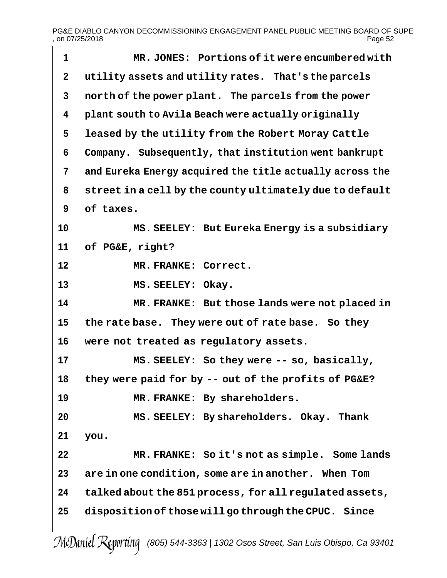| 1            | MR. JONES: Portions of it were encumbered with           |
|--------------|----------------------------------------------------------|
| $\mathbf{2}$ | utility assets and utility rates. That's the parcels     |
| 3            | north of the power plant. The parcels from the power     |
| 4            | plant south to Avila Beach were actually originally      |
| 5            | leased by the utility from the Robert Moray Cattle       |
| 6            | Company. Subsequently, that institution went bankrupt    |
| 7            | and Eureka Energy acquired the title actually across the |
| 8            | street in a cell by the county ultimately due to default |
| 9            | of taxes.                                                |
| 10           | MS. SEELEY: But Eureka Energy is a subsidiary            |
| 11           | of PG&E, right?                                          |
| 12           | MR. FRANKE: Correct.                                     |
| 13           | MS. SEELEY: Okay.                                        |
| 14           | MR. FRANKE: But those lands were not placed in           |
| 15           | the rate base. They were out of rate base. So they       |
| 16           | were not treated as regulatory assets.                   |
| 17           | MS. SEELEY: So they were -- so, basically,               |
| 18           | they were paid for by -- out of the profits of PG&E?     |
| 19           | MR. FRANKE: By shareholders.                             |
| 20           | MS. SEELEY: By shareholders. Okay. Thank                 |
| 21           | you.                                                     |
| 22           | MR. FRANKE: So it's not as simple. Some lands            |
| 23           | are in one condition, some are in another. When Tom      |
| 24           | talked about the 851 process, for all regulated assets,  |
| 25           | disposition of those will go through the CPUC. Since     |
|              |                                                          |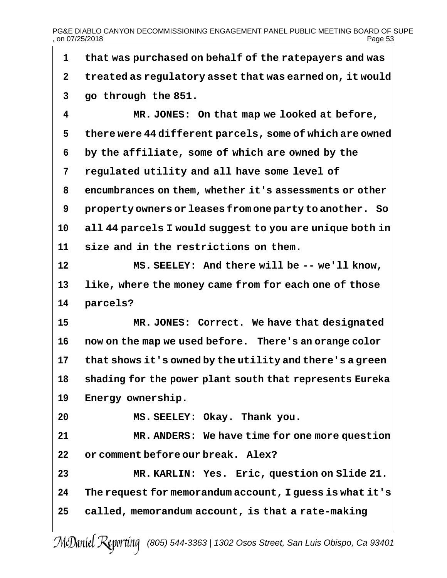PG&E DIABLO CANYON DECOMMISSIONING ENGAGEMENT PANEL PUBLIC MEETING BOARD OF SUPE<br>on 07/25/2018 Page 53  $.$  on 07/25/2018

 **that was purchased on behalf of the ratepayers and was treated as regulatory asset that was earned on, it would go through the 851. MR. JONES: On that map we looked at before, there were 44 different parcels, some of which are owned by the affiliate, some of which are owned by the regulated utility and all have some level of encumbrances on them, whether it's assessments or other property owners or leases from one party to another. So all 44 parcels I would suggest to you are unique both in size and in the restrictions on them. MS. SEELEY: And there will be -- we'll know, like, where the money came from for each one of those parcels? MR. JONES: Correct. We have that designated now on the map we used before. There's an orange color that shows it's owned by the utility and there's a green shading for the power plant south that represents Eureka Energy ownership. MS. SEELEY: Okay. Thank you. MR. ANDERS: We have time for one more question or comment before our break. Alex? MR. KARLIN: Yes. Eric, question on Slide 21. The request for memorandum account, I guess is what it's called, memorandum account, is that a rate-making**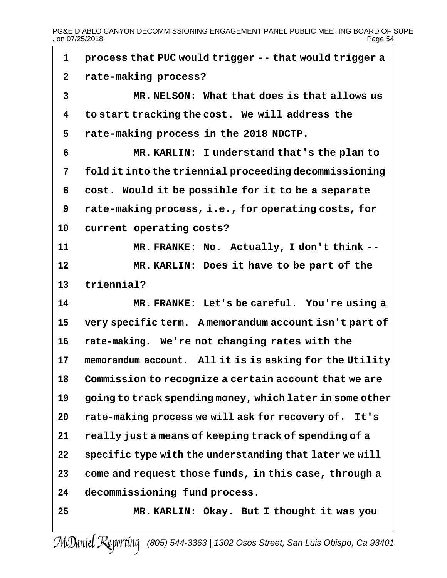PG&E DIABLO CANYON DECOMMISSIONING ENGAGEMENT PANEL PUBLIC MEETING BOARD OF SUPE<br>Page 54 , on 07/25/2018

| 1            | process that PUC would trigger -- that would trigger a   |
|--------------|----------------------------------------------------------|
| $\mathbf{2}$ | rate-making process?                                     |
| 3            | MR. NELSON: What that does is that allows us             |
| 4            | to start tracking the cost. We will address the          |
| 5            | rate-making process in the 2018 NDCTP.                   |
| 6            | MR. KARLIN: I understand that's the plan to              |
| 7            | fold it into the triennial proceeding decommissioning    |
| 8            | cost. Would it be possible for it to be a separate       |
| 9            | rate-making process, i.e., for operating costs, for      |
| 10           | current operating costs?                                 |
| 11           | MR. FRANKE: No. Actually, I don't think --               |
| 12           | MR. KARLIN: Does it have to be part of the               |
| 13           | triennial?                                               |
| 14           | MR. FRANKE: Let's be careful. You're using a             |
| 15           | very specific term. A memorandum account isn't part of   |
| 16           | rate-making. We're not changing rates with the           |
| 17           | memorandum account. All it is is asking for the Utility  |
| 18           | Commission to recognize a certain account that we are    |
| 19           | going to track spending money, which later in some other |
| 20           | rate-making process we will ask for recovery of. It's    |
| 21           | really just a means of keeping track of spending of a    |
| 22           | specific type with the understanding that later we will  |
| 23           | come and request those funds, in this case, through a    |
| 24           | decommissioning fund process.                            |
| 25           | MR. KARLIN: Okay. But I thought it was you               |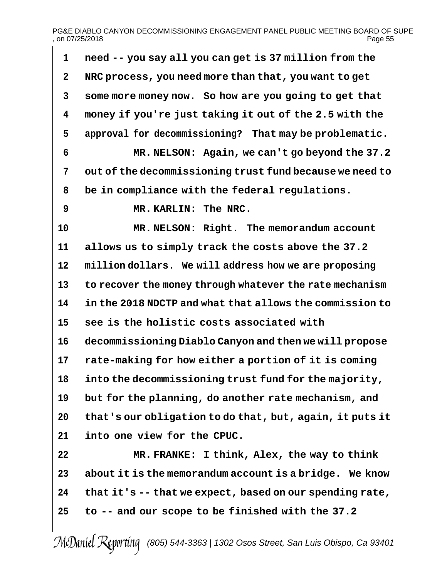# PG&E DIABLO CANYON DECOMMISSIONING ENGAGEMENT PANEL PUBLIC MEETING BOARD OF SUPE<br>page 55<br>Page 55 , on 07/25/2018

 $\overline{\phantom{a}}$ 

| $\mathbf 1$  | need -- you say all you can get is 37 million from the   |
|--------------|----------------------------------------------------------|
| $\mathbf{2}$ | NRC process, you need more than that, you want to get    |
| 3            | some more money now. So how are you going to get that    |
| 4            | money if you're just taking it out of the 2.5 with the   |
| 5            | approval for decommissioning? That may be problematic.   |
| 6            | MR. NELSON: Again, we can't go beyond the 37.2           |
| 7            | out of the decommissioning trust fund because we need to |
| 8            | be in compliance with the federal regulations.           |
| 9            | MR. KARLIN: The NRC.                                     |
| 10           | MR. NELSON: Right. The memorandum account                |
| 11           | allows us to simply track the costs above the 37.2       |
| 12           | million dollars. We will address how we are proposing    |
| 13           | to recover the money through whatever the rate mechanism |
| 14           | in the 2018 NDCTP and what that allows the commission to |
| 15           | see is the holistic costs associated with                |
| 16           | decommissioning Diablo Canyon and then we will propose   |
| 17           | rate-making for how either a portion of it is coming     |
| 18           | into the decommissioning trust fund for the majority,    |
| 19           | but for the planning, do another rate mechanism, and     |
| 20           | that's our obligation to do that, but, again, it puts it |
| 21           | into one view for the CPUC.                              |
| 22           | MR. FRANKE: I think, Alex, the way to think              |
| 23           | about it is the memorandum account is a bridge. We know  |
| 24           | that it's -- that we expect, based on our spending rate, |
| 25           | to -- and our scope to be finished with the 37.2         |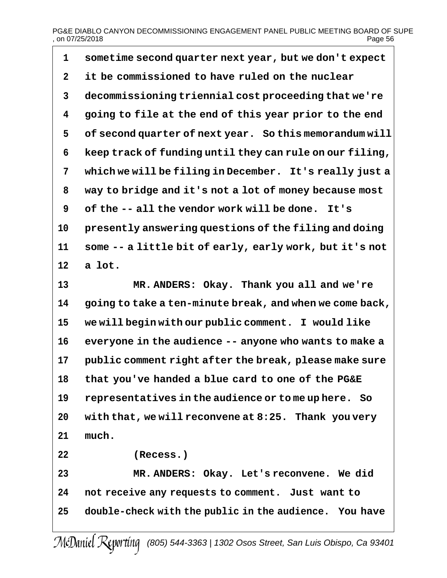# PG&E DIABLO CANYON DECOMMISSIONING ENGAGEMENT PANEL PUBLIC MEETING BOARD OF SUPE<br>page 56<br>Page 56 , on 07/25/2018

| 1            | sometime second quarter next year, but we don't expect   |
|--------------|----------------------------------------------------------|
| $\mathbf{2}$ | it be commissioned to have ruled on the nuclear          |
| 3            | decommissioning triennial cost proceeding that we're     |
| 4            | going to file at the end of this year prior to the end   |
| 5            | of second quarter of next year. So this memorandum will  |
| 6            | keep track of funding until they can rule on our filing, |
| 7            | which we will be filing in December. It's really just a  |
| 8            | way to bridge and it's not a lot of money because most   |
| 9            | of the -- all the vendor work will be done.<br>It's      |
| 10           | presently answering questions of the filing and doing    |
| 11           | some -- a little bit of early, early work, but it's not  |
| 12           | a lot.                                                   |
| 13           | MR. ANDERS: Okay. Thank you all and we're                |
| 14           | going to take a ten-minute break, and when we come back, |
| 15           | we will begin with our public comment. I would like      |
| 16           | everyone in the audience -- anyone who wants to make a   |
| 17           | public comment right after the break, please make sure   |
| 18           | that you've handed a blue card to one of the PG&E        |
| 19           | representatives in the audience or to me up here. So     |
| 20           | with that, we will reconvene at 8:25. Thank you very     |
| 21           | much.                                                    |
| 22           | (Recess.)                                                |
| 23           | MR. ANDERS: Okay. Let's reconvene. We did                |
| 24           | not receive any requests to comment. Just want to        |
| 25           | double-check with the public in the audience. You have   |
|              |                                                          |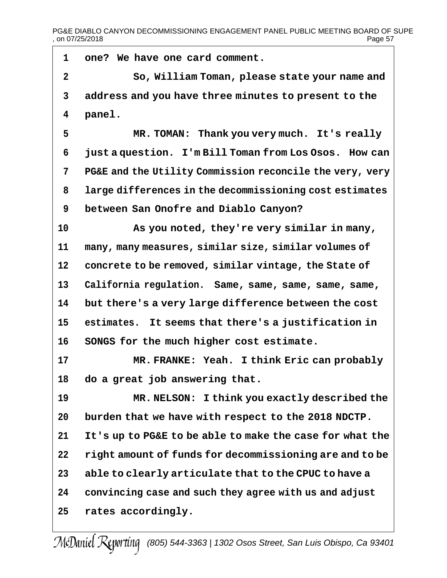PG&E DIABLO CANYON DECOMMISSIONING ENGAGEMENT PANEL PUBLIC MEETING BOARD OF SUPE<br>page 57 , on 07/25/2018

| 1            | one? We have one card comment.                           |
|--------------|----------------------------------------------------------|
| $\mathbf{2}$ | So, William Toman, please state your name and            |
| 3            | address and you have three minutes to present to the     |
| 4            | panel.                                                   |
| 5            | MR. TOMAN: Thank you very much. It's really              |
| 6            | just a question. I'm Bill Toman from Los Osos. How can   |
| 7            | PG&E and the Utility Commission reconcile the very, very |
| 8            | large differences in the decommissioning cost estimates  |
| 9            | between San Onofre and Diablo Canyon?                    |
| 10           | As you noted, they're very similar in many,              |
| 11           | many, many measures, similar size, similar volumes of    |
| 12           | concrete to be removed, similar vintage, the State of    |
| 13           | California regulation. Same, same, same, same, same,     |
| 14           | but there's a very large difference between the cost     |
| 15           | estimates. It seems that there's a justification in      |
| 16           | SONGS for the much higher cost estimate.                 |
| 17           | MR. FRANKE: Yeah. I think Eric can probably              |
| 18           | do a great job answering that.                           |
| 19           | MR. NELSON: I think you exactly described the            |
| 20           | burden that we have with respect to the 2018 NDCTP.      |
| 21           | It's up to PG&E to be able to make the case for what the |
| 22           | right amount of funds for decommissioning are and to be  |
| 23           | able to clearly articulate that to the CPUC to have a    |
| 24           | convincing case and such they agree with us and adjust   |
| 25           | rates accordingly.                                       |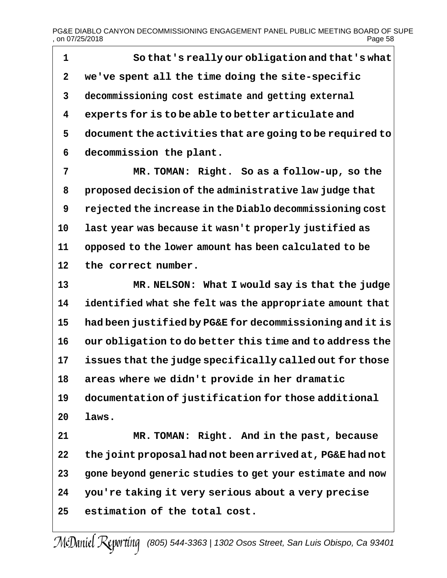PG&E DIABLO CANYON DECOMMISSIONING ENGAGEMENT PANEL PUBLIC MEETING BOARD OF SUPE<br>on 07/25/2018 Page 58  $,$  on 07/25/2018

 **So that's really our obligation and that's what we've spent all the time doing the site-specific decommissioning cost estimate and getting external experts for is to be able to better articulate and document the activities that are going to be required to decommission the plant.**

 **MR. TOMAN: Right. So as a follow-up, so the proposed decision of the administrative law judge that rejected the increase in the Diablo decommissioning cost last year was because it wasn't properly justified as opposed to the lower amount has been calculated to be the correct number.**

 **MR. NELSON: What I would say is that the judge identified what she felt was the appropriate amount that had been justified by PG&E for decommissioning and it is our obligation to do better this time and to address the issues that the judge specifically called out for those areas where we didn't provide in her dramatic documentation of justification for those additional laws.**

 **MR. TOMAN: Right. And in the past, because the joint proposal had not been arrived at, PG&E had not gone beyond generic studies to get your estimate and now you're taking it very serious about a very precise estimation of the total cost.**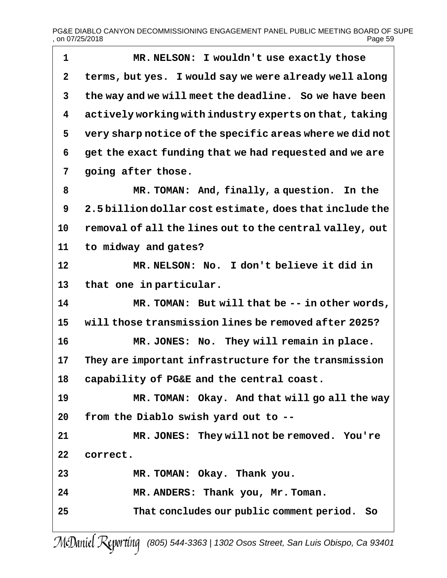| 1            | MR. NELSON: I wouldn't use exactly those                 |
|--------------|----------------------------------------------------------|
| $\mathbf 2$  | terms, but yes. I would say we were already well along   |
| $\mathbf{3}$ | the way and we will meet the deadline. So we have been   |
| 4            | actively working with industry experts on that, taking   |
| 5            | very sharp notice of the specific areas where we did not |
| 6            | get the exact funding that we had requested and we are   |
| 7            | going after those.                                       |
| 8            | MR. TOMAN: And, finally, a question.<br>In the           |
| 9            | 2.5 billion dollar cost estimate, does that include the  |
| 10           | removal of all the lines out to the central valley, out  |
| 11           | to midway and gates?                                     |
| 12           | MR. NELSON: No. I don't believe it did in                |
| 13           | that one in particular.                                  |
| 14           | MR. TOMAN: But will that be -- in other words,           |
| 15           | will those transmission lines be removed after 2025?     |
| 16           | MR. JONES: No. They will remain in place.                |
| 17           | They are important infrastructure for the transmission   |
| 18           | capability of PG&E and the central coast.                |
| 19           | MR. TOMAN: Okay. And that will go all the way            |
| 20           | from the Diablo swish yard out to --                     |
| 21           | MR. JONES: They will not be removed. You're              |
| 22           | correct.                                                 |
| 23           | MR. TOMAN: Okay. Thank you.                              |
| 24           | MR. ANDERS: Thank you, Mr. Toman.                        |
| 25           | That concludes our public comment period. So             |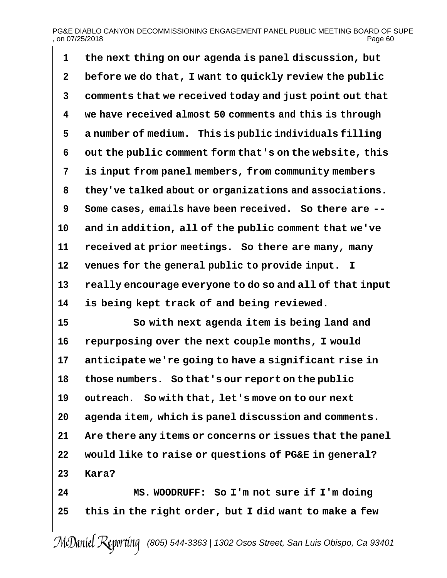# PG&E DIABLO CANYON DECOMMISSIONING ENGAGEMENT PANEL PUBLIC MEETING BOARD OF SUPE<br>on 07/25/2018 Page 60  $,$  on 07/25/2018

 **the next thing on our agenda is panel discussion, but before we do that, I want to quickly review the public comments that we received today and just point out that we have received almost 50 comments and this is through a number of medium. This is public individuals filling out the public comment form that's on the website, this is input from panel members, from community members they've talked about or organizations and associations. Some cases, emails have been received. So there are -- and in addition, all of the public comment that we've received at prior meetings. So there are many, many venues for the general public to provide input. I really encourage everyone to do so and all of that input is being kept track of and being reviewed. So with next agenda item is being land and repurposing over the next couple months, I would anticipate we're going to have a significant rise in those numbers. So that's our report on the public outreach. So with that, let's move on to our next agenda item, which is panel discussion and comments. Are there any items or concerns or issues that the panel would like to raise or questions of PG&E in general? Kara? MS. WOODRUFF: So I'm not sure if I'm doing this in the right order, but I did want to make a few**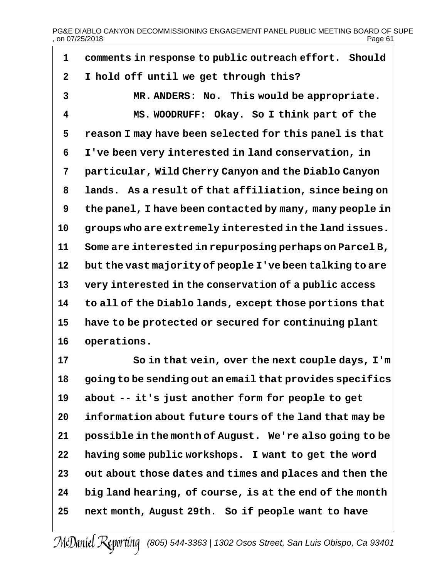# PG&E DIABLO CANYON DECOMMISSIONING ENGAGEMENT PANEL PUBLIC MEETING BOARD OF SUPE<br>on 07/25/2018  $,$  on 07/25/2018

| 1                       | comments in response to public outreach effort. Should   |
|-------------------------|----------------------------------------------------------|
| $\mathbf{2}$            | I hold off until we get through this?                    |
| 3                       | MR. ANDERS: No. This would be appropriate.               |
| $\overline{\mathbf{4}}$ | MS. WOODRUFF: Okay. So I think part of the               |
| 5                       | reason I may have been selected for this panel is that   |
| 6                       | I've been very interested in land conservation, in       |
| 7                       | particular, Wild Cherry Canyon and the Diablo Canyon     |
| 8                       | lands. As a result of that affiliation, since being on   |
| 9                       | the panel, I have been contacted by many, many people in |
| 10                      | groups who are extremely interested in the land issues.  |
| 11                      | Some are interested in repurposing perhaps on Parcel B,  |
| 12                      | but the vast majority of people I've been talking to are |
| 13                      | very interested in the conservation of a public access   |
| 14                      | to all of the Diablo lands, except those portions that   |
| 15                      | have to be protected or secured for continuing plant     |
| 16                      | operations.                                              |
| 17                      | So in that vein, over the next couple days, I'm          |

 **So in that vein, over the next couple days, I'm going to be sending out an email that provides specifics about -- it's just another form for people to get information about future tours of the land that may be possible in the month of August. We're also going to be having some public workshops. I want to get the word out about those dates and times and places and then the big land hearing, of course, is at the end of the month next month, August 29th. So if people want to have**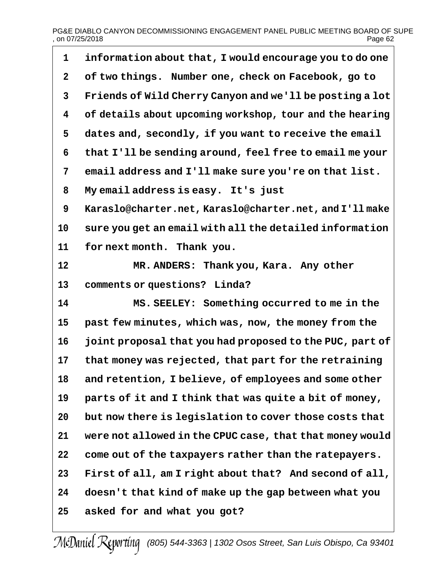# PG&E DIABLO CANYON DECOMMISSIONING ENGAGEMENT PANEL PUBLIC MEETING BOARD OF SUPE<br>Page 62 , on 07/25/2018

| 1            | information about that, I would encourage you to do one  |
|--------------|----------------------------------------------------------|
| $\mathbf{2}$ | of two things. Number one, check on Facebook, go to      |
| 3            | Friends of Wild Cherry Canyon and we'll be posting a lot |
| 4            | of details about upcoming workshop, tour and the hearing |
| 5            | dates and, secondly, if you want to receive the email    |
| 6            | that I'll be sending around, feel free to email me your  |
| 7            | email address and I'll make sure you're on that list.    |
| 8            | My email address is easy. It's just                      |
| 9            | Karaslo@charter.net, Karaslo@charter.net, and I'll make  |
| 10           | sure you get an email with all the detailed information  |
| 11           | for next month. Thank you.                               |
| 12           | MR. ANDERS: Thank you, Kara. Any other                   |
| 13           | comments or questions? Linda?                            |
| 14           | MS. SEELEY: Something occurred to me in the              |
| 15           | past few minutes, which was, now, the money from the     |
| 16           | joint proposal that you had proposed to the PUC, part of |
| 17           | that money was rejected, that part for the retraining    |
| 18           | and retention, I believe, of employees and some other    |
| 19           | parts of it and I think that was quite a bit of money,   |
| 20           | but now there is legislation to cover those costs that   |
| 21           | were not allowed in the CPUC case, that that money would |
| 22           | come out of the taxpayers rather than the ratepayers.    |
| 23           | First of all, am I right about that? And second of all,  |
| 24           | doesn't that kind of make up the gap between what you    |
| 25           | asked for and what you got?                              |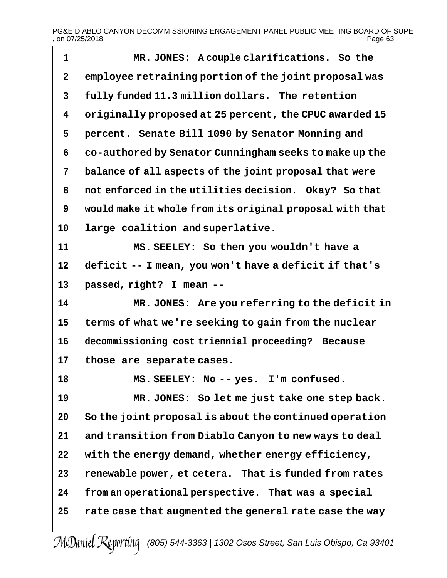┑

| $\mathbf 1$ | MR. JONES: A couple clarifications. So the               |
|-------------|----------------------------------------------------------|
| $\mathbf 2$ | employee retraining portion of the joint proposal was    |
| 3           | fully funded 11.3 million dollars. The retention         |
| 4           | originally proposed at 25 percent, the CPUC awarded 15   |
| 5           | percent. Senate Bill 1090 by Senator Monning and         |
| 6           | co-authored by Senator Cunningham seeks to make up the   |
| 7           | balance of all aspects of the joint proposal that were   |
| 8           | not enforced in the utilities decision. Okay? So that    |
| 9           | would make it whole from its original proposal with that |
| 10          | large coalition and superlative.                         |
| 11          | MS. SEELEY: So then you wouldn't have a                  |
| 12          | deficit -- I mean, you won't have a deficit if that's    |
| 13          | passed, right? I mean --                                 |
| 14          | MR. JONES: Are you referring to the deficit in           |
| 15          | terms of what we're seeking to gain from the nuclear     |
| 16          | decommissioning cost triennial proceeding?<br>Because    |
| 17          | those are separate cases.                                |
| 18          | MS. SEELEY: No -- yes. I'm confused.                     |
| 19          | MR. JONES: So let me just take one step back.            |
| 20          | So the joint proposal is about the continued operation   |
| 21          | and transition from Diablo Canyon to new ways to deal    |
| 22          | with the energy demand, whether energy efficiency,       |
| 23          | renewable power, et cetera. That is funded from rates    |
| 24          | from an operational perspective. That was a special      |
| 25          | rate case that augmented the general rate case the way   |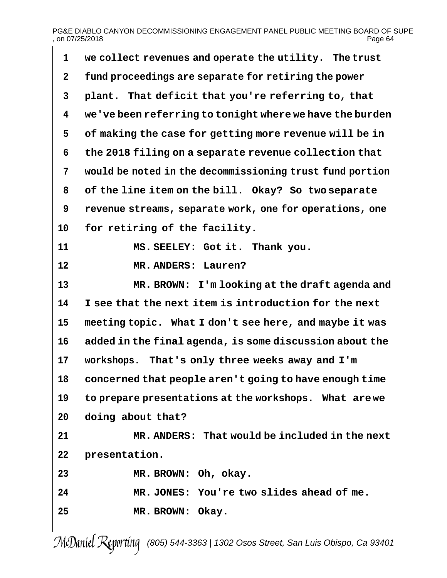### PG&E DIABLO CANYON DECOMMISSIONING ENGAGEMENT PANEL PUBLIC MEETING BOARD OF SUPE<br>Page 64 , on 07/25/2018

 $\overline{\phantom{0}}$ 

| $\mathbf{1}$   | we collect revenues and operate the utility. The trust   |
|----------------|----------------------------------------------------------|
| $\mathbf{2}$   | fund proceedings are separate for retiring the power     |
| $\mathbf{3}$   | plant. That deficit that you're referring to, that       |
| 4              | we've been referring to tonight where we have the burden |
| 5              | of making the case for getting more revenue will be in   |
| 6              | the 2018 filing on a separate revenue collection that    |
| $7\phantom{.}$ | would be noted in the decommissioning trust fund portion |
| 8              | of the line item on the bill. Okay? So two separate      |
| 9              | revenue streams, separate work, one for operations, one  |
| 10             | for retiring of the facility.                            |
| 11             | MS. SEELEY: Got it. Thank you.                           |
| 12             | MR. ANDERS: Lauren?                                      |
| 13             | MR. BROWN: I'm looking at the draft agenda and           |
| 14             | I see that the next item is introduction for the next    |
| 15             | meeting topic. What I don't see here, and maybe it was   |
| 16             | added in the final agenda, is some discussion about the  |
| 17             | workshops. That's only three weeks away and I'm          |
| 18             | concerned that people aren't going to have enough time   |
| 19             | to prepare presentations at the workshops. What are we   |
| 20             | doing about that?                                        |
| 21             | MR. ANDERS: That would be included in the next           |
| 22             | presentation.                                            |
| 23             | MR. BROWN: Oh, okay.                                     |
| 24             | MR. JONES: You're two slides ahead of me.                |
| 25             | MR. BROWN: Okay.                                         |
|                |                                                          |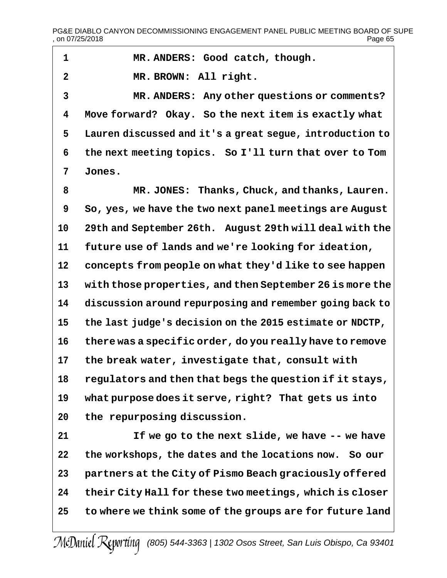$\overline{\phantom{a}}$ 

| 1              | MR. ANDERS: Good catch, though.                          |
|----------------|----------------------------------------------------------|
| $\overline{2}$ | MR. BROWN: All right.                                    |
| $\overline{3}$ | MR. ANDERS: Any other questions or comments?             |
| 4              | Move forward? Okay. So the next item is exactly what     |
| 5              | Lauren discussed and it's a great segue, introduction to |
| 6              | the next meeting topics. So I'll turn that over to Tom   |
| 7              | Jones.                                                   |
| 8              | MR. JONES: Thanks, Chuck, and thanks, Lauren.            |
| 9              | So, yes, we have the two next panel meetings are August  |
| 10             | 29th and September 26th. August 29th will deal with the  |
| 11             | future use of lands and we're looking for ideation,      |
| 12             | concepts from people on what they'd like to see happen   |
| 13             | with those properties, and then September 26 is more the |
| 14             | discussion around repurposing and remember going back to |
| 15             | the last judge's decision on the 2015 estimate or NDCTP, |
| 16             | there was a specific order, do you really have to remove |
| 17             | the break water, investigate that, consult with          |
| 18             | regulators and then that begs the question if it stays,  |
| 19             | what purpose does it serve, right? That gets us into     |
| 20             | the repurposing discussion.                              |
| 21             | If we go to the next slide, we have -- we have           |
| 22             | the workshops, the dates and the locations now. So our   |
| 23             | partners at the City of Pismo Beach graciously offered   |
| 24             | their City Hall for these two meetings, which is closer  |
| 25             | to where we think some of the groups are for future land |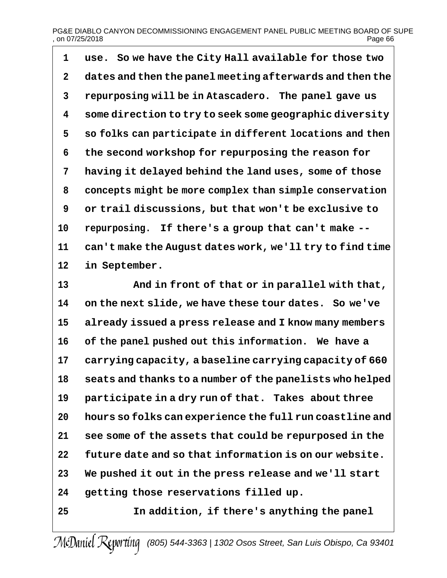# PG&E DIABLO CANYON DECOMMISSIONING ENGAGEMENT PANEL PUBLIC MEETING BOARD OF SUPE<br>on 07/25/2018 Page 66  $,$  on 07/25/2018

 **use. So we have the City Hall available for those two dates and then the panel meeting afterwards and then the repurposing will be in Atascadero. The panel gave us some direction to try to seek some geographic diversity so folks can participate in different locations and then the second workshop for repurposing the reason for having it delayed behind the land uses, some of those concepts might be more complex than simple conservation or trail discussions, but that won't be exclusive to repurposing. If there's a group that can't make -- can't make the August dates work, we'll try to find time in September.**

 **And in front of that or in parallel with that, on the next slide, we have these tour dates. So we've already issued a press release and I know many members of the panel pushed out this information. We have a carrying capacity, a baseline carrying capacity of 660 seats and thanks to a number of the panelists who helped participate in a dry run of that. Takes about three hours so folks can experience the full run coastline and see some of the assets that could be repurposed in the future date and so that information is on our website. We pushed it out in the press release and we'll start getting those reservations filled up. In addition, if there's anything the panel**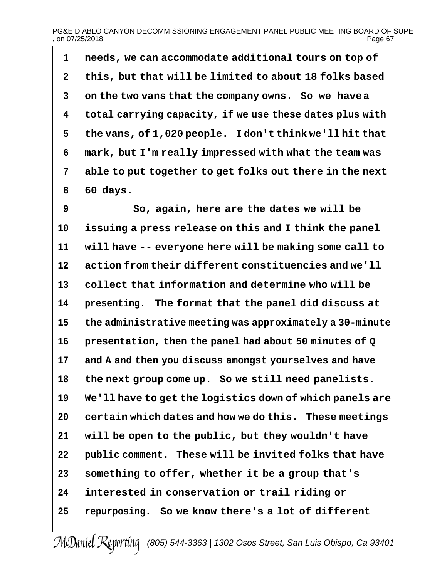### PG&E DIABLO CANYON DECOMMISSIONING ENGAGEMENT PANEL PUBLIC MEETING BOARD OF SUPE<br>on 07/25/2018 Page 67  $,$  on 07/25/2018

 **needs, we can accommodate additional tours on top of this, but that will be limited to about 18 folks based on the two vans that the company owns. So we havea total carrying capacity, if we use these dates plus with the vans, of 1,020 people. I don't think we'll hit that mark, but I'm really impressed with what the team was able to put together to get folks out there in the next 60 days.**

 **So, again, here are the dates we will be issuing a press release on this and I think the panel will have -- everyone here will be making some call to action from their different constituencies and we'll collect that information and determine who will be presenting. The format that the panel did discuss at the administrative meeting was approximately a 30-minute presentation, then the panel had about 50 minutes of Q and A and then you discuss amongst yourselves and have the next group come up. So we still need panelists. We'll have to get the logistics down of which panels are certain which dates and how we do this. These meetings will be open to the public, but they wouldn't have public comment. These will be invited folks that have something to offer, whether it be a group that's interested in conservation or trail riding or repurposing. So we know there's a lot of different**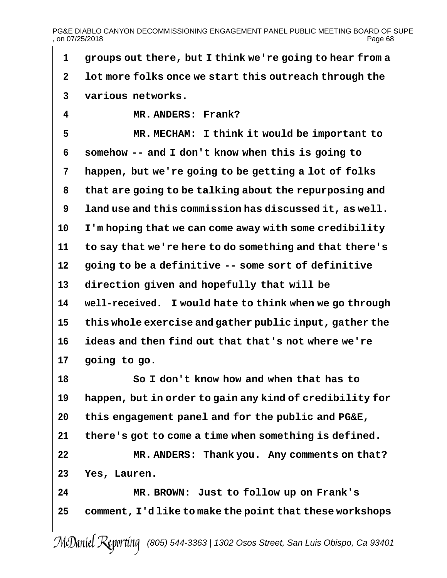| 1            | groups out there, but I think we're going to hear from a |
|--------------|----------------------------------------------------------|
| $\mathbf{2}$ | lot more folks once we start this outreach through the   |
| 3            | various networks.                                        |
| 4            | MR. ANDERS: Frank?                                       |
| 5            | MR. MECHAM: I think it would be important to             |
| 6            | somehow -- and I don't know when this is going to        |
| 7            | happen, but we're going to be getting a lot of folks     |
| 8            | that are going to be talking about the repurposing and   |
| 9            | land use and this commission has discussed it, as well.  |
| 10           | I'm hoping that we can come away with some credibility   |
| 11           | to say that we're here to do something and that there's  |
| 12           | going to be a definitive -- some sort of definitive      |
| 13           | direction given and hopefully that will be               |
| 14           | well-received. I would hate to think when we go through  |
| 15           | this whole exercise and gather public input, gather the  |
| 16           | ideas and then find out that that's not where we're      |
| 17           | going to go.                                             |
| 18           | So I don't know how and when that has to                 |
| 19           | happen, but in order to gain any kind of credibility for |
| 20           | this engagement panel and for the public and PG&E,       |
| 21           | there's got to come a time when something is defined.    |
| 22           | MR. ANDERS: Thank you. Any comments on that?             |
| 23           | Yes, Lauren.                                             |
| 24           | MR. BROWN: Just to follow up on Frank's                  |
| 25           | comment, I'dlike to make the point that these workshops  |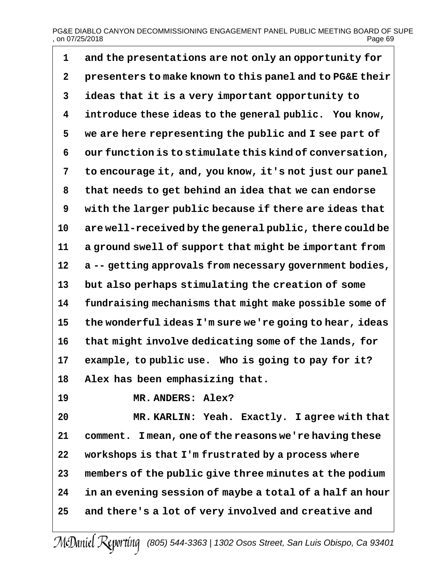# PG&E DIABLO CANYON DECOMMISSIONING ENGAGEMENT PANEL PUBLIC MEETING BOARD OF SUPE , on 07/25/2018 Page 69

 **and the presentations are not only an opportunity for presenters to make known to this panel and to PG&E their ideas that it is a very important opportunity to introduce these ideas to the general public. You know, we are here representing the public and I see part of our function is to stimulate this kind of conversation, to encourage it, and, you know, it's not just our panel that needs to get behind an idea that we can endorse with the larger public because if there are ideas that are well-received by the general public, there could be a ground swell of support that might be important from a -- getting approvals from necessary government bodies, but also perhaps stimulating the creation of some fundraising mechanisms that might make possible some of the wonderful ideas I'm sure we're going to hear, ideas that might involve dedicating some of the lands, for example, to public use. Who is going to pay for it? Alex has been emphasizing that. MR. ANDERS: Alex?**

 **MR. KARLIN: Yeah. Exactly. I agree with that comment. I mean, one of the reasons we're having these workshops is that I'm frustrated by a process where members of the public give three minutes at the podium in an evening session of maybe a total of a half an hour and there's a lot of very involved and creative and**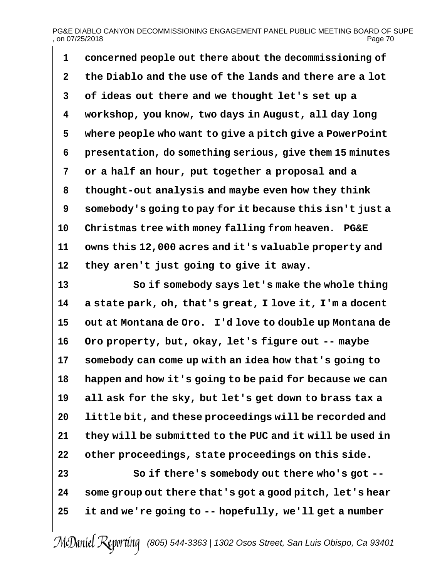# PG&E DIABLO CANYON DECOMMISSIONING ENGAGEMENT PANEL PUBLIC MEETING BOARD OF SUPE<br>on 07/25/2018  $,$  on 07/25/2018

 **concerned people out there about the decommissioning of the Diablo and the use of the lands and there are a lot of ideas out there and we thought let's set up a workshop, you know, two days in August, all day long where people who want to give a pitch give a PowerPoint presentation, do something serious, give them 15 minutes or a half an hour, put together a proposal and a thought-out analysis and maybe even how they think somebody's going to pay for it because this isn't just a Christmas tree with money falling from heaven. PG&E owns this 12,000 acres and it's valuable property and they aren't just going to give it away.**

 **So if somebody says let's make the whole thing a state park, oh, that's great, I love it, I'm a docent out at Montana de Oro. I'd love to double up Montana de Oro property, but, okay, let's figure out -- maybe somebody can come up with an idea how that's going to happen and how it's going to be paid for because we can all ask for the sky, but let's get down to brass tax a little bit, and these proceedings will be recorded and they will be submitted to the PUC and it will be used in other proceedings, state proceedings on this side. So if there's somebody out there who's got --**

 **some group out there that's got a good pitch, let's hear it and we're going to -- hopefully, we'll get a number**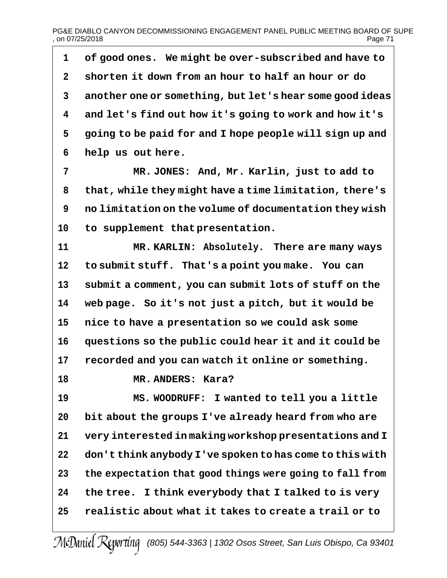# PG&E DIABLO CANYON DECOMMISSIONING ENGAGEMENT PANEL PUBLIC MEETING BOARD OF SUPE<br>on 07/25/2018 Page 71  $.$  on 07/25/2018

 **of good ones. We might be over-subscribed and have to shorten it down from an hour to half an hour or do another one or something, but let's hear some good ideas and let's find out how it's going to work and how it's going to be paid for and I hope people will sign up and help us out here.**

 **MR. JONES: And, Mr. Karlin, just to add to that, while they might have a time limitation, there's no limitation on the volume of documentation they wish to supplement that presentation.**

 **MR. KARLIN: Absolutely. There are many ways to submit stuff. That's a point you make. You can submit a comment, you can submit lots of stuff on the web page. So it's not just a pitch, but it would be nice to have a presentation so we could ask some questions so the public could hear it and it could be recorded and you can watch it online or something.**

**MR. ANDERS: Kara?**

 **MS. WOODRUFF: I wanted to tell you a little bit about the groups I've already heard from who are very interested in making workshop presentations and I don't think anybody I've spoken to has come to this with the expectation that good things were going to fall from the tree. I think everybody that I talked to is very realistic about what it takes to create a trail or to**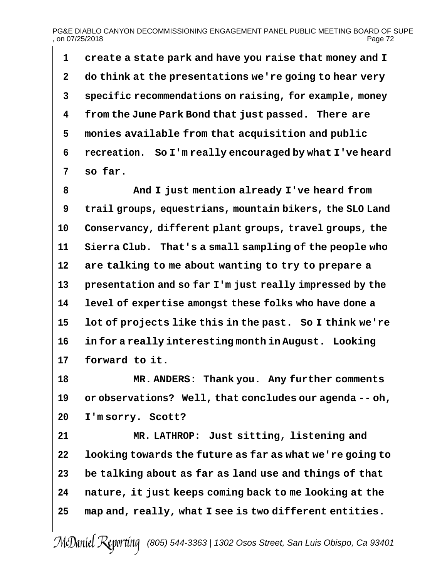**create a state park and have you raise that money and I do think at the presentations we're going to hear very specific recommendations on raising, for example, money from the June Park Bond that just passed. There are monies available from that acquisition and public recreation. So I'm really encouraged by what I've heard so far.**

 **And I just mention already I've heard from trail groups, equestrians, mountain bikers, the SLO Land Conservancy, different plant groups, travel groups, the Sierra Club. That's a small sampling of the people who are talking to me about wanting to try to prepare a presentation and so far I'm just really impressed by the level of expertise amongst these folks who have done a lot of projects like this in the past. So I think we're in for a really interesting month in August. Looking forward to it.**

 **MR. ANDERS: Thank you. Any further comments or observations? Well, that concludes our agenda -- oh, I'm sorry. Scott?**

 **MR. LATHROP: Just sitting, listening and looking towards the future as far as what we're going to be talking about as far as land use and things of that nature, it just keeps coming back to me looking at the map and, really, what I see is two different entities.**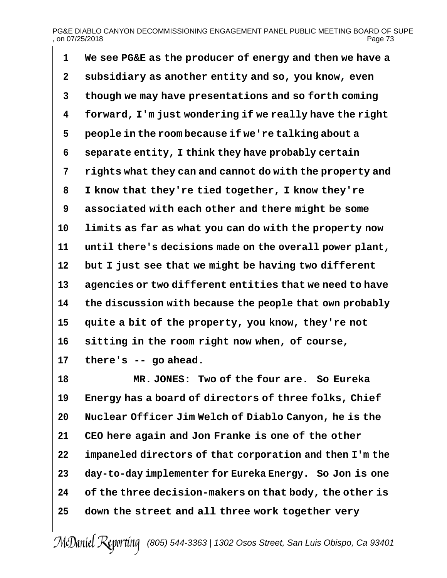# PG&E DIABLO CANYON DECOMMISSIONING ENGAGEMENT PANEL PUBLIC MEETING BOARD OF SUPE<br>on 07/25/2018 Page 73  $.$  on 07/25/2018

 **We see PG&E as the producer of energy and then we have a subsidiary as another entity and so, you know, even though we may have presentations and so forth coming forward, I'm just wondering if we really have the right people in the room because if we're talking about a separate entity, I think they have probably certain rights what they can and cannot do with the property and I know that they're tied together, I know they're associated with each other and there might be some limits as far as what you can do with the property now until there's decisions made on the overall power plant, but I just see that we might be having two different agencies or two different entities that we need to have the discussion with because the people that own probably quite a bit of the property, you know, they're not sitting in the room right now when, of course, there's -- go ahead.**

 **MR. JONES: Two of the four are. So Eureka Energy has a board of directors of three folks, Chief Nuclear Officer Jim Welch of Diablo Canyon, he is the CEO here again and Jon Franke is one of the other impaneled directors of that corporation and then I'm the day-to-day implementer for Eureka Energy. So Jon is one of the three decision-makers on that body, the other is down the street and all three work together very**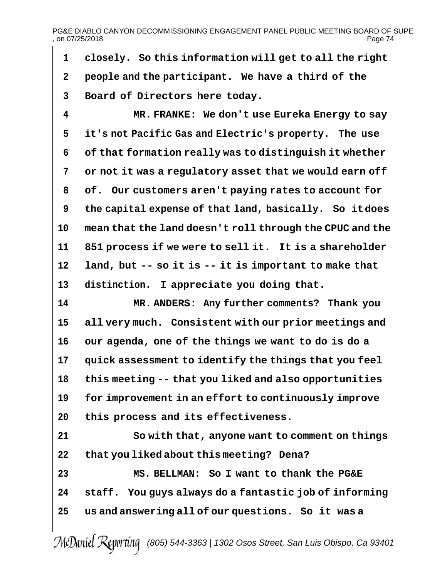PG&E DIABLO CANYON DECOMMISSIONING ENGAGEMENT PANEL PUBLIC MEETING BOARD OF SUPE<br>on 07/25/2018  $,$  on 07/25/2018

 **closely. So this information will get to all the right people and the participant. We have a third of the Board of Directors here today.**

 **MR. FRANKE: We don't use Eureka Energy to say it's not Pacific Gas and Electric's property. The use of that formation really was to distinguish it whether or not it was a regulatory asset that we would earn off of. Our customers aren't paying rates to account for the capital expense of that land, basically. So itdoes mean that the land doesn't roll through the CPUC and the 851 process if we were to sell it. It is a shareholder land, but -- so it is -- it is important to make that distinction. I appreciate you doing that.**

 **MR. ANDERS: Any further comments? Thank you all very much. Consistent with our prior meetings and our agenda, one of the things we want to do is do a quick assessment to identify the things that you feel this meeting -- that you liked and also opportunities for improvement in an effort to continuously improve this process and its effectiveness.**

 **So with that, anyone want to comment on things that you liked about this meeting? Dena? MS. BELLMAN: So I want to thank the PG&E staff. You guys always do a fantastic job of informing us and answering all of our questions. So it was a**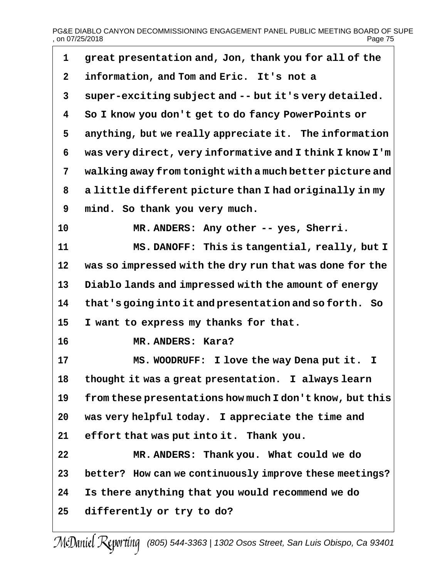# PG&E DIABLO CANYON DECOMMISSIONING ENGAGEMENT PANEL PUBLIC MEETING BOARD OF SUPE<br>page 75 , on 07/25/2018

| 1            | great presentation and, Jon, thank you for all of the    |
|--------------|----------------------------------------------------------|
| $\mathbf{2}$ | information, and Tom and Eric. It's not a                |
| 3            | super-exciting subject and -- but it's very detailed.    |
| 4            | So I know you don't get to do fancy PowerPoints or       |
| 5            | anything, but we really appreciate it. The information   |
| 6            | was very direct, very informative and I think I know I'm |
| 7            | walking away from tonight with a much better picture and |
| 8            | a little different picture than I had originally in my   |
| 9            | mind. So thank you very much.                            |
| 10           | MR. ANDERS: Any other -- yes, Sherri.                    |
| 11           | MS. DANOFF: This is tangential, really, but I            |
| 12           | was so impressed with the dry run that was done for the  |
| 13           | Diablo lands and impressed with the amount of energy     |
| 14           | that's going into it and presentation and so forth. So   |
| 15           | I want to express my thanks for that.                    |
| 16           | MR. ANDERS: Kara?                                        |
| 17           | MS. WOODRUFF: I love the way Dena put it. I              |
| 18           | thought it was a great presentation. I always learn      |
| 19           | from these presentations how much I don't know, but this |
| 20           | was very helpful today. I appreciate the time and        |
| 21           | effort that was put into it. Thank you.                  |
| 22           | MR. ANDERS: Thank you. What could we do                  |
| 23           | better? How can we continuously improve these meetings?  |
| 24           | Is there anything that you would recommend we do         |
| 25           | differently or try to do?                                |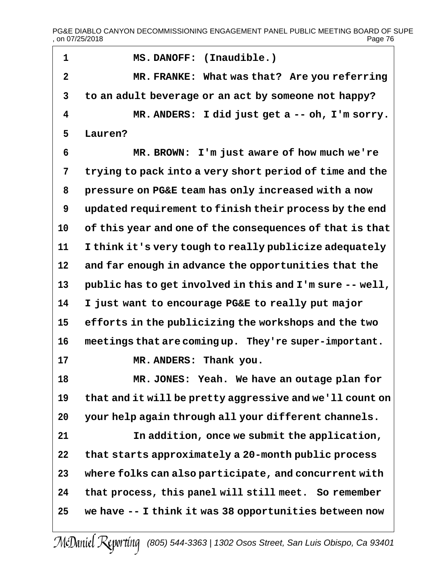PG&E DIABLO CANYON DECOMMISSIONING ENGAGEMENT PANEL PUBLIC MEETING BOARD OF SUPE<br>page 76 , on 07/25/2018

| $\mathbf{1}$   | MS. DANOFF: (Inaudible.)                                 |  |  |
|----------------|----------------------------------------------------------|--|--|
| $\overline{2}$ | MR. FRANKE: What was that? Are you referring             |  |  |
| 3              | to an adult beverage or an act by someone not happy?     |  |  |
| 4              | MR. ANDERS: I did just get a -- oh, I'm sorry.           |  |  |
| 5              | Lauren?                                                  |  |  |
| 6              | MR. BROWN: I'm just aware of how much we're              |  |  |
| 7              | trying to pack into a very short period of time and the  |  |  |
| 8              | pressure on PG&E team has only increased with a now      |  |  |
| 9              | updated requirement to finish their process by the end   |  |  |
| 10             | of this year and one of the consequences of that is that |  |  |
| 11             | I think it's very tough to really publicize adequately   |  |  |
| 12             | and far enough in advance the opportunities that the     |  |  |
| 13             | public has to get involved in this and I'm sure -- well, |  |  |
| 14             | I just want to encourage PG&E to really put major        |  |  |
| 15             | efforts in the publicizing the workshops and the two     |  |  |
| 16             | meetings that are coming up. They're super-important.    |  |  |
| 17             | MR. ANDERS: Thank you.                                   |  |  |
| 18             | MR. JONES: Yeah. We have an outage plan for              |  |  |
| 19             | that and it will be pretty aggressive and we'll count on |  |  |
| 20             | your help again through all your different channels.     |  |  |
| 21             | In addition, once we submit the application,             |  |  |
| 22             | that starts approximately a 20-month public process      |  |  |
| 23             | where folks can also participate, and concurrent with    |  |  |
| 24             | that process, this panel will still meet. So remember    |  |  |
| 25             | we have -- I think it was 38 opportunities between now   |  |  |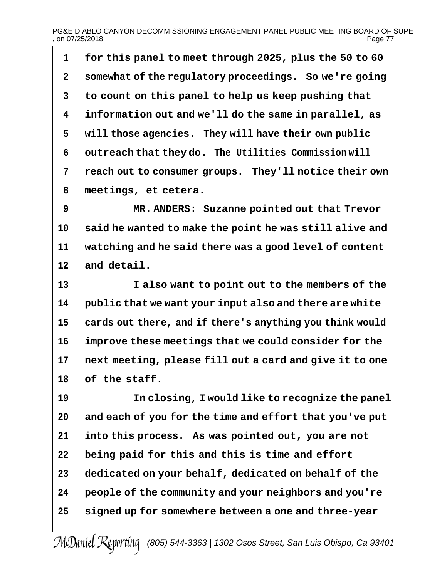# PG&E DIABLO CANYON DECOMMISSIONING ENGAGEMENT PANEL PUBLIC MEETING BOARD OF SUPE<br>on 07/25/2018 Page 77  $,$  on 07/25/2018

 **for this panel to meet through 2025, plus the 50 to 60 somewhat of the regulatory proceedings. So we're going to count on this panel to help us keep pushing that information out and we'll do the same in parallel, as will those agencies. They will have their own public outreach that they do. The Utilities Commission will reach out to consumer groups. They'll notice their own meetings, et cetera.**

 **MR. ANDERS: Suzanne pointed out that Trevor said he wanted to make the point he was still alive and watching and he said there was a good level of content and detail.**

 **I also want to point out to the members of the public that we want your input also and there are white cards out there, and if there's anything you think would improve these meetings that we could consider for the next meeting, please fill out a card and give it to one of the staff.**

 **In closing, I would like to recognize the panel and each of you for the time and effort that you've put into this process. As was pointed out, you are not being paid for this and this is time and effort dedicated on your behalf, dedicated on behalf of the people of the community and your neighbors and you're signed up for somewhere between a one and three-year**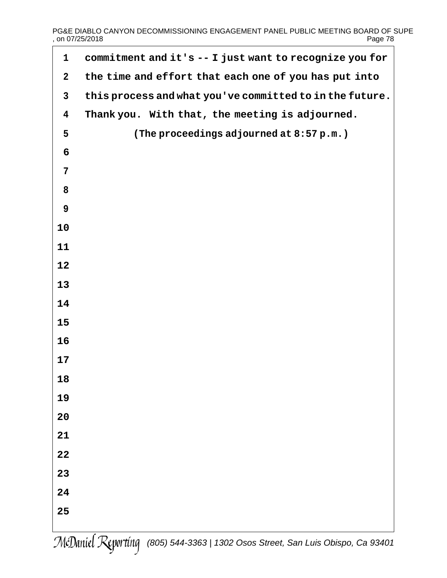# PG&E DIABLO CANYON DECOMMISSIONING ENGAGEMENT PANEL PUBLIC MEETING BOARD OF SUPE<br>Page 78 , on 07/25/2018

| $\mathbf{1}$ | commitment and it's -- I just want to recognize you for  |
|--------------|----------------------------------------------------------|
| $\mathbf{2}$ | the time and effort that each one of you has put into    |
| $\mathbf{3}$ | this process and what you've committed to in the future. |
| 4            | Thank you. With that, the meeting is adjourned.          |
| 5            | (The proceedings adjourned at 8:57 p.m.)                 |
| 6            |                                                          |
| 7            |                                                          |
| 8            |                                                          |
| 9            |                                                          |
| 10           |                                                          |
| 11           |                                                          |
| 12           |                                                          |
| 13           |                                                          |
| 14           |                                                          |
| 15           |                                                          |
| 16           |                                                          |
| 17           |                                                          |
| 18           |                                                          |
| 19           |                                                          |
| 20           |                                                          |
| 21           |                                                          |
| 22           |                                                          |
| 23           |                                                          |
| 24           |                                                          |
| 25           |                                                          |
|              |                                                          |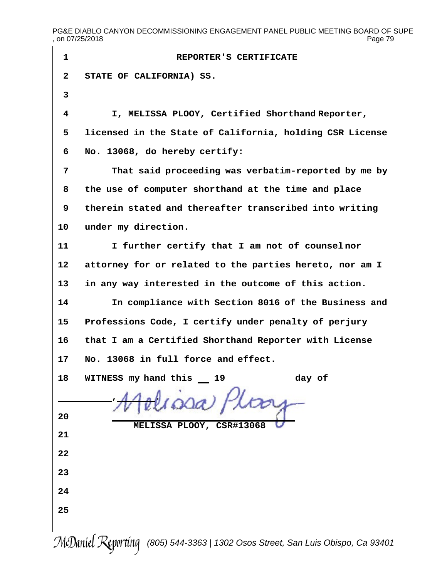PG&E DIABLO CANYON DECOMMISSIONING ENGAGEMENT PANEL PUBLIC MEETING BOARD OF SUPE<br>page 79 , on 07/25/2018

| 1            | REPORTER'S CERTIFICATE                                   |
|--------------|----------------------------------------------------------|
| $\mathbf{2}$ | STATE OF CALIFORNIA) SS.                                 |
| 3            |                                                          |
| 4            | I, MELISSA PLOOY, Certified Shorthand Reporter,          |
| 5            | licensed in the State of California, holding CSR License |
| 6            | No. 13068, do hereby certify:                            |
| 7            | That said proceeding was verbatim-reported by me by      |
| 8            | the use of computer shorthand at the time and place      |
| 9            | therein stated and thereafter transcribed into writing   |
| 10           | under my direction.                                      |
| 11           | I further certify that I am not of counselnor            |
| 12           | attorney for or related to the parties hereto, nor am I  |
| 13           | in any way interested in the outcome of this action.     |
| 14           | In compliance with Section 8016 of the Business and      |
| 15           | Professions Code, I certify under penalty of perjury     |
| 16           | that I am a Certified Shorthand Reporter with License    |
| 17           | No. 13068 in full force and effect.                      |
| 18           | day of<br>WITNESS my hand this __<br>19                  |
|              |                                                          |
| 20           | MELISSA PLOOY, CSR#13068                                 |
| 21           |                                                          |
| 22           |                                                          |
| 23           |                                                          |
| 24           |                                                          |
| 25           |                                                          |
|              |                                                          |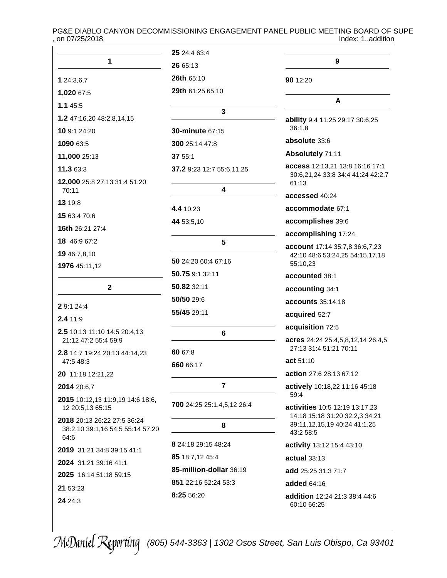PG&E DIABLO CANYON DECOMMISSIONING ENGAGEMENT PANEL PUBLIC MEETING BOARD OF SUPE<br>on 07/25/2018<br>Index: 1..addition , on 07/25/2018

|                                                                         | 25 24:4 63:4               |                                                                  |
|-------------------------------------------------------------------------|----------------------------|------------------------------------------------------------------|
| 1                                                                       | 26 65:13                   | 9                                                                |
| 1 24:3,6,7                                                              | <b>26th 65:10</b>          | 90 12:20                                                         |
| 1,020 67:5                                                              | 29th 61:25 65:10           |                                                                  |
| 1.145:5                                                                 |                            | A                                                                |
| 1.2 47:16,20 48:2,8,14,15                                               | 3                          | ability 9:4 11:25 29:17 30:6,25                                  |
| 10 9:1 24:20                                                            | <b>30-minute 67:15</b>     | 36:1,8                                                           |
| 1090 63:5                                                               | 300 25:14 47:8             | absolute 33:6                                                    |
| 11,000 25:13                                                            | 37 55:1                    | Absolutely 71:11                                                 |
| 11.3 63:3                                                               | 37.2 9:23 12:7 55:6,11,25  | access 12:13,21 13:8 16:16 17:1                                  |
| 12,000 25:8 27:13 31:4 51:20                                            |                            | 30:6,21,24 33:8 34:4 41:24 42:2,7<br>61:13                       |
| 70:11                                                                   | 4                          | accessed 40:24                                                   |
| 13 19:8                                                                 | 4.4 10:23                  | accommodate 67:1                                                 |
| 15 63:4 70:6                                                            | 44 53:5,10                 | accomplishes 39:6                                                |
| 16th 26:21 27:4                                                         |                            | accomplishing 17:24                                              |
| 18 46:9 67:2                                                            | 5                          | account 17:14 35:7,8 36:6,7,23                                   |
| 19 46:7,8,10                                                            | 50 24:20 60:4 67:16        | 42:10 48:6 53:24,25 54:15,17,18                                  |
| 1976 45:11,12                                                           | 50.75 9:1 32:11            | 55:10,23                                                         |
| $\mathbf 2$                                                             | 50.82 32:11                | accounted 38:1                                                   |
|                                                                         | 50/50 29:6                 | accounting 34:1                                                  |
| 2 9:1 24:4                                                              | 55/45 29:11                | accounts 35:14,18                                                |
| 2.4 11:9                                                                |                            | acquired 52:7                                                    |
| 2.5 10:13 11:10 14:5 20:4,13                                            | 6                          | acquisition 72:5                                                 |
| 21:12 47:2 55:4 59:9                                                    | 60 67:8                    | acres 24:24 25:4,5,8,12,14 26:4,5<br>27:13 31:4 51:21 70:11      |
| 2.8 14:7 19:24 20:13 44:14,23<br>47:5 48:3                              |                            | act 51:10                                                        |
| 20 11:18 12:21,22                                                       | 660 66:17                  | action 27:6 28:13 67:12                                          |
| 2014 20:6,7                                                             | 7                          | actively 10:18,22 11:16 45:18                                    |
| 2015 10:12,13 11:9,19 14:6 18:6,                                        |                            | 59:4                                                             |
| 12 20:5,13 65:15                                                        | 700 24:25 25:1,4,5,12 26:4 | activities 10:5 12:19 13:17,23<br>14:18 15:18 31:20 32:2,3 34:21 |
| 2018 20:13 26:22 27:5 36:24<br>38:2,10 39:1,16 54:5 55:14 57:20<br>64:6 | 8                          | 39:11,12,15,19 40:24 41:1,25<br>43:2 58:5                        |
| 2019 31:21 34:8 39:15 41:1                                              | 8 24:18 29:15 48:24        | activity 13:12 15:4 43:10                                        |
| 2024 31:21 39:16 41:1                                                   | 85 18:7,12 45:4            | actual 33:13                                                     |
| 2025 16:14 51:18 59:15                                                  | 85-million-dollar 36:19    | add 25:25 31:3 71:7                                              |
| 21 53:23                                                                | 851 22:16 52:24 53:3       | added 64:16                                                      |
| 24 24:3                                                                 | 8:25 56:20                 | addition 12:24 21:3 38:4 44:6<br>60:10 66:25                     |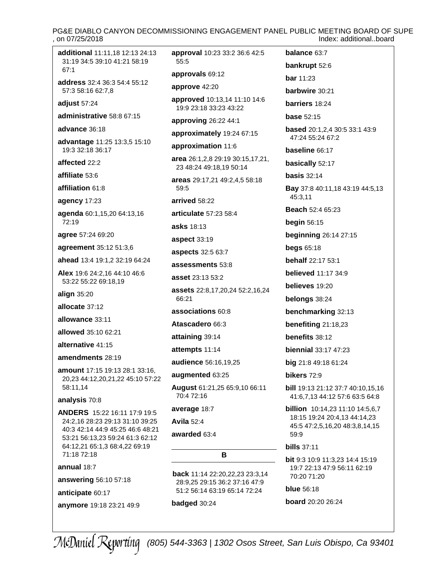# PG&E DIABLO CANYON DECOMMISSIONING ENGAGEMENT PANEL PUBLIC MEETING BOARD OF SUPE<br>on 07/25/2018 Index: additional..board

**additional** [11:11,18](#page-10-0) [12:13](#page-11-0) [24:13](#page-23-0) [31:19](#page-30-0) [34:5](#page-33-0) [39:10](#page-38-0) [41:21](#page-40-0) [58:19](#page-57-0) [67:1](#page-66-0)

**address** [32:4](#page-31-0) [36:3](#page-35-0) [54:4](#page-53-0) [55:12](#page-54-0) [57:3](#page-56-0) [58:16](#page-57-0) [62:7,8](#page-61-0)

**adjust** [57:24](#page-56-0)

**administrative** [58:8](#page-57-0) [67:15](#page-66-0)

**advance** [36:18](#page-35-0)

**advantage** [11:25](#page-10-0) [13:3,5](#page-12-0) [15:10](#page-14-0) [19:3](#page-18-0) [32:18](#page-31-0) [36:17](#page-35-0)

**affected** [22:2](#page-21-0)

**affiliate** [53:6](#page-52-0)

**affiliation** [61:8](#page-60-0)

**agency** [17:23](#page-16-0)

**agenda** [60:1,15,20](#page-59-0) [64:13,16](#page-63-0) [72:19](#page-71-0)

**agree** [57:24](#page-56-0) [69:20](#page-68-0)

**agreement** [35:12](#page-34-0) [51:3,6](#page-50-0)

**ahead** [13:4](#page-12-0) [19:1,2](#page-18-0) [32:19](#page-31-0) [64:24](#page-63-0)

**Alex** [19:6](#page-18-0) [24:2,16](#page-23-0) [44:10](#page-43-0) [46:6](#page-45-0) [53:22](#page-52-0) [55:22](#page-54-0) [69:18,19](#page-68-0)

**align** [35:20](#page-34-0)

**allocate** [37:12](#page-36-0)

**allowance** [33:11](#page-32-0)

**allowed** [35:10](#page-34-0) [62:21](#page-61-0)

**alternative** [41:15](#page-40-0)

**amendments** [28:19](#page-27-0)

**amount** [17:15](#page-16-0) [19:13](#page-18-0) [28:1](#page-27-0) [33:16,](#page-32-0) [20,23](#page-32-0) [44:12,20,21,22](#page-43-0) [45:10](#page-44-0) [57:22](#page-56-0) [58:11,14](#page-57-0)

**analysis** [70:8](#page-69-0)

**ANDERS** [15:22](#page-14-0) [16:11](#page-15-0) [17:9](#page-16-0) [19:5](#page-18-0) [24:2,16](#page-23-0) [28:23](#page-27-0) [29:13](#page-28-0) [31:10](#page-30-0) [39:25](#page-38-0) [40:3](#page-39-0) [42:14](#page-41-0) [44:9](#page-43-0) [45:25](#page-44-0) [46:6](#page-45-0) [48:21](#page-47-0) [53:21](#page-52-0) [56:13,23](#page-55-0) [59:24](#page-58-0) [61:3](#page-60-0) [62:12](#page-61-0) [64:12,21](#page-63-0) [65:1,3](#page-64-0) [68:4,22](#page-67-0) [69:19](#page-68-0) **bills** [37:11](#page-36-0) [71:18](#page-70-0) [72:18](#page-71-0)

**annual** [18:7](#page-17-0)

**answering** [56:10](#page-55-0) [57:18](#page-56-0)

**anticipate** [60:17](#page-59-0)

**anymore** [19:18](#page-18-0) [23:21](#page-22-0) [49:9](#page-48-0)

**approval** [10:23](#page-9-0) [33:2](#page-32-0) [36:6](#page-35-0) [42:5](#page-41-0) [55:5](#page-54-0) **approvals** [69:12](#page-68-0)

**approve** [42:20](#page-41-0)

**approved** [10:13,14](#page-9-0) [11:10](#page-10-0) [14:6](#page-13-0) [19:9](#page-18-0) [23:18](#page-22-0) [33:23](#page-32-0) [43:22](#page-42-0)

**approving** [26:22](#page-25-0) [44:1](#page-43-0)

**approximately** [19:24](#page-18-0) [67:15](#page-66-0)

**approximation** [11:6](#page-10-0)

**area** [26:1,2,8](#page-25-0) [29:19](#page-28-0) [30:15,17,21,](#page-29-0) [23](#page-29-0) [48:24](#page-47-0) [49:18,19](#page-48-0) [50:14](#page-49-0)

**areas** [29:17,21](#page-28-0) [49:2,4,5](#page-48-0) [58:18](#page-57-0) [59:5](#page-58-0)

**arrived** [58:22](#page-57-0)

**articulate** [57:23](#page-56-0) [58:4](#page-57-0)

**asks** [18:13](#page-17-0)

**aspect** [33:19](#page-32-0)

**aspects** [32:5](#page-31-0) [63:7](#page-62-0)

**assessments** [53:8](#page-52-0)

**asset** [23:13](#page-22-0) [53:2](#page-52-0)

**assets** [22:8,17,20,24](#page-21-0) [52:2,16,24](#page-51-0) [66:21](#page-65-0)

**associations** [60:8](#page-59-0)

**Atascadero** [66:3](#page-65-0)

**attaining** [39:14](#page-38-0)

**attempts** [11:14](#page-10-0)

**audience** [56:16,19,25](#page-55-0)

**augmented** [63:25](#page-62-0)

**August** [61:21,25](#page-60-0) [65:9,10](#page-64-0) [66:11](#page-65-0) [70:4](#page-69-0) [72:16](#page-71-0)

**average** [18:7](#page-17-0)

**Avila** [52:4](#page-51-0)

**awarded** [63:4](#page-62-0)

### **B**

**back** [11:14](#page-10-0) [22:20,22,23](#page-21-0) [23:3,14](#page-22-0) [28:9,25](#page-27-0) [29:15](#page-28-0) [36:2](#page-35-0) [37:16](#page-36-0) [47:9](#page-46-0) [51:2](#page-50-0) [56:14](#page-55-0) [63:19](#page-62-0) [65:14](#page-64-0) [72:24](#page-71-0)

**badged** [30:24](#page-29-0)

**balance** [63:7](#page-62-0) **bankrupt** [52:6](#page-51-0) **bar** [11:23](#page-10-0) **barbwire** [30:21](#page-29-0) **barriers** [18:24](#page-17-0) **base** [52:15](#page-51-0) **based** [20:1,2,4](#page-19-0) [30:5](#page-29-0) [33:1](#page-32-0) [43:9](#page-42-0) [47:24](#page-46-0) [55:24](#page-54-0) [67:2](#page-66-0) **baseline** [66:17](#page-65-0) **basically** [52:17](#page-51-0) **basis** [32:14](#page-31-0) **Bay** [37:8](#page-36-0) [40:11,18](#page-39-0) [43:19](#page-42-0) [44:5,13](#page-43-0) [45:3,11](#page-44-0) **Beach** [52:4](#page-51-0) [65:23](#page-64-0) **begin** [56:15](#page-55-0) **beginning** [26:14](#page-25-0) [27:15](#page-26-0) **begs** [65:18](#page-64-0) **behalf** [22:17](#page-21-0) [53:1](#page-52-0) **believed** [11:17](#page-10-0) [34:9](#page-33-0) **believes** [19:20](#page-18-0) **belongs** [38:24](#page-37-0) **benchmarking** [32:13](#page-31-0) **benefiting** [21:18,23](#page-20-0) **benefits** [38:12](#page-37-0) **biennial** [33:17](#page-32-0) [47:23](#page-46-0) **big** [21:8](#page-20-0) [49:18](#page-48-0) [61:24](#page-60-0) **bikers** [72:9](#page-71-0) **bill** [19:13](#page-18-0) [21:12](#page-20-0) [37:7](#page-36-0) [40:10,15,16](#page-39-0) [41:6,7,13](#page-40-0) [44:12](#page-43-0) [57:6](#page-56-0) [63:5](#page-62-0) [64:8](#page-63-0) **billion** [10:14,23](#page-9-0) [11:10](#page-10-0) [14:5,6,7](#page-13-0)

[18:15](#page-17-0) [19:24](#page-18-0) [20:4,13](#page-19-0) [44:14,23](#page-43-0) [45:5](#page-44-0) [47:2,5,16,20](#page-46-0) [48:3,8,14,15](#page-47-0) [59:9](#page-58-0)

**bit** [9:3](#page-8-0) [10:9](#page-9-0) [11:3,23](#page-10-0) [14:4](#page-13-0) [15:19](#page-14-0) [19:7](#page-18-0) [22:13](#page-21-0) [47:9](#page-46-0) [56:11](#page-55-0) [62:19](#page-61-0) [70:20](#page-69-0) [71:20](#page-70-0)

**blue** [56:18](#page-55-0)

**board** [20:20](#page-19-0) [26:24](#page-25-0)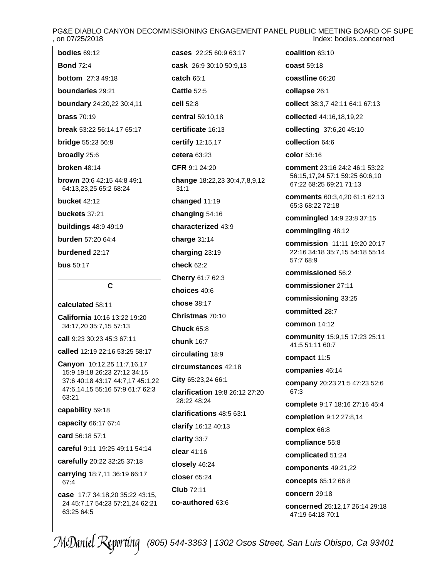# PG&E DIABLO CANYON DECOMMISSIONING ENGAGEMENT PANEL PUBLIC MEETING BOARD OF SUPE<br>Index: bodies.concerned Index: bodies..concerned

| 0.10112012010                                                       |                                               |                                                           |
|---------------------------------------------------------------------|-----------------------------------------------|-----------------------------------------------------------|
| <b>bodies 69:12</b>                                                 | cases 22:25 60:9 63:17                        | coalition 63:10                                           |
| <b>Bond 72:4</b>                                                    | cask 26:9 30:10 50:9,13                       | coast 59:18                                               |
| <b>bottom</b> 27:3 49:18                                            | catch 65:1                                    | coastline 66:20                                           |
| boundaries 29:21                                                    | <b>Cattle 52:5</b>                            | collapse 26:1                                             |
| boundary 24:20,22 30:4,11                                           | cell 52:8                                     | collect 38:3,7 42:11 64:1 67:13                           |
| <b>brass 70:19</b>                                                  | central 59:10,18                              | collected 44:16,18,19,22                                  |
| break 53:22 56:14,17 65:17                                          | certificate 16:13                             | collecting 37:6,20 45:10                                  |
| <b>bridge 55:23 56:8</b>                                            | certify 12:15,17                              | collection 64:6                                           |
| broadly 25:6                                                        | cetera $63:23$                                | color 53:16                                               |
| broken 48:14                                                        | <b>CFR 9:1 24:20</b>                          | comment 23:16 24:2 46:1 53:22                             |
| <b>brown</b> 20:6 42:15 44:8 49:1<br>64:13,23,25 65:2 68:24         | change 18:22,23 30:4,7,8,9,12<br>31:1         | 56:15,17,24 57:1 59:25 60:6,10<br>67:22 68:25 69:21 71:13 |
| <b>bucket 42:12</b>                                                 | changed 11:19                                 | comments 60:3,4,20 61:1 62:13<br>65:3 68:22 72:18         |
| buckets 37:21                                                       | changing 54:16                                | commingled 14:9 23:8 37:15                                |
| <b>buildings 48:9 49:19</b>                                         | characterized 43:9                            | commingling 48:12                                         |
| <b>burden</b> 57:20 64:4                                            | charge 31:14                                  | commission 11:11 19:20 20:17                              |
| burdened 22:17                                                      | charging 23:19                                | 22:16 34:18 35:7,15 54:18 55:14                           |
| <b>bus</b> 50:17                                                    | check 62:2                                    | 57:7 68:9                                                 |
|                                                                     | Cherry 61:7 62:3                              | commissioned 56:2                                         |
| $\mathbf{C}$                                                        | choices 40:6                                  | commissioner 27:11                                        |
| calculated 58:11                                                    | chose 38:17                                   | commissioning 33:25                                       |
| <b>California</b> 10:16 13:22 19:20                                 | Christmas 70:10                               | committed 28:7                                            |
| 34:17,20 35:7,15 57:13                                              | <b>Chuck 65:8</b>                             | <b>common</b> 14:12                                       |
| call 9:23 30:23 45:3 67:11<br>called 12:19 22:16 53:25 58:17        | <b>chunk 16:7</b>                             | community 15:9,15 17:23 25:11<br>41:5 51:11 60:7          |
| Canyon 10:12,25 11:7,16,17                                          | circulating 18:9                              | compact 11:5                                              |
| 15:9 19:18 26:23 27:12 34:15                                        | circumstances 42:18                           | companies 46:14                                           |
| 37:6 40:18 43:17 44:7,17 45:1,22<br>47:6,14,15 55:16 57:9 61:7 62:3 | City 65:23,24 66:1                            | company 20:23 21:5 47:23 52:6                             |
| 63:21                                                               | clarification 19:8 26:12 27:20<br>28:22 48:24 | 67:3                                                      |
| capability 59:18                                                    | clarifications 48:5 63:1                      | complete 9:17 18:16 27:16 45:4                            |
| capacity 66:17 67:4                                                 | clarify 16:12 40:13                           | completion 9:12 27:8,14                                   |
| card 56:18 57:1                                                     | clarity 33:7                                  | complex 66:8                                              |
| careful 9:11 19:25 49:11 54:14                                      | clear 41:16                                   | compliance 55:8                                           |
| carefully 20:22 32:25 37:18                                         | closely 46:24                                 | complicated 51:24                                         |
| carrying 18:7,11 36:19 66:17                                        | closer 65:24                                  | components 49:21,22                                       |
| 67:4                                                                | Club 72:11                                    | concepts 65:12 66:8                                       |
| case 17:7 34:18,20 35:22 43:15,<br>24 45:7,17 54:23 57:21,24 62:21  | co-authored 63:6                              | concern 29:18                                             |
|                                                                     |                                               | concerned 25:12,17 26:14 29:18                            |

*(805) 544-3363 | 1302 Osos Street, San Luis Obispo, Ca 93401*

[47:19](#page-46-0) [64:18](#page-63-0) [70:1](#page-69-0)

[63:25](#page-62-0) [64:5](#page-63-0)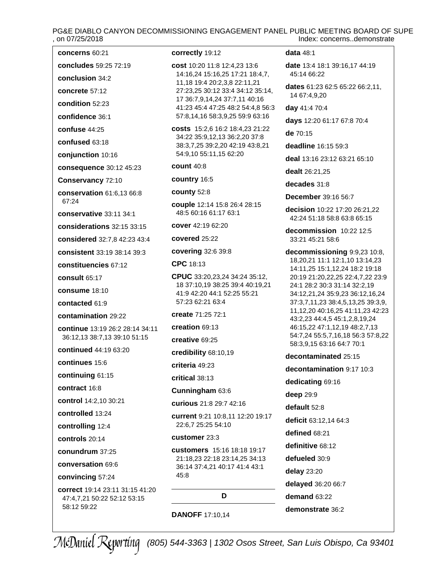# PG&E DIABLO CANYON DECOMMISSIONING ENGAGEMENT PANEL PUBLIC MEETING BOARD OF SUPE , on 07/25/2018 Index: concerns..demonstrate

| concerns 60:21                                                  |
|-----------------------------------------------------------------|
| concludes 59:25 72:19                                           |
| conclusion 34:2                                                 |
| concrete 57:12                                                  |
| condition 52:23                                                 |
| confidence 36:1                                                 |
| confuse 44:25                                                   |
| confused 63:18                                                  |
| conjunction 10:16                                               |
| consequence 30:12 45:23                                         |
| Conservancy 72:10                                               |
| conservation 61:6,13 66:8<br>67:24                              |
| conservative 33:11 34:1                                         |
| considerations $32:15$ $33:15$                                  |
| considered 32:7,8 42:23 43:4                                    |
| <b>consistent</b> 33:19 38:14 39:3                              |
| <b>constituencies 67:12</b>                                     |
| consult 65:17                                                   |
| consume 18:10                                                   |
| contacted 61:9                                                  |
| contamination 29:22                                             |
| continue 13:19 26:2 28:14 34:11<br>36:12,13 38:7,13 39:10 51:15 |
| <b>continued</b> 44:19 63:20                                    |
| continues 15:6                                                  |
| continuing 61:15                                                |
| contract 16:8                                                   |
| <b>control</b> 14:2,10 30:21                                    |
| controlled 13:24                                                |
| controlling 12:4                                                |
| controls 20:14                                                  |
| conundrum 37:25                                                 |
| conversation 69:6                                               |
| convincing 57:24                                                |
| correct 19:14 23:11 31:15 41:20<br>47:4,7,21 50:22 52:12 53:15  |

[58:12](#page-57-0) [59:22](#page-58-0)

**correctly** [19:12](#page-18-0)

```
cost 10:20 11:8 12:4,23 13:6
14:16,24 15:16,25 17:21 18:4,7,
11,18 19:4 20:2,3,8 22:11,21
27:23,25 30:12 33:4 34:12 35:14,
17 36:7,9,14,24 37:7,11 40:16
41:23 45:4 47:25 48:2 54:4,8 56:3
57:8,14,16 58:3,9,25 59:9 63:16
```
**costs** [15:2,6](#page-14-0) [16:2](#page-15-0) [18:4,23](#page-17-0) [21:22](#page-20-0) [34:22](#page-33-0) [35:9,12,13](#page-34-0) [36:2,20](#page-35-0) [37:8](#page-36-0) [38:3,7,25](#page-37-0) [39:2,20](#page-38-0) [42:19](#page-41-0) [43:8,21](#page-42-0) [54:9,10](#page-53-0) [55:11,15](#page-54-0) [62:20](#page-61-0)

**count** [40:8](#page-39-0)

**country** [16:5](#page-15-0)

**county** [52:8](#page-51-0)

**couple** [12:14](#page-11-0) [15:8](#page-14-0) [26:4](#page-25-0) [28:15](#page-27-0) [48:5](#page-47-0) [60:16](#page-59-0) [61:17](#page-60-0) [63:1](#page-62-0)

**cover** [42:19](#page-41-0) [62:20](#page-61-0)

**covered** [25:22](#page-24-0)

**covering** [32:6](#page-31-0) [39:8](#page-38-0)

**CPC** [18:13](#page-17-0)

**CPUC** [33:20,23,24](#page-32-0) [34:24](#page-33-0) [35:12,](#page-34-0) [18](#page-34-0) [37:10,19](#page-36-0) [38:25](#page-37-0) [39:4](#page-38-0) [40:19,21](#page-39-0) [41:9](#page-40-0) [42:20](#page-41-0) [44:1](#page-43-0) [52:25](#page-51-0) [55:21](#page-54-0) [57:23](#page-56-0) [62:21](#page-61-0) [63:4](#page-62-0)

**create** [71:25](#page-70-0) [72:1](#page-71-0)

**creation** [69:13](#page-68-0)

**creative** [69:25](#page-68-0)

**credibility** [68:10,19](#page-67-0)

**criteria** [49:23](#page-48-0)

**critical** [38:13](#page-37-0)

**Cunningham** [63:6](#page-62-0)

**curious** [21:8](#page-20-0) [29:7](#page-28-0) [42:16](#page-41-0)

**current** [9:21](#page-8-0) [10:8,11](#page-9-0) [12:20](#page-11-0) [19:17](#page-18-0) [22:6,7](#page-21-0) [25:25](#page-24-0) [54:10](#page-53-0)

#### **customer** [23:3](#page-22-0)

**customers** [15:16](#page-14-0) [18:18](#page-17-0) [19:17](#page-18-0) [21:18,23](#page-20-0) [22:18](#page-21-0) [23:14,25](#page-22-0) [34:13](#page-33-0) [36:14](#page-35-0) [37:4,21](#page-36-0) [40:17](#page-39-0) [41:4](#page-40-0) [43:1](#page-42-0) [45:8](#page-44-0)

#### **D**

**DANOFF** [17:10,14](#page-16-0)

#### **data** [48:1](#page-47-0)

**date** [13:4](#page-12-0) [18:1](#page-17-0) [39:16,17](#page-38-0) [44:19](#page-43-0) [45:14](#page-44-0) [66:22](#page-65-0)

**dates** [61:23](#page-60-0) [62:5](#page-61-0) [65:22](#page-64-0) [66:2,11,](#page-65-0) [14](#page-65-0) [67:4,9,20](#page-66-0)

**day** [41:4](#page-40-0) [70:4](#page-69-0)

**days** [12:20](#page-11-0) [61:17](#page-60-0) [67:8](#page-66-0) [70:4](#page-69-0)

**de** [70:15](#page-69-0)

**deadline** [16:15](#page-15-0) [59:3](#page-58-0)

**deal** [13:16](#page-12-0) [23:12](#page-22-0) [63:21](#page-62-0) [65:10](#page-64-0)

**dealt** [26:21,25](#page-25-0)

**decades** [31:8](#page-30-0)

**December** [39:16](#page-38-0) [56:7](#page-55-0)

**decision** [10:22](#page-9-0) [17:20](#page-16-0) [26:21,22](#page-25-0) [42:24](#page-41-0) [51:18](#page-50-0) [58:8](#page-57-0) [63:8](#page-62-0) [65:15](#page-64-0)

**decommission** [10:22](#page-9-0) [12:5](#page-11-0) [33:21](#page-32-0) [45:21](#page-44-0) [58:6](#page-57-0)

**decommissioning** [9:9,23](#page-8-0) [10:8,](#page-9-0) [18,20,21](#page-9-0) [11:1](#page-10-0) [12:1,10](#page-11-0) [13:14,23](#page-12-0) [14:11,25](#page-13-0) [15:1,12,24](#page-14-0) [18:2](#page-17-0) [19:18](#page-18-0) [20:19](#page-19-0) [21:20,22,25](#page-20-0) [22:4,7,22](#page-21-0) [23:9](#page-22-0) [24:1](#page-23-0) [28:2](#page-27-0) [30:3](#page-29-0) [31:14](#page-30-0) [32:2,19](#page-31-0) [34:12,21,24](#page-33-0) [35:9,23](#page-34-0) [36:12,16,24](#page-35-0) [37:3,7,11,23](#page-36-0) [38:4,5,13,25](#page-37-0) [39:3,9,](#page-38-0) [11,12,20](#page-38-0) [40:16,25](#page-39-0) [41:11,23](#page-40-0) [42:23](#page-41-0) [43:2,23](#page-42-0) [44:4,5](#page-43-0) [45:1,2,8,19,24](#page-44-0) [46:15,22](#page-45-0) [47:1,12,19](#page-46-0) [48:2,7,13](#page-47-0) [54:7,24](#page-53-0) [55:5,7,16,18](#page-54-0) [56:3](#page-55-0) [57:8,22](#page-56-0) [58:3,9,15](#page-57-0) [63:16](#page-62-0) [64:7](#page-63-0) [70:1](#page-69-0)

**decontaminated** [25:15](#page-24-0)

**decontamination** [9:17](#page-8-0) [10:3](#page-9-0)

**dedicating** [69:16](#page-68-0)

**deep** [29:9](#page-28-0)

**default** [52:8](#page-51-0)

**deficit** [63:12,14](#page-62-0) [64:3](#page-63-0)

- **defined** [68:21](#page-67-0)
- **definitive** [68:12](#page-67-0)

**defueled** [30:9](#page-29-0)

**delay** [23:20](#page-22-0)

**delayed** [36:20](#page-35-0) [66:7](#page-65-0)

**demand** [63:22](#page-62-0)

**demonstrate** [36:2](#page-35-0)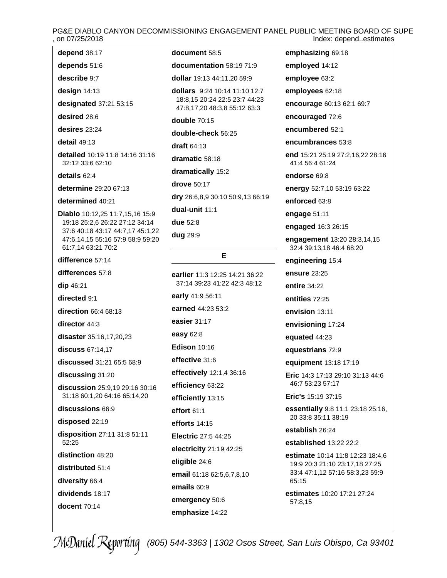# PG&E DIABLO CANYON DECOMMISSIONING ENGAGEMENT PANEL PUBLIC MEETING BOARD OF SUPE Index: depend..estimates

**depend** [38:17](#page-37-0)

**depends** [51:6](#page-50-0)

**describe** [9:7](#page-8-0)

**design** [14:13](#page-13-0)

**designated** [37:21](#page-36-0) [53:15](#page-52-0)

**desired** [28:6](#page-27-0)

**desires** [23:24](#page-22-0)

**detail** [49:13](#page-48-0)

**detailed** [10:19](#page-9-0) [11:8](#page-10-0) [14:16](#page-13-0) [31:16](#page-30-0) [32:12](#page-31-0) [33:6](#page-32-0) [62:10](#page-61-0)

**details** [62:4](#page-61-0)

**determine** [29:20](#page-28-0) [67:13](#page-66-0)

**determined** [40:21](#page-39-0)

**Diablo** [10:12,25](#page-9-0) [11:7,15,16](#page-10-0) [15:9](#page-14-0) [19:18](#page-18-0) [25:2,6](#page-24-0) [26:22](#page-25-0) [27:12](#page-26-0) [34:14](#page-33-0) [37:6](#page-36-0) [40:18](#page-39-0) [43:17](#page-42-0) [44:7,17](#page-43-0) [45:1,22](#page-44-0) [47:6,14,15](#page-46-0) [55:16](#page-54-0) [57:9](#page-56-0) [58:9](#page-57-0) [59:20](#page-58-0) [61:7,14](#page-60-0) [63:21](#page-62-0) [70:2](#page-69-0)

**difference** [57:14](#page-56-0)

**differences** [57:8](#page-56-0)

**dip** [46:21](#page-45-0)

**directed** [9:1](#page-8-0)

**direction** [66:4](#page-65-0) [68:13](#page-67-0)

**director** [44:3](#page-43-0)

**disaster** [35:16,17,20,23](#page-34-0)

**discuss** [67:14,17](#page-66-0)

**discussed** [31:21](#page-30-0) [65:5](#page-64-0) [68:9](#page-67-0)

**discussing** [31:20](#page-30-0)

**discussion** [25:9,19](#page-24-0) [29:16](#page-28-0) [30:16](#page-29-0) [31:18](#page-30-0) [60:1,20](#page-59-0) [64:16](#page-63-0) [65:14,20](#page-64-0)

**discussions** [66:9](#page-65-0)

**disposed** [22:19](#page-21-0)

**disposition** [27:11](#page-26-0) [31:8](#page-30-0) [51:11](#page-50-0) [52:25](#page-51-0)

**distinction** [48:20](#page-47-0)

**distributed** [51:4](#page-50-0)

**diversity** [66:4](#page-65-0)

**docent** [70:14](#page-69-0)

**dividends** [18:17](#page-17-0)

**document** [58:5](#page-57-0)

**documentation** [58:19](#page-57-0) [71:9](#page-70-0)

**dollar** [19:13](#page-18-0) [44:11,20](#page-43-0) [59:9](#page-58-0)

**dollars** [9:24](#page-8-0) [10:14](#page-9-0) [11:10](#page-10-0) [12:7](#page-11-0) [18:8,15](#page-17-0) [20:24](#page-19-0) [22:5](#page-21-0) [23:7](#page-22-0) [44:23](#page-43-0) [47:8,17,20](#page-46-0) [48:3,8](#page-47-0) [55:12](#page-54-0) [63:3](#page-62-0)

**double** [70:15](#page-69-0)

**double-check** [56:25](#page-55-0)

**draft** [64:13](#page-63-0)

**dramatic** [58:18](#page-57-0)

**dramatically** [15:2](#page-14-0)

**drove** [50:17](#page-49-0)

**dry** [26:6,8,9](#page-25-0) [30:10](#page-29-0) [50:9,13](#page-49-0) [66:19](#page-65-0)

**dual-unit** [11:1](#page-10-0)

**due** [52:8](#page-51-0)

**dug** [29:9](#page-28-0)

### **E**

**earlier** [11:3](#page-10-0) [12:25](#page-11-0) [14:21](#page-13-0) [36:22](#page-35-0) [37:14](#page-36-0) [39:23](#page-38-0) [41:22](#page-40-0) [42:3](#page-41-0) [48:12](#page-47-0) **early** [41:9](#page-40-0) [56:11](#page-55-0) **earned** [44:23](#page-43-0) [53:2](#page-52-0) **easier** [31:17](#page-30-0) **easy** [62:8](#page-61-0) **Edison** [10:16](#page-9-0) **effective** [31:6](#page-30-0) **effectively** [12:1,4](#page-11-0) [36:16](#page-35-0) **efficiency** [63:22](#page-62-0) **efficiently** [13:15](#page-12-0) **effort** [61:1](#page-60-0) **efforts** [14:15](#page-13-0) **Electric** [27:5](#page-26-0) [44:25](#page-43-0) **electricity** [21:19](#page-20-0) [42:25](#page-41-0) **eligible** [24:6](#page-23-0) **email** [61:18](#page-60-0) [62:5,6,7,8,10](#page-61-0) **emails** [60:9](#page-59-0)

**employed** [14:12](#page-13-0) **employee** [63:2](#page-62-0) **employees** [62:18](#page-61-0) **encourage** [60:13](#page-59-0) [62:1](#page-61-0) [69:7](#page-68-0) **encouraged** [72:6](#page-71-0)

**encumbered** [52:1](#page-51-0)

**emphasizing** [69:18](#page-68-0)

**encumbrances** [53:8](#page-52-0)

**end** [15:21](#page-14-0) [25:19](#page-24-0) [27:2,16,22](#page-26-0) [28:16](#page-27-0) [41:4](#page-40-0) [56:4](#page-55-0) [61:24](#page-60-0)

**endorse** [69:8](#page-68-0)

**energy** [52:7,10](#page-51-0) [53:19](#page-52-0) [63:22](#page-62-0)

**enforced** [63:8](#page-62-0)

**engage** [51:11](#page-50-0)

**engaged** [16:3](#page-15-0) [26:15](#page-25-0)

**engagement** [13:20](#page-12-0) [28:3,14,15](#page-27-0) [32:4](#page-31-0) [39:13,18](#page-38-0) [46:4](#page-45-0) [68:20](#page-67-0)

**engineering** [15:4](#page-14-0)

**ensure** [23:25](#page-22-0)

**entire** [34:22](#page-33-0)

**entities** [72:25](#page-71-0)

**envision** [13:11](#page-12-0)

**envisioning** [17:24](#page-16-0)

**equated** [44:23](#page-43-0)

**equestrians** [72:9](#page-71-0)

**equipment** [13:18](#page-12-0) [17:19](#page-16-0)

**Eric** [14:3](#page-13-0) [17:13](#page-16-0) [29:10](#page-28-0) [31:13](#page-30-0) [44:6](#page-43-0) [46:7](#page-45-0) [53:23](#page-52-0) [57:17](#page-56-0)

**Eric's** [15:19](#page-14-0) [37:15](#page-36-0)

**essentially** [9:8](#page-8-0) [11:1](#page-10-0) [23:18](#page-22-0) [25:16,](#page-24-0) [20](#page-24-0) [33:8](#page-32-0) [35:11](#page-34-0) [38:19](#page-37-0)

**establish** [26:24](#page-25-0)

**established** [13:22](#page-12-0) [22:2](#page-21-0)

**estimate** [10:14](#page-9-0) [11:8](#page-10-0) [12:23](#page-11-0) [18:4,6](#page-17-0) [19:9](#page-18-0) [20:3](#page-19-0) [21:10](#page-20-0) [23:17,18](#page-22-0) [27:25](#page-26-0) [33:4](#page-32-0) [47:1,12](#page-46-0) [57:16](#page-56-0) [58:3,23](#page-57-0) [59:9](#page-58-0) [65:15](#page-64-0)

**estimates** [10:20](#page-9-0) [17:21](#page-16-0) [27:24](#page-26-0) [57:8,15](#page-56-0)

*(805) 544-3363 | 1302 Osos Street, San Luis Obispo, Ca 93401*

**emergency** [50:6](#page-49-0) **emphasize** [14:22](#page-13-0)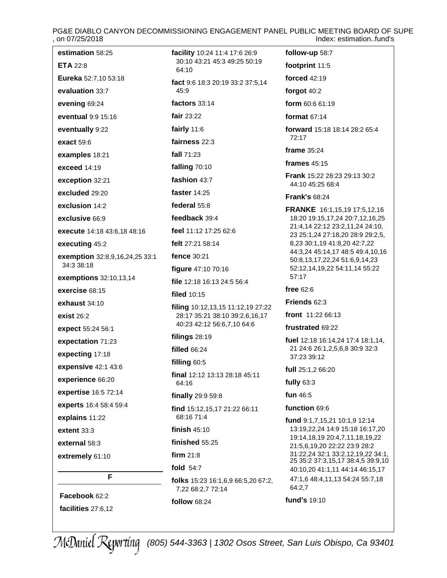PG&E DIABLO CANYON DECOMMISSIONING ENGAGEMENT PANEL PUBLIC MEETING BOARD OF SUPE<br>on 07/25/2018<br>Index: estimation..fund's Index: estimation..fund's

| estimation 58:25               | facility 10:24 11:4 17:6 26:9                                | follow-up 58:7                                                      |
|--------------------------------|--------------------------------------------------------------|---------------------------------------------------------------------|
| <b>ETA 22:8</b>                | 30:10 43:21 45:3 49:25 50:19<br>64:10                        | footprint 11:5                                                      |
| Eureka 52:7,10 53:18           | fact 9:6 18:3 20:19 33:2 37:5,14                             | forced 42:19                                                        |
| evaluation 33:7                | 45:9                                                         | forgot 40:2                                                         |
| evening 69:24                  | factors 33:14                                                | form 60:6 61:19                                                     |
| eventual 9:9 15:16             | fair $23:22$                                                 | format $67:14$                                                      |
| eventually 9:22                | fairly $11:6$                                                | <b>forward</b> 15:18 18:14 28:2 65:4                                |
| exact 59:6                     | fairness 22:3                                                | 72:17                                                               |
| examples 18:21                 | fall 71:23                                                   | frame 35:24                                                         |
| exceed 14:19                   | falling 70:10                                                | frames $45:15$                                                      |
| exception 32:21                | fashion 43:7                                                 | <b>Frank 15:22 28:23 29:13 30:2</b><br>44:10 45:25 68:4             |
| excluded 29:20                 | faster 14:25                                                 | <b>Frank's 68:24</b>                                                |
| exclusion 14:2                 | federal 55:8                                                 | <b>FRANKE</b> 16:1,15,19 17:5,12,16                                 |
| exclusive 66:9                 | feedback 39:4                                                | 18:20 19:15,17,24 20:7,12,16,25                                     |
| execute 14:18 43:6,18 48:16    | feel 11:12 17:25 62:6                                        | 21:4,14 22:12 23:2,11,24 24:10,<br>23 25:1,24 27:18,20 28:9 29:2,5, |
| executing 45:2                 | felt 27:21 58:14                                             | 8,23 30:1,19 41:8,20 42:7,22                                        |
| exemption 32:8,9,16,24,25 33:1 | fence 30:21                                                  | 44:3,24 45:14,17 48:5 49:4,10,16<br>50:8,13,17,22,24 51:6,9,14,23   |
| 34:3 38:18                     | figure 47:10 70:16                                           | 52:12,14,19,22 54:11,14 55:22<br>57:17                              |
| exemptions 32:10,13,14         | file 12:18 16:13 24:5 56:4                                   | free $62:6$                                                         |
| exercise 68:15                 | <b>filed</b> 10:15                                           | Friends 62:3                                                        |
| exhaust 34:10                  | filing 10:12,13,15 11:12,19 27:22                            | front 11:22 66:13                                                   |
| exist $26:2$                   | 28:17 35:21 38:10 39:2,6,16,17<br>40:23 42:12 56:6,7,10 64:6 | frustrated 69:22                                                    |
| expect 55:24 56:1              | filings 28:19                                                | fuel 12:18 16:14,24 17:4 18:1,14,                                   |
| expectation 71:23              | <b>filled 66:24</b>                                          | 21 24:6 26:1,2,5,6,8 30:9 32:3                                      |
| expecting 17:18                | filling 60:5                                                 | 37:23 39:12                                                         |
| expensive 42:1 43:6            | final 12:12 13:13 28:18 45:11                                | full 25:1,2 66:20                                                   |
| experience 66:20               | 64:16                                                        | fully $63:3$                                                        |
| expertise 16:5 72:14           | finally 29:9 59:8                                            | fun 46:5                                                            |
| experts 16:4 58:4 59:4         | find 15:12,15,17 21:22 66:11<br>68:16 71:4                   | function 69:6                                                       |
| explains 11:22                 | finish $45:10$                                               | fund 9:1,7,15,21 10:1,9 12:14<br>13:19,22,24 14:9 15:18 16:17,20    |
| extent 33:3                    |                                                              | 19:14, 18, 19 20: 4, 7, 11, 18, 19, 22                              |
| external 58:3                  | finished 55:25<br>firm $21:8$                                | 21:5,6,19,20 22:22 23:9 28:2<br>31:22,24 32:1 33:2,12,19,22 34:1,   |
| extremely 61:10                | fold 54:7                                                    | 25 35:2 37:3,15,17 38:4,5 39:9,10                                   |
| F                              | <b>folks</b> 15:23 16:1,6,9 66:5,20 67:2,                    | 40:10,20 41:1,11 44:14 46:15,17<br>47:1,6 48:4,11,13 54:24 55:7,18  |
|                                | 7,22 68:2,7 72:14                                            | 64:2,7                                                              |
| Facebook 62:2                  | follow 68:24                                                 | fund's 19:10                                                        |
| facilities 27:6,12             |                                                              |                                                                     |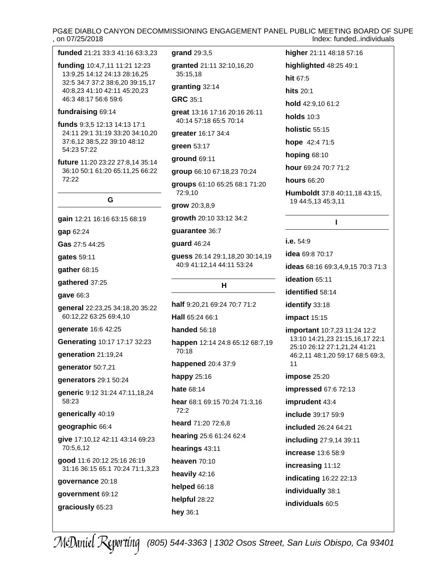# OARD OF SUPE<br>.individuals , on 07/25/2018 Index: funded..individuals

| , on 07/25/2018                                                                                  |                                                         | Index: fundedindividua                                          |
|--------------------------------------------------------------------------------------------------|---------------------------------------------------------|-----------------------------------------------------------------|
| funded 21:21 33:3 41:16 63:3,23                                                                  | grand 29:3,5                                            | higher 21:11 48:18 57:16                                        |
| funding 10:4,7,11 11:21 12:23<br>13:9,25 14:12 24:13 28:16,25<br>32:5 34:7 37:2 38:6,20 39:15,17 | granted 21:11 32:10,16,20                               | highlighted 48:25 49:1                                          |
|                                                                                                  | 35:15,18                                                | hit 67:5                                                        |
| 40:8,23 41:10 42:11 45:20,23                                                                     | granting 32:14                                          | <b>hits 20:1</b>                                                |
| 46:3 48:17 56:6 59:6                                                                             | <b>GRC 35:1</b>                                         | hold 42:9,10 61:2                                               |
| fundraising 69:14<br>funds 9:3,5 12:13 14:13 17:1                                                | great 13:16 17:16 20:16 26:11<br>40:14 57:18 65:5 70:14 | <b>holds</b> 10:3                                               |
| 24:11 29:1 31:19 33:20 34:10,20                                                                  | greater 16:17 34:4                                      | holistic 55:15                                                  |
| 37:6,12 38:5,22 39:10 48:12<br>54:23 57:22                                                       | green 53:17                                             | hope 42:4 71:5                                                  |
|                                                                                                  | ground 69:11                                            | <b>hoping 68:10</b>                                             |
| future 11:20 23:22 27:8,14 35:14<br>36:10 50:1 61:20 65:11,25 66:22                              | group 66:10 67:18,23 70:24                              | hour 69:24 70:7 71:2                                            |
| 72:22                                                                                            | groups 61:10 65:25 68:1 71:20                           | <b>hours 66:20</b>                                              |
|                                                                                                  | 72:9,10                                                 | Humboldt 37:8 40:11,18 43:15,                                   |
| G                                                                                                | grow 20:3,8,9                                           | 19 44:5,13 45:3,11                                              |
| gain 12:21 16:16 63:15 68:19                                                                     | growth 20:10 33:12 34:2                                 | п                                                               |
| gap 62:24                                                                                        | guarantee 36:7                                          |                                                                 |
| Gas 27:5 44:25                                                                                   | guard 46:24                                             | i.e. $54:9$                                                     |
| gates 59:11                                                                                      | guess 26:14 29:1,18,20 30:14,19                         | <b>idea</b> 69:8 70:17                                          |
| gather 68:15                                                                                     | 40:9 41:12,14 44:11 53:24                               | ideas 68:16 69:3,4,9,15 70:3 71:3                               |
| gathered 37:25                                                                                   | н                                                       | ideation 65:11                                                  |
| gave 66:3                                                                                        |                                                         | identified 58:14                                                |
| general 22:23,25 34:18,20 35:22                                                                  | half 9:20,21 69:24 70:7 71:2                            | identify 33:18                                                  |
| 60:12,22 63:25 69:4,10                                                                           | Hall 65:24 66:1                                         | impact 15:15                                                    |
| generate 16:6 42:25                                                                              | <b>handed</b> 56:18                                     | important 10:7,23 11:24 12:2                                    |
| Generating 10:17 17:17 32:23                                                                     | happen 12:14 24:8 65:12 68:7,19                         | 13:10 14:21,23 21:15,16,17 22:1<br>25:10 26:12 27:1,21,24 41:21 |
| generation 21:19,24                                                                              | 70:18                                                   | 46:2,11 48:1,20 59:17 68:5 69:3,                                |
| generator 50:7,21                                                                                | happened 20:4 37:9                                      | 11                                                              |
| generators 29:1 50:24                                                                            | <b>happy</b> 25:16                                      | impose 25:20                                                    |
| generic 9:12 31:24 47:11,18,24                                                                   | <b>hate 68:14</b>                                       | impressed 67:6 72:13                                            |
| 58:23                                                                                            | hear 68:1 69:15 70:24 71:3,16<br>72:2                   | imprudent 43:4                                                  |
| generically 40:19                                                                                | heard 71:20 72:6,8                                      | include 39:17 59:9                                              |
| geographic 66:4                                                                                  | hearing 25:6 61:24 62:4                                 | included 26:24 64:21                                            |
| give 17:10,12 42:11 43:14 69:23<br>70:5,6,12                                                     | hearings 43:11                                          | including 27:9,14 39:11                                         |
| good 11:6 20:12 25:16 26:19                                                                      | heaven 70:10                                            | increase 13:6 58:9                                              |
| 31:16 36:15 65:1 70:24 71:1,3,23                                                                 | heavily 42:16                                           | increasing 11:12                                                |
| governance 20:18                                                                                 | helped 66:18                                            | indicating 16:22 22:13                                          |
| government 69:12                                                                                 | helpful 28:22                                           | individually 38:1                                               |
| graciously 65:23                                                                                 | hey 36:1                                                | individuals 60:5                                                |
|                                                                                                  |                                                         |                                                                 |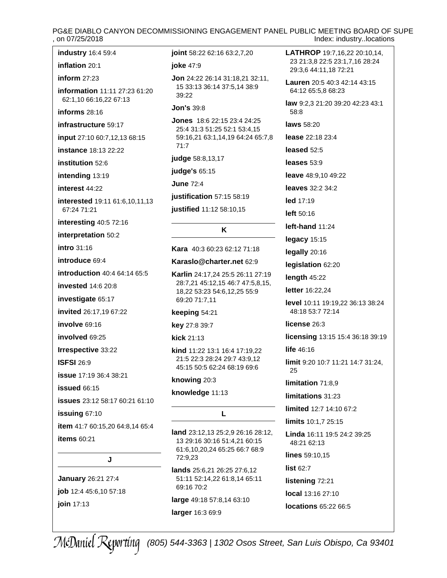# PG&E DIABLO CANYON DECOMMISSIONING ENGAGEMENT PANEL PUBLIC MEETING BOARD OF SUPE<br>on 07/25/2018 Index: industry..locations

**industry** [16:4](#page-15-0) [59:4](#page-58-0)

#### **inflation** [20:1](#page-19-0)

**inform** [27:23](#page-26-0)

**information** [11:11](#page-10-0) [27:23](#page-26-0) [61:20](#page-60-0) [62:1,10](#page-61-0) [66:16,22](#page-65-0) [67:13](#page-66-0)

**informs** [28:16](#page-27-0)

**infrastructure** [59:17](#page-58-0)

**input** [27:10](#page-26-0) [60:7,12,13](#page-59-0) [68:15](#page-67-0)

**instance** [18:13](#page-17-0) [22:22](#page-21-0)

**institution** [52:6](#page-51-0)

**intending** [13:19](#page-12-0)

**interest** [44:22](#page-43-0)

**interested** [19:11](#page-18-0) [61:6,10,11,13](#page-60-0) [67:24](#page-66-0) [71:21](#page-70-0)

**interesting** [40:5](#page-39-0) [72:16](#page-71-0)

**interpretation** [50:2](#page-49-0)

**intro** [31:16](#page-30-0)

**introduce** [69:4](#page-68-0)

**introduction** [40:4](#page-39-0) [64:14](#page-63-0) [65:5](#page-64-0)

**invested** [14:6](#page-13-0) [20:8](#page-19-0)

**investigate** [65:17](#page-64-0)

**invited** [26:17,19](#page-25-0) [67:22](#page-66-0)

**involve** [69:16](#page-68-0)

**involved** [69:25](#page-68-0)

**Irrespective** [33:22](#page-32-0)

**ISFSI** [26:9](#page-25-0)

**issue** [17:19](#page-16-0) [36:4](#page-35-0) [38:21](#page-37-0)

**issued** [66:15](#page-65-0)

**issues** [23:12](#page-22-0) [58:17](#page-57-0) [60:21](#page-59-0) [61:10](#page-60-0)

**issuing** [67:10](#page-66-0)

**item** [41:7](#page-40-0) [60:15,20](#page-59-0) [64:8,14](#page-63-0) [65:4](#page-64-0)

### **items** [60:21](#page-59-0)

**J**

**January** [26:21](#page-25-0) [27:4](#page-26-0) **job** [12:4](#page-11-0) [45:6,10](#page-44-0) [57:18](#page-56-0) **join** [17:13](#page-16-0)

**joint** [58:22](#page-57-0) [62:16](#page-61-0) [63:2,7,20](#page-62-0)

#### **joke** [47:9](#page-46-0)

**Jon** [24:22](#page-23-0) [26:14](#page-25-0) [31:18,21](#page-30-0) [32:11,](#page-31-0) [15](#page-31-0) [33:13](#page-32-0) [36:14](#page-35-0) [37:5,14](#page-36-0) [38:9](#page-37-0) [39:22](#page-38-0)

### **Jon's** [39:8](#page-38-0)

**Jones** [18:6](#page-17-0) [22:15](#page-21-0) [23:4](#page-22-0) [24:25](#page-23-0) [25:4](#page-24-0) [31:3](#page-30-0) [51:25](#page-50-0) [52:1](#page-51-0) [53:4,15](#page-52-0) [59:16,21](#page-58-0) [63:1,14,19](#page-62-0) [64:24](#page-63-0) [65:7,8](#page-64-0) [71:7](#page-70-0)

**judge** [58:8,13,17](#page-57-0)

**judge's** [65:15](#page-64-0)

**June** [72:4](#page-71-0)

**justification** [57:15](#page-56-0) [58:19](#page-57-0)

**justified** [11:12](#page-10-0) [58:10,15](#page-57-0)

### **K**

**Kara** [40:3](#page-39-0) [60:23](#page-59-0) [62:12](#page-61-0) [71:18](#page-70-0)

**[Karaslo@charter.net](mailto:Karaslo@charter.net)** [62:9](#page-61-0)

**Karlin** [24:17,24](#page-23-0) [25:5](#page-24-0) [26:11](#page-25-0) [27:19](#page-26-0) [28:7,21](#page-27-0) [45:12,15](#page-44-0) [46:7](#page-45-0) [47:5,8,15,](#page-46-0) [18,22](#page-46-0) [53:23](#page-52-0) [54:6,12,25](#page-53-0) [55:9](#page-54-0) [69:20](#page-68-0) [71:7,11](#page-70-0)

#### **keeping** [54:21](#page-53-0)

**key** [27:8](#page-26-0) [39:7](#page-38-0)

**kick** [21:13](#page-20-0)

**kind** [11:22](#page-10-0) [13:1](#page-12-0) [16:4](#page-15-0) [17:19,22](#page-16-0) [21:5](#page-20-0) [22:3](#page-21-0) [28:24](#page-27-0) [29:7](#page-28-0) [43:9,12](#page-42-0) [45:15](#page-44-0) [50:5](#page-49-0) [62:24](#page-61-0) [68:19](#page-67-0) [69:6](#page-68-0)

**knowing** [20:3](#page-19-0)

**knowledge** [11:13](#page-10-0)

#### **L**

**land** [23:12,13](#page-22-0) [25:2,9](#page-24-0) [26:16](#page-25-0) [28:12,](#page-27-0) [13](#page-27-0) [29:16](#page-28-0) [30:16](#page-29-0) [51:4,21](#page-50-0) [60:15](#page-59-0) [61:6,10,20,24](#page-60-0) [65:25](#page-64-0) [66:7](#page-65-0) [68:9](#page-67-0) [72:9,23](#page-71-0)

**lands** [25:6,21](#page-24-0) [26:25](#page-25-0) [27:6,12](#page-26-0) [51:11](#page-50-0) [52:14,22](#page-51-0) [61:8,14](#page-60-0) [65:11](#page-64-0) [69:16](#page-68-0) [70:2](#page-69-0)

**large** [49:18](#page-48-0) [57:8,14](#page-56-0) [63:10](#page-62-0)

### **larger** [16:3](#page-15-0) [69:9](#page-68-0)

**LATHROP** [19:7,16,22](#page-18-0) [20:10,14,](#page-19-0) [23](#page-19-0) [21:3,8](#page-20-0) [22:5](#page-21-0) [23:1,7,16](#page-22-0) [28:24](#page-27-0) [29:3,6](#page-28-0) [44:11,18](#page-43-0) [72:21](#page-71-0)

**Lauren** [20:5](#page-19-0) [40:3](#page-39-0) [42:14](#page-41-0) [43:15](#page-42-0) [64:12](#page-63-0) [65:5,8](#page-64-0) [68:23](#page-67-0)

**law** [9:2,3](#page-8-0) [21:20](#page-20-0) [39:20](#page-38-0) [42:23](#page-41-0) [43:1](#page-42-0) [58:8](#page-57-0)

**laws** [58:20](#page-57-0)

**lease** [22:18](#page-21-0) [23:4](#page-22-0)

**leased** [52:5](#page-51-0)

**leases** [53:9](#page-52-0)

**leave** [48:9,10](#page-47-0) [49:22](#page-48-0)

**leaves** [32:2](#page-31-0) [34:2](#page-33-0)

**led** [17:19](#page-16-0)

**left** [50:16](#page-49-0)

**left-hand** [11:24](#page-10-0)

**legacy** [15:15](#page-14-0)

**legally** [20:16](#page-19-0)

**legislation** [62:20](#page-61-0)

**length** [45:22](#page-44-0)

**letter** [16:22,24](#page-15-0)

**level** [10:11](#page-9-0) [19:19,22](#page-18-0) [36:13](#page-35-0) [38:24](#page-37-0) [48:18](#page-47-0) [53:7](#page-52-0) [72:14](#page-71-0)

**license** [26:3](#page-25-0)

**licensing** [13:15](#page-12-0) [15:4](#page-14-0) [36:18](#page-35-0) [39:19](#page-38-0)

**life** [46:16](#page-45-0)

**limit** [9:20](#page-8-0) [10:7](#page-9-0) [11:21](#page-10-0) [14:7](#page-13-0) [31:24,](#page-30-0) [25](#page-30-0)

**limitation** [71:8,9](#page-70-0)

**limitations** [31:23](#page-30-0)

**limited** [12:7](#page-11-0) [14:10](#page-13-0) [67:2](#page-66-0)

**limits** [10:1,7](#page-9-0) [25:15](#page-24-0)

**Linda** [16:11](#page-15-0) [19:5](#page-18-0) [24:2](#page-23-0) [39:25](#page-38-0) [48:21](#page-47-0) [62:13](#page-61-0)

**lines** [59:10,15](#page-58-0)

**list** [62:7](#page-61-0)

**listening** [72:21](#page-71-0)

**local** [13:16](#page-12-0) [27:10](#page-26-0)

**locations** [65:22](#page-64-0) [66:5](#page-65-0)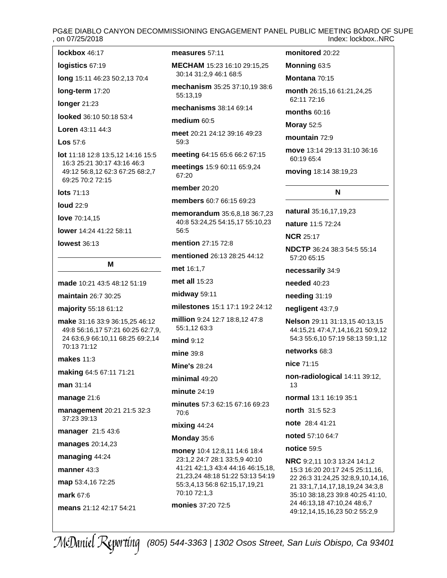# PG&E DIABLO CANYON DECOMMISSIONING ENGAGEMENT PANEL PUBLIC MEETING BOARD OF SUPE Index: lockbox..NRC

| lockbox 46:17 |  |
|---------------|--|
|---------------|--|

**logistics** [67:19](#page-66-0)

**long** [15:11](#page-14-0) [46:23](#page-45-0) [50:2,13](#page-49-0) [70:4](#page-69-0)

**long-term** [17:20](#page-16-0)

**longer** [21:23](#page-20-0)

**looked** [36:10](#page-35-0) [50:18](#page-49-0) [53:4](#page-52-0)

**Loren** [43:11](#page-42-0) [44:3](#page-43-0)

**Los** [57:6](#page-56-0)

**lot** [11:18](#page-10-0) [12:8](#page-11-0) [13:5,12](#page-12-0) [14:16](#page-13-0) [15:5](#page-14-0) [16:3](#page-15-0) [25:21](#page-24-0) [30:17](#page-29-0) [43:16](#page-42-0) [46:3](#page-45-0) [49:12](#page-48-0) [56:8,12](#page-55-0) [62:3](#page-61-0) [67:25](#page-66-0) [68:2,7](#page-67-0) [69:25](#page-68-0) [70:2](#page-69-0) [72:15](#page-71-0)

**lots** [71:13](#page-70-0)

**loud** [22:9](#page-21-0)

**love** [70:14,15](#page-69-0)

**lower** [14:24](#page-13-0) [41:22](#page-40-0) [58:11](#page-57-0)

**lowest** [36:13](#page-35-0)

# **M**

**made** [10:21](#page-9-0) [43:5](#page-42-0) [48:12](#page-47-0) [51:19](#page-50-0)

**maintain** [26:7](#page-25-0) [30:25](#page-29-0)

**majority** [55:18](#page-54-0) [61:12](#page-60-0)

**make** [31:16](#page-30-0) [33:9](#page-32-0) [36:15,25](#page-35-0) [46:12](#page-45-0) [49:8](#page-48-0) [56:16,17](#page-55-0) [57:21](#page-56-0) [60:25](#page-59-0) [62:7,9,](#page-61-0) [24](#page-61-0) [63:6,9](#page-62-0) [66:10,11](#page-65-0) [68:25](#page-67-0) [69:2,14](#page-68-0) [70:13](#page-69-0) [71:12](#page-70-0)

**makes** [11:3](#page-10-0)

**making** [64:5](#page-63-0) [67:11](#page-66-0) [71:21](#page-70-0)

**man** [31:14](#page-30-0)

**manage** [21:6](#page-20-0)

**management** [20:21](#page-19-0) [21:5](#page-20-0) [32:3](#page-31-0) [37:23](#page-36-0) [39:13](#page-38-0)

**manager** [21:5](#page-20-0) [43:6](#page-42-0)

**manages** [20:14,23](#page-19-0)

**managing** [44:24](#page-43-0)

**manner** [43:3](#page-42-0)

**map** [53:4,16](#page-52-0) [72:25](#page-71-0)

**mark** [67:6](#page-66-0)

**means** [21:12](#page-20-0) [42:17](#page-41-0) [54:21](#page-53-0)

#### **measures** [57:11](#page-56-0)

**MECHAM** [15:23](#page-14-0) [16:10](#page-15-0) [29:15,25](#page-28-0) [30:14](#page-29-0) [31:2,9](#page-30-0) [46:1](#page-45-0) [68:5](#page-67-0)

**mechanism** [35:25](#page-34-0) [37:10,19](#page-36-0) [38:6](#page-37-0) [55:13,19](#page-54-0)

**mechanisms** [38:14](#page-37-0) [69:14](#page-68-0)

### **medium** [60:5](#page-59-0)

**meet** [20:21](#page-19-0) [24:12](#page-23-0) [39:16](#page-38-0) [49:23](#page-48-0) [59:3](#page-58-0)

**meeting** [64:15](#page-63-0) [65:6](#page-64-0) [66:2](#page-65-0) [67:15](#page-66-0)

**meetings** [15:9](#page-14-0) [60:11](#page-59-0) [65:9,24](#page-64-0) [67:20](#page-66-0)

### **member** [20:20](#page-19-0)

**members** [60:7](#page-59-0) [66:15](#page-65-0) [69:23](#page-68-0)

**memorandum** [35:6,8,18](#page-34-0) [36:7,23](#page-35-0) [40:8](#page-39-0) [53:24,25](#page-52-0) [54:15,17](#page-53-0) [55:10,23](#page-54-0) [56:5](#page-55-0)

**mention** [27:15](#page-26-0) [72:8](#page-71-0)

**mentioned** [26:13](#page-25-0) [28:25](#page-27-0) [44:12](#page-43-0)

**met** [16:1,7](#page-15-0)

**met all** [15:23](#page-14-0)

**midway** [59:11](#page-58-0)

**milestones** [15:1](#page-14-0) [17:1](#page-16-0) [19:2](#page-18-0) [24:12](#page-23-0)

**million** [9:24](#page-8-0) [12:7](#page-11-0) [18:8,12](#page-17-0) [47:8](#page-46-0) [55:1,12](#page-54-0) [63:3](#page-62-0)

**mind** [9:12](#page-8-0)

**mine** [39:8](#page-38-0)

**Mine's** [28:24](#page-27-0)

**minimal** [49:20](#page-48-0)

**minute** [24:19](#page-23-0)

**minutes** [57:3](#page-56-0) [62:15](#page-61-0) [67:16](#page-66-0) [69:23](#page-68-0) [70:6](#page-69-0)

#### **mixing** [44:24](#page-43-0)

#### **Monday** [35:6](#page-34-0)

**money** [10:4](#page-9-0) [12:8,11](#page-11-0) [14:6](#page-13-0) [18:4](#page-17-0) [23:1,2](#page-22-0) [24:7](#page-23-0) [28:1](#page-27-0) [33:5,9](#page-32-0) [40:10](#page-39-0) [41:21](#page-40-0) [42:1,3](#page-41-0) [43:4](#page-42-0) [44:16](#page-43-0) [46:15,18,](#page-45-0) [21,23,24](#page-45-0) [48:18](#page-47-0) [51:22](#page-50-0) [53:13](#page-52-0) [54:19](#page-53-0) [55:3,4,13](#page-54-0) [56:8](#page-55-0) [62:15,17,19,21](#page-61-0) [70:10](#page-69-0) [72:1,3](#page-71-0)

**monies** [37:20](#page-36-0) [72:5](#page-71-0)

### **monitored** [20:22](#page-19-0)

**Monning** [63:5](#page-62-0)

**Montana** [70:15](#page-69-0)

**month** [26:15,16](#page-25-0) [61:21,24,25](#page-60-0) [62:11](#page-61-0) [72:16](#page-71-0)

**months** [60:16](#page-59-0)

**Moray** [52:5](#page-51-0)

**mountain** [72:9](#page-71-0)

**move** [13:14](#page-12-0) [29:13](#page-28-0) [31:10](#page-30-0) [36:16](#page-35-0) [60:19](#page-59-0) [65:4](#page-64-0)

**moving** [18:14](#page-17-0) [38:19,23](#page-37-0)

### **N**

**natural** [35:16,17,19,23](#page-34-0)

**nature** [11:5](#page-10-0) [72:24](#page-71-0)

**NCR** [25:17](#page-24-0)

**NDCTP** [36:24](#page-35-0) [38:3](#page-37-0) [54:5](#page-53-0) [55:14](#page-54-0) [57:20](#page-56-0) [65:15](#page-64-0)

**necessarily** [34:9](#page-33-0)

**needed** [40:23](#page-39-0)

**needing** [31:19](#page-30-0)

**negligent** [43:7,9](#page-42-0)

**Nelson** [29:11](#page-28-0) [31:13,15](#page-30-0) [40:13,15](#page-39-0) [44:15,21](#page-43-0) [47:4,7,14,16,21](#page-46-0) [50:9,12](#page-49-0) [54:3](#page-53-0) [55:6,10](#page-54-0) [57:19](#page-56-0) [58:13](#page-57-0) [59:1,12](#page-58-0)

**networks** [68:3](#page-67-0)

**nice** [71:15](#page-70-0)

**non-radiological** [14:11](#page-13-0) [39:12,](#page-38-0) [13](#page-38-0)

**normal** [13:1](#page-12-0) [16:19](#page-15-0) [35:1](#page-34-0)

**north** [31:5](#page-30-0) [52:3](#page-51-0)

**note** [28:4](#page-27-0) [41:21](#page-40-0)

**noted** [57:10](#page-56-0) [64:7](#page-63-0)

**notice** [59:5](#page-58-0)

**NRC** [9:2,11](#page-8-0) [10:3](#page-9-0) [13:24](#page-12-0) [14:1,2](#page-13-0) [15:3](#page-14-0) [16:20](#page-15-0) [20:17](#page-19-0) [24:5](#page-23-0) [25:11,16,](#page-24-0) [22](#page-24-0) [26:3](#page-25-0) [31:24,25](#page-30-0) [32:8,9,10,14,16,](#page-31-0) [21](#page-31-0) [33:1,7,14,17,18,19,24](#page-32-0) [34:3,8](#page-33-0) [35:10](#page-34-0) [38:18,23](#page-37-0) [39:8](#page-38-0) [40:25](#page-39-0) [41:10,](#page-40-0) [24](#page-40-0) [46:13,18](#page-45-0) [47:10,24](#page-46-0) [48:6,7](#page-47-0) [49:12,14,15,16,23](#page-48-0) [50:2](#page-49-0) [55:2,9](#page-54-0)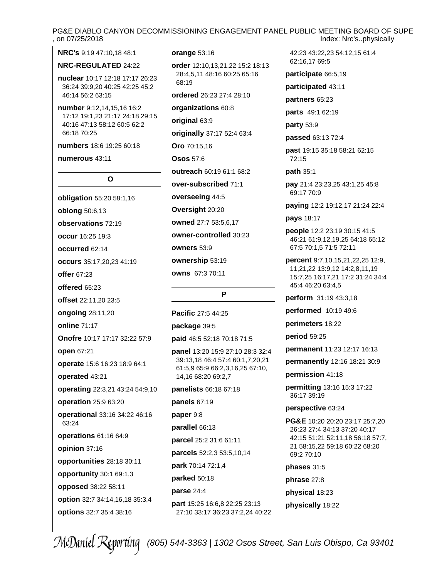# PG&E DIABLO CANYON DECOMMISSIONING ENGAGEMENT PANEL PUBLIC MEETING BOARD OF SUPE<br>. on 07/25/2018 Index: Nrc's..physically

### **NRC's** [9:19](#page-8-0) [47:10,18](#page-46-0) [48:1](#page-47-0)

#### **NRC-REGULATED** [24:22](#page-23-0)

**nuclear** [10:17](#page-9-0) [12:18](#page-11-0) [17:17](#page-16-0) [26:23](#page-25-0) [36:24](#page-35-0) [39:9,20](#page-38-0) [40:25](#page-39-0) [42:25](#page-41-0) [45:2](#page-44-0) [46:14](#page-45-0) [56:2](#page-55-0) [63:15](#page-62-0)

**number** [9:12,14,15,16](#page-8-0) [16:2](#page-15-0) [17:12](#page-16-0) [19:1,23](#page-18-0) [21:17](#page-20-0) [24:18](#page-23-0) [29:15](#page-28-0) [40:16](#page-39-0) [47:13](#page-46-0) [58:12](#page-57-0) [60:5](#page-59-0) [62:2](#page-61-0) [66:18](#page-65-0) [70:25](#page-69-0)

**numbers** [18:6](#page-17-0) [19:25](#page-18-0) [60:18](#page-59-0)

#### **numerous** [43:11](#page-42-0)

### **O**

**obligation** [55:20](#page-54-0) [58:1,16](#page-57-0) **oblong** [50:6,13](#page-49-0) **observations** [72:19](#page-71-0) **occur** [16:25](#page-15-0) [19:3](#page-18-0) **occurred** [62:14](#page-61-0) **occurs** [35:17,20,23](#page-34-0) [41:19](#page-40-0) **offer** [67:23](#page-66-0) **offered** [65:23](#page-64-0) **offset** [22:11,20](#page-21-0) [23:5](#page-22-0) **ongoing** [28:11,20](#page-27-0) **online** [71:17](#page-70-0) **Onofre** [10:17](#page-9-0) [17:17](#page-16-0) [32:22](#page-31-0) [57:9](#page-56-0) **open** [67:21](#page-66-0) **operate** [15:6](#page-14-0) [16:23](#page-15-0) [18:9](#page-17-0) [64:1](#page-63-0) **operated** [43:21](#page-42-0) **operating** [22:3,21](#page-21-0) [43:24](#page-42-0) [54:9,10](#page-53-0) **operation** [25:9](#page-24-0) [63:20](#page-62-0) **operational** [33:16](#page-32-0) [34:22](#page-33-0) [46:16](#page-45-0) [63:24](#page-62-0) **operations** [61:16](#page-60-0) [64:9](#page-63-0) **opinion** [37:16](#page-36-0) **opportunities** [28:18](#page-27-0) [30:11](#page-29-0) **opportunity** [30:1](#page-29-0) [69:1,3](#page-68-0) **opposed** [38:22](#page-37-0) [58:11](#page-57-0) **option** [32:7](#page-31-0) [34:14,16,18](#page-33-0) [35:3,4](#page-34-0) **options** [32:7](#page-31-0) [35:4](#page-34-0) [38:16](#page-37-0)

#### **orange** [53:16](#page-52-0)

**order** [12:10,13,21,22](#page-11-0) [15:2](#page-14-0) [18:13](#page-17-0) [28:4,5,11](#page-27-0) [48:16](#page-47-0) [60:25](#page-59-0) [65:16](#page-64-0) [68:19](#page-67-0)

**ordered** [26:23](#page-25-0) [27:4](#page-26-0) [28:10](#page-27-0)

**organizations** [60:8](#page-59-0)

**original** [63:9](#page-62-0)

**originally** [37:17](#page-36-0) [52:4](#page-51-0) [63:4](#page-62-0)

**Oro** [70:15,16](#page-69-0)

**Osos** [57:6](#page-56-0)

**outreach** [60:19](#page-59-0) [61:1](#page-60-0) [68:2](#page-67-0)

**over-subscribed** [71:1](#page-70-0)

**overseeing** [44:5](#page-43-0)

**Oversight** [20:20](#page-19-0)

**owned** [27:7](#page-26-0) [53:5,6,17](#page-52-0)

**owner-controlled** [30:23](#page-29-0)

**owners** [53:9](#page-52-0)

**ownership** [53:19](#page-52-0)

**owns** [67:3](#page-66-0) [70:11](#page-69-0)

#### **P**

**Pacific** [27:5](#page-26-0) [44:25](#page-43-0)

**package** [39:5](#page-38-0)

**paid** [46:5](#page-45-0) [52:18](#page-51-0) [70:18](#page-69-0) [71:5](#page-70-0)

**panel** [13:20](#page-12-0) [15:9](#page-14-0) [27:10](#page-26-0) [28:3](#page-27-0) [32:4](#page-31-0) [39:13,18](#page-38-0) [46:4](#page-45-0) [57:4](#page-56-0) [60:1,7,20,21](#page-59-0) [61:5,9](#page-60-0) [65:9](#page-64-0) [66:2,3,16,25](#page-65-0) [67:10,](#page-66-0) [14,16](#page-66-0) [68:20](#page-67-0) [69:2,7](#page-68-0)

**panelists** [66:18](#page-65-0) [67:18](#page-66-0)

**panels** [67:19](#page-66-0)

**paper** [9:8](#page-8-0)

**parallel** [66:13](#page-65-0)

**parcel** [25:2](#page-24-0) [31:6](#page-30-0) [61:11](#page-60-0) **parcels** [52:2,3](#page-51-0) [53:5,10,14](#page-52-0)

**park** [70:14](#page-69-0) [72:1,4](#page-71-0)

**parked** [50:18](#page-49-0)

**parse** [24:4](#page-23-0)

**part** [15:25](#page-14-0) [16:6,8](#page-15-0) [22:25](#page-21-0) [23:13](#page-22-0) [27:10](#page-26-0) [33:17](#page-32-0) [36:23](#page-35-0) [37:2,24](#page-36-0) [40:22](#page-39-0)

[42:23](#page-41-0) [43:22,23](#page-42-0) [54:12,15](#page-53-0) [61:4](#page-60-0) [62:16,17](#page-61-0) [69:5](#page-68-0) **participate** [66:5,19](#page-65-0) **participated** [43:11](#page-42-0)

**partners** [65:23](#page-64-0)

**parts** [49:1](#page-48-0) [62:19](#page-61-0)

**party** [53:9](#page-52-0)

**passed** [63:13](#page-62-0) [72:4](#page-71-0)

**past** [19:15](#page-18-0) [35:18](#page-34-0) [58:21](#page-57-0) [62:15](#page-61-0) [72:15](#page-71-0)

**path** [35:1](#page-34-0)

**pay** [21:4](#page-20-0) [23:23,25](#page-22-0) [43:1,25](#page-42-0) [45:8](#page-44-0) [69:17](#page-68-0) [70:9](#page-69-0)

**paying** [12:2](#page-11-0) [19:12,17](#page-18-0) [21:24](#page-20-0) [22:4](#page-21-0)

#### **pays** [18:17](#page-17-0)

**people** [12:2](#page-11-0) [23:19](#page-22-0) [30:15](#page-29-0) [41:5](#page-40-0) [46:21](#page-45-0) [61:9,12,19,25](#page-60-0) [64:18](#page-63-0) [65:12](#page-64-0) [67:5](#page-66-0) [70:1,5](#page-69-0) [71:5](#page-70-0) [72:11](#page-71-0)

**percent** [9:7,10,15,21,22,25](#page-8-0) [12:9,](#page-11-0) [11,21,22](#page-11-0) [13:9,12](#page-12-0) [14:2,8,11,19](#page-13-0) [15:7,25](#page-14-0) [16:17,21](#page-15-0) [17:2](#page-16-0) [31:24](#page-30-0) [34:4](#page-33-0) [45:4](#page-44-0) [46:20](#page-45-0) [63:4,5](#page-62-0)

**perform** [31:19](#page-30-0) [43:3,18](#page-42-0)

**performed** [10:19](#page-9-0) [49:6](#page-48-0)

**perimeters** [18:22](#page-17-0)

**period** [59:25](#page-58-0)

**permanent** [11:23](#page-10-0) [12:17](#page-11-0) [16:13](#page-15-0)

**permanently** [12:16](#page-11-0) [18:21](#page-17-0) [30:9](#page-29-0)

**permission** [41:18](#page-40-0)

**permitting** [13:16](#page-12-0) [15:3](#page-14-0) [17:22](#page-16-0) [36:17](#page-35-0) [39:19](#page-38-0)

**perspective** [63:24](#page-62-0)

**PG&E** [10:20](#page-9-0) [20:20](#page-19-0) [23:17](#page-22-0) [25:7,20](#page-24-0) [26:23](#page-25-0) [27:4](#page-26-0) [34:13](#page-33-0) [37:20](#page-36-0) [40:17](#page-39-0) [42:15](#page-41-0) [51:21](#page-50-0) [52:11,18](#page-51-0) [56:18](#page-55-0) [57:7,](#page-56-0) [21](#page-56-0) [58:15,22](#page-57-0) [59:18](#page-58-0) [60:22](#page-59-0) [68:20](#page-67-0) [69:2](#page-68-0) [70:10](#page-69-0)

**phases** [31:5](#page-30-0)

**phrase** [27:8](#page-26-0)

**physical** [18:23](#page-17-0)

**physically** [18:22](#page-17-0)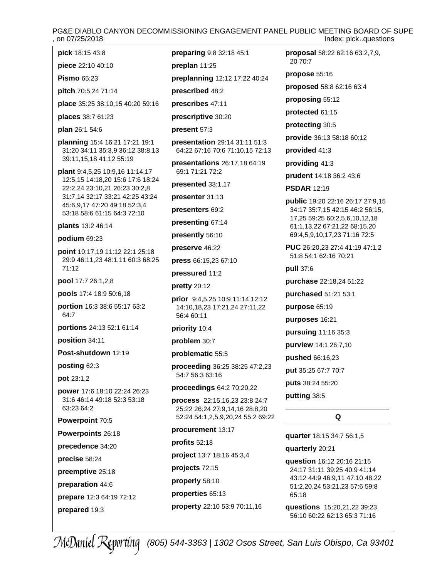# PG&E DIABLO CANYON DECOMMISSIONING ENGAGEMENT PANEL PUBLIC MEETING BOARD OF SUPE<br>on 07/25/2018 Index: pick..questions

- **pick** [18:15](#page-17-0) [43:8](#page-42-0)
- **piece** [22:10](#page-21-0) [40:10](#page-39-0)
- **Pismo** [65:23](#page-64-0)
- **pitch** [70:5,24](#page-69-0) [71:14](#page-70-0)

**place** [35:25](#page-34-0) [38:10,15](#page-37-0) [40:20](#page-39-0) [59:16](#page-58-0)

**places** [38:7](#page-37-0) [61:23](#page-60-0)

**plan** [26:1](#page-25-0) [54:6](#page-53-0)

**planning** [15:4](#page-14-0) [16:21](#page-15-0) [17:21](#page-16-0) [19:1](#page-18-0) [31:20](#page-30-0) [34:11](#page-33-0) [35:3,9](#page-34-0) [36:12](#page-35-0) [38:8,13](#page-37-0) [39:11,15,18](#page-38-0) [41:12](#page-40-0) [55:19](#page-54-0)

**plant** [9:4,5,25](#page-8-0) [10:9,16](#page-9-0) [11:14,17](#page-10-0) [12:5,15](#page-11-0) [14:18,20](#page-13-0) [15:6](#page-14-0) [17:6](#page-16-0) [18:24](#page-17-0) [22:2,24](#page-21-0) [23:10,21](#page-22-0) [26:23](#page-25-0) [30:2,8](#page-29-0) [31:7,14](#page-30-0) [32:17](#page-31-0) [33:21](#page-32-0) [42:25](#page-41-0) [43:24](#page-42-0) [45:6,9,17](#page-44-0) [47:20](#page-46-0) [49:18](#page-48-0) [52:3,4](#page-51-0) [53:18](#page-52-0) [58:6](#page-57-0) [61:15](#page-60-0) [64:3](#page-63-0) [72:10](#page-71-0)

### **plants** [13:2](#page-12-0) [46:14](#page-45-0)

# **podium** [69:23](#page-68-0)

**point** [10:17,19](#page-9-0) [11:12](#page-10-0) [22:1](#page-21-0) [25:18](#page-24-0) [29:9](#page-28-0) [46:11,23](#page-45-0) [48:1,11](#page-47-0) [60:3](#page-59-0) [68:25](#page-67-0) [71:12](#page-70-0)

**pool** [17:7](#page-16-0) [26:1,2,8](#page-25-0)

**pools** [17:4](#page-16-0) [18:9](#page-17-0) [50:6,18](#page-49-0)

- **portion** [16:3](#page-15-0) [38:6](#page-37-0) [55:17](#page-54-0) [63:2](#page-62-0) [64:7](#page-63-0)
- **portions** [24:13](#page-23-0) [52:1](#page-51-0) [61:14](#page-60-0)

**position** [34:11](#page-33-0)

**Post-shutdown** [12:19](#page-11-0)

**posting** [62:3](#page-61-0)

**pot** [23:1,2](#page-22-0)

**power** [17:6](#page-16-0) [18:10](#page-17-0) [22:24](#page-21-0) [26:23](#page-25-0) [31:6](#page-30-0) [46:14](#page-45-0) [49:18](#page-48-0) [52:3](#page-51-0) [53:18](#page-52-0) [63:23](#page-62-0) [64:2](#page-63-0)

**Powerpoint** [70:5](#page-69-0)

**Powerpoints** [26:18](#page-25-0)

**precedence** [34:20](#page-33-0)

**precise** [58:24](#page-57-0)

**preemptive** [25:18](#page-24-0)

**preparation** [44:6](#page-43-0)

**prepare** [12:3](#page-11-0) [64:19](#page-63-0) [72:12](#page-71-0)

**prepared** [19:3](#page-18-0)

**preparing** [9:8](#page-8-0) [32:18](#page-31-0) [45:1](#page-44-0) **preplan** [11:25](#page-10-0)

**preplanning** [12:12](#page-11-0) [17:22](#page-16-0) [40:24](#page-39-0)

**prescribed** [48:2](#page-47-0)

**prescribes** [47:11](#page-46-0)

**prescriptive** [30:20](#page-29-0)

**present** [57:3](#page-56-0)

**presentation** [29:14](#page-28-0) [31:11](#page-30-0) [51:3](#page-50-0) [64:22](#page-63-0) [67:16](#page-66-0) [70:6](#page-69-0) [71:10,15](#page-70-0) [72:13](#page-71-0)

**presentations** [26:17,18](#page-25-0) [64:19](#page-63-0) [69:1](#page-68-0) [71:21](#page-70-0) [72:2](#page-71-0)

**presented** [33:1,17](#page-32-0)

**presenter** [31:13](#page-30-0)

**presenters** [69:2](#page-68-0)

**presenting** [67:14](#page-66-0)

**presently** [56:10](#page-55-0)

**preserve** [46:22](#page-45-0)

**press** [66:15,23](#page-65-0) [67:10](#page-66-0)

**pressured** [11:2](#page-10-0)

**pretty** [20:12](#page-19-0)

**prior** [9:4,5,25](#page-8-0) [10:9](#page-9-0) [11:14](#page-10-0) [12:12](#page-11-0) [14:10,18,23](#page-13-0) [17:21,24](#page-16-0) [27:11,22](#page-26-0) [56:4](#page-55-0) [60:11](#page-59-0)

**priority** [10:4](#page-9-0)

**problem** [30:7](#page-29-0)

**problematic** [55:5](#page-54-0)

**proceeding** [36:25](#page-35-0) [38:25](#page-37-0) [47:2,23](#page-46-0) [54:7](#page-53-0) [56:3](#page-55-0) [63:16](#page-62-0)

**proceedings** [64:2](#page-63-0) [70:20,22](#page-69-0)

**process** [22:15,16,23](#page-21-0) [23:8](#page-22-0) [24:7](#page-23-0) [25:22](#page-24-0) [26:24](#page-25-0) [27:9,14,16](#page-26-0) [28:8,20](#page-27-0) [52:24](#page-51-0) [54:1,2,5,9,20,24](#page-53-0) [55:2](#page-54-0) [69:22](#page-68-0)

**procurement** [13:17](#page-12-0)

**profits** [52:18](#page-51-0) **project** [13:7](#page-12-0) [18:16](#page-17-0) [45:3,4](#page-44-0)

**projects** [72:15](#page-71-0)

**properly** [58:10](#page-57-0)

**properties** [65:13](#page-64-0)

**property** [22:10](#page-21-0) [53:9](#page-52-0) [70:11,16](#page-69-0)

**proposal** [58:22](#page-57-0) [62:16](#page-61-0) [63:2,7,9,](#page-62-0) [20](#page-62-0) [70:7](#page-69-0)

**propose** [55:16](#page-54-0)

**proposed** [58:8](#page-57-0) [62:16](#page-61-0) [63:4](#page-62-0)

**proposing** [55:12](#page-54-0)

**protected** [61:15](#page-60-0)

**protecting** [30:5](#page-29-0)

**provide** [36:13](#page-35-0) [58:18](#page-57-0) [60:12](#page-59-0)

**provided** [41:3](#page-40-0)

**providing** [41:3](#page-40-0)

**prudent** [14:18](#page-13-0) [36:2](#page-35-0) [43:6](#page-42-0)

**PSDAR** [12:19](#page-11-0)

**public** [19:20](#page-18-0) [22:16](#page-21-0) [26:17](#page-25-0) [27:9,15](#page-26-0) [34:17](#page-33-0) [35:7,15](#page-34-0) [42:15](#page-41-0) [46:2](#page-45-0) [56:15,](#page-55-0) [17,25](#page-55-0) [59:25](#page-58-0) [60:2,5,6,10,12,18](#page-59-0) [61:1,13,22](#page-60-0) [67:21,22](#page-66-0) [68:15,20](#page-67-0) [69:4,5,9,10,17,23](#page-68-0) [71:16](#page-70-0) [72:5](#page-71-0)

**PUC** [26:20,23](#page-25-0) [27:4](#page-26-0) [41:19](#page-40-0) [47:1,2](#page-46-0) [51:8](#page-50-0) [54:1](#page-53-0) [62:16](#page-61-0) [70:21](#page-69-0)

**pull** [37:6](#page-36-0)

**purchase** [22:18,24](#page-21-0) [51:22](#page-50-0)

**purchased** [51:21](#page-50-0) [53:1](#page-52-0)

**purpose** [65:19](#page-64-0)

**purposes** [16:21](#page-15-0)

**pursuing** [11:16](#page-10-0) [35:3](#page-34-0)

**purview** [14:1](#page-13-0) [26:7,10](#page-25-0)

**pushed** [66:16,23](#page-65-0)

**put** [35:25](#page-34-0) [67:7](#page-66-0) [70:7](#page-69-0)

**puts** [38:24](#page-37-0) [55:20](#page-54-0)

**putting** [38:5](#page-37-0)

**Q**

**quarter** [18:15](#page-17-0) [34:7](#page-33-0) [56:1,5](#page-55-0)

**quarterly** [20:21](#page-19-0)

**question** [16:12](#page-15-0) [20:16](#page-19-0) [21:15](#page-20-0) [24:17](#page-23-0) [31:11](#page-30-0) [39:25](#page-38-0) [40:9](#page-39-0) [41:14](#page-40-0) [43:12](#page-42-0) [44:9](#page-43-0) [46:9,11](#page-45-0) [47:10](#page-46-0) [48:22](#page-47-0) [51:2,20,24](#page-50-0) [53:21,23](#page-52-0) [57:6](#page-56-0) [59:8](#page-58-0) [65:18](#page-64-0)

**questions** [15:20,21,22](#page-14-0) [39:23](#page-38-0) [56:10](#page-55-0) [60:22](#page-59-0) [62:13](#page-61-0) [65:3](#page-64-0) [71:16](#page-70-0)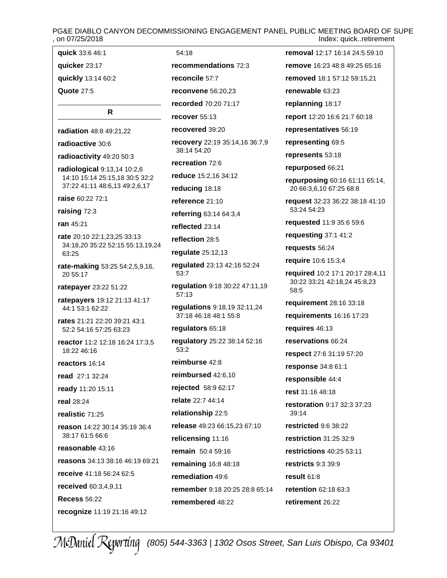# PG&E DIABLO CANYON DECOMMISSIONING ENGAGEMENT PANEL PUBLIC MEETING BOARD OF SUPE<br>on 07/25/2018 Index: quick..retirement

**recommendations** [72:3](#page-71-0)

[54:18](#page-53-0)

**reconcile** [57:7](#page-56-0)

**recover** [55:13](#page-54-0) **recovered** [39:20](#page-38-0)

[38:14](#page-37-0) [54:20](#page-53-0) **recreation** [72:6](#page-71-0)

**reducing** [18:18](#page-17-0) **reference** [21:10](#page-20-0)

**reflected** [23:14](#page-22-0) **reflection** [28:5](#page-27-0) **regulate** [25:12,13](#page-24-0)

[53:7](#page-52-0)

[57:13](#page-56-0)

[53:2](#page-52-0)

**regulators** [65:18](#page-64-0)

**reimburse** [42:8](#page-41-0)

**relate** [22:7](#page-21-0) [44:14](#page-43-0) **relationship** [22:5](#page-21-0)

**remediation** [49:6](#page-48-0)

**quick** [33:6](#page-32-0) [46:1](#page-45-0) **quicker** [23:17](#page-22-0) **quickly** [13:14](#page-12-0) [60:2](#page-59-0) **Quote** [27:5](#page-26-0) **R radiation** [48:8](#page-47-0) [49:21,22](#page-48-0) **radioactive** [30:6](#page-29-0) **radioactivity** [49:20](#page-48-0) [50:3](#page-49-0) **radiological** [9:13,14](#page-8-0) [10:2,6](#page-9-0) [14:10](#page-13-0) [15:14](#page-14-0) [25:15,18](#page-24-0) [30:5](#page-29-0) [32:2](#page-31-0) [37:22](#page-36-0) [41:11](#page-40-0) [48:6,13](#page-47-0) [49:2,6,17](#page-48-0) **raise** [60:22](#page-59-0) [72:1](#page-71-0) **raising** [72:3](#page-71-0) **ran** [45:21](#page-44-0) **rate** [20:10](#page-19-0) [22:1,23,25](#page-21-0) [33:13](#page-32-0) [34:18,20](#page-33-0) [35:22](#page-34-0) [52:15](#page-51-0) [55:13,19,24](#page-54-0) [63:25](#page-62-0) **rate-making** [53:25](#page-52-0) [54:2,5,9,16,](#page-53-0) [20](#page-53-0) [55:17](#page-54-0) **ratepayer** [23:22](#page-22-0) [51:22](#page-50-0) **ratepayers** [19:12](#page-18-0) [21:13](#page-20-0) [41:17](#page-40-0) [44:1](#page-43-0) [53:1](#page-52-0) [62:22](#page-61-0) **rates** [21:21](#page-20-0) [22:20](#page-21-0) [39:21](#page-38-0) [43:1](#page-42-0) [52:2](#page-51-0) [54:16](#page-53-0) [57:25](#page-56-0) [63:23](#page-62-0) **reactor** [11:2](#page-10-0) [12:18](#page-11-0) [16:24](#page-15-0) [17:3,5](#page-16-0) [18:22](#page-17-0) [46:16](#page-45-0) **reactors** [16:14](#page-15-0) **read** [27:1](#page-26-0) [32:24](#page-31-0) **ready** [11:20](#page-10-0) [15:11](#page-14-0) **real** [28:24](#page-27-0) **realistic** [71:25](#page-70-0) **reason** [14:22](#page-13-0) [30:14](#page-29-0) [35:19](#page-34-0) [36:4](#page-35-0) [38:17](#page-37-0) [61:5](#page-60-0) [66:6](#page-65-0) **reasonable** [43:16](#page-42-0) **reasons** [34:13](#page-33-0) [38:16](#page-37-0) [46:19](#page-45-0) [69:21](#page-68-0) **receive** [41:18](#page-40-0) [56:24](#page-55-0) [62:5](#page-61-0) **received** [60:3,4,9,11](#page-59-0) **Recess** [56:22](#page-55-0)

**recognize** [11:19](#page-10-0) [21:16](#page-20-0) [49:12](#page-48-0)

**reconvene** [56:20,23](#page-55-0) **recorded** [70:20](#page-69-0) [71:17](#page-70-0) **recovery** [22:19](#page-21-0) [35:14,16](#page-34-0) [36:7,9](#page-35-0) **reduce** [15:2,16](#page-14-0) [34:12](#page-33-0) **referring** [63:14](#page-62-0) [64:3,4](#page-63-0) **regulated** [23:13](#page-22-0) [42:16](#page-41-0) [52:24](#page-51-0) **regulation** [9:18](#page-8-0) [30:22](#page-29-0) [47:11,19](#page-46-0) **regulations** [9:18,19](#page-8-0) [32:11,24](#page-31-0) [37:18](#page-36-0) [46:18](#page-45-0) [48:1](#page-47-0) [55:8](#page-54-0) **regulatory** [25:22](#page-24-0) [38:14](#page-37-0) [52:16](#page-51-0) **reimbursed** [42:6,10](#page-41-0) **rejected** [58:9](#page-57-0) [62:17](#page-61-0) **release** [49:23](#page-48-0) [66:15,23](#page-65-0) [67:10](#page-66-0) **relicensing** [11:16](#page-10-0) **remain** [50:4](#page-49-0) [59:16](#page-58-0) **remaining** [16:8](#page-15-0) [48:18](#page-47-0) **remember** [9:18](#page-8-0) [20:25](#page-19-0) [28:8](#page-27-0) [65:14](#page-64-0) **remembered** [48:22](#page-47-0) **removed** [18:1](#page-17-0) [57:12](#page-56-0) [59:15,21](#page-58-0) **renewable** [63:23](#page-62-0) **replanning** [18:17](#page-17-0) **report** [12:20](#page-11-0) [16:6](#page-15-0) [21:7](#page-20-0) [60:18](#page-59-0) **representatives** [56:19](#page-55-0) **representing** [69:5](#page-68-0) **represents** [53:18](#page-52-0) **repurposed** [66:21](#page-65-0) **repurposing** [60:16](#page-59-0) [61:11](#page-60-0) [65:14,](#page-64-0) [20](#page-64-0) [66:3,6,10](#page-65-0) [67:25](#page-66-0) [68:8](#page-67-0) **request** [32:23](#page-31-0) [36:22](#page-35-0) [38:18](#page-37-0) [41:10](#page-40-0) [53:24](#page-52-0) [54:23](#page-53-0) **requested** [11:9](#page-10-0) [35:6](#page-34-0) [59:6](#page-58-0) **requesting** [37:1](#page-36-0) [41:2](#page-40-0) **requests** [56:24](#page-55-0) **require** [10:6](#page-9-0) [15:3,4](#page-14-0) **required** [10:2](#page-9-0) [17:1](#page-16-0) [20:17](#page-19-0) [28:4,11](#page-27-0) [30:22](#page-29-0) [33:21](#page-32-0) [42:18,24](#page-41-0) [45:8,23](#page-44-0) [58:5](#page-57-0) **requirement** [28:16](#page-27-0) [33:18](#page-32-0) **requirements** [16:16](#page-15-0) [17:23](#page-16-0) **requires** [46:13](#page-45-0) **reservations** [66:24](#page-65-0) **respect** [27:6](#page-26-0) [31:19](#page-30-0) [57:20](#page-56-0) **response** [34:8](#page-33-0) [61:1](#page-60-0) **responsible** [44:4](#page-43-0) **rest** [31:16](#page-30-0) [48:18](#page-47-0) **restoration** [9:17](#page-8-0) [32:3](#page-31-0) [37:23](#page-36-0) [39:14](#page-38-0) **restricted** [9:6](#page-8-0) [38:22](#page-37-0) **restriction** [31:25](#page-30-0) [32:9](#page-31-0) **restrictions** [40:25](#page-39-0) [53:11](#page-52-0) **restricts** [9:3](#page-8-0) [39:9](#page-38-0) **result** [61:8](#page-60-0) **retention** [62:18](#page-61-0) [63:3](#page-62-0) **retirement** [26:22](#page-25-0)

**removal** [12:17](#page-11-0) [16:14](#page-15-0) [24:5](#page-23-0) [59:10](#page-58-0) **remove** [16:23](#page-15-0) [48:8](#page-47-0) [49:25](#page-48-0) [65:16](#page-64-0)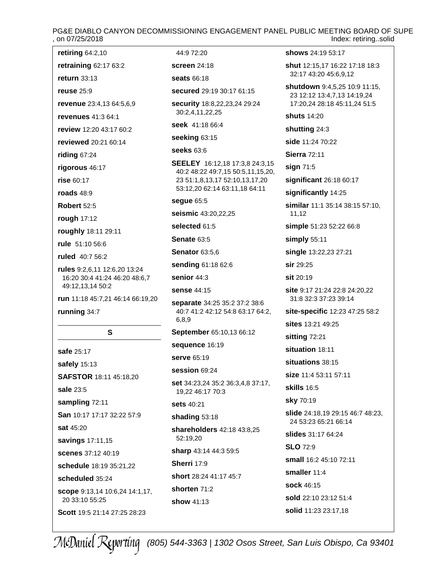# PG&E DIABLO CANYON DECOMMISSIONING ENGAGEMENT PANEL PUBLIC MEETING BOARD OF SUPE<br>on 07/25/2018 – Index: retiring..solid Index: retiring..solid

**retiring** [64:2,10](#page-63-0)

**retraining** [62:17](#page-61-0) [63:2](#page-62-0)

**return** [33:13](#page-32-0) **reuse** [25:9](#page-24-0)

**revenue** [23:4,13](#page-22-0) [64:5,6,9](#page-63-0)

**revenues** [41:3](#page-40-0) [64:1](#page-63-0)

**review** [12:20](#page-11-0) [43:17](#page-42-0) [60:2](#page-59-0)

**reviewed** [20:21](#page-19-0) [60:14](#page-59-0)

**riding** [67:24](#page-66-0)

**rigorous** [46:17](#page-45-0)

**rise** [60:17](#page-59-0)

**roads** [48:9](#page-47-0)

**Robert** [52:5](#page-51-0)

**rough** [17:12](#page-16-0)

**roughly** [18:11](#page-17-0) [29:11](#page-28-0)

**rule** [51:10](#page-50-0) [56:6](#page-55-0)

**ruled** [40:7](#page-39-0) [56:2](#page-55-0)

**rules** [9:2,6,11](#page-8-0) [12:6,20](#page-11-0) [13:24](#page-12-0) [16:20](#page-15-0) [30:4](#page-29-0) [41:24](#page-40-0) [46:20](#page-45-0) [48:6,7](#page-47-0) [49:12,13,14](#page-48-0) [50:2](#page-49-0)

**run** [11:18](#page-10-0) [45:7,21](#page-44-0) [46:14](#page-45-0) [66:19,20](#page-65-0)

**running** [34:7](#page-33-0)

### **S**

**safe** [25:17](#page-24-0) **safely** [15:13](#page-14-0) **SAFSTOR** [18:11](#page-17-0) [45:18,20](#page-44-0) **sale** [23:5](#page-22-0) **sampling** [72:11](#page-71-0) **San** [10:17](#page-9-0) [17:17](#page-16-0) [32:22](#page-31-0) [57:9](#page-56-0) **sat** [45:20](#page-44-0) **savings** [17:11,15](#page-16-0) **scenes** [37:12](#page-36-0) [40:19](#page-39-0) **schedule** [18:19](#page-17-0) [35:21,22](#page-34-0) **scheduled** [35:24](#page-34-0) **scope** [9:13,14](#page-8-0) [10:6,24](#page-9-0) [14:1,17,](#page-13-0) [20](#page-13-0) [33:10](#page-32-0) [55:25](#page-54-0)

**Scott** [19:5](#page-18-0) [21:14](#page-20-0) [27:25](#page-26-0) [28:23](#page-27-0)

[44:9](#page-43-0) [72:20](#page-71-0) **screen** [24:18](#page-23-0)

**seats** [66:18](#page-65-0)

**secured** [29:19](#page-28-0) [30:17](#page-29-0) [61:15](#page-60-0)

**security** [18:8,22,23,24](#page-17-0) [29:24](#page-28-0) [30:2,4,11,22,25](#page-29-0)

**seek** [41:18](#page-40-0) [66:4](#page-65-0)

**seeking** [63:15](#page-62-0)

**seeks** [63:6](#page-62-0)

**SEELEY** [16:12,18](#page-15-0) [17:3,8](#page-16-0) [24:3,15](#page-23-0) [40:2](#page-39-0) [48:22](#page-47-0) [49:7,15](#page-48-0) [50:5,11,15,20,](#page-49-0) [23](#page-49-0) [51:1,8,13,17](#page-50-0) [52:10,13,17,20](#page-51-0) [53:12,20](#page-52-0) [62:14](#page-61-0) [63:11,18](#page-62-0) [64:11](#page-63-0)

**segue** [65:5](#page-64-0)

**seismic** [43:20,22,25](#page-42-0)

**selected** [61:5](#page-60-0)

**Senate** [63:5](#page-62-0)

**Senator** [63:5,6](#page-62-0)

**sending** [61:18](#page-60-0) [62:6](#page-61-0)

**senior** [44:3](#page-43-0)

**sense** [44:15](#page-43-0)

**separate** [34:25](#page-33-0) [35:2](#page-34-0) [37:2](#page-36-0) [38:6](#page-37-0) [40:7](#page-39-0) [41:2](#page-40-0) [42:12](#page-41-0) [54:8](#page-53-0) [63:17](#page-62-0) [64:2,](#page-63-0) [6,8,9](#page-63-0)

**September** [65:10,13](#page-64-0) [66:12](#page-65-0)

**sequence** [16:19](#page-15-0)

**serve** [65:19](#page-64-0)

**session** [69:24](#page-68-0)

**set** [34:23,24](#page-33-0) [35:2](#page-34-0) [36:3,4,8](#page-35-0) [37:17,](#page-36-0) [19,22](#page-36-0) [46:17](#page-45-0) [70:3](#page-69-0)

**sets** [40:21](#page-39-0)

**shading** [53:18](#page-52-0)

**shareholders** [42:18](#page-41-0) [43:8,25](#page-42-0) [52:19,20](#page-51-0)

**sharp** [43:14](#page-42-0) [44:3](#page-43-0) [59:5](#page-58-0)

**Sherri** [17:9](#page-16-0)

**short** [28:24](#page-27-0) [41:17](#page-40-0) [45:7](#page-44-0)

**shorten** [71:2](#page-70-0)

**show** [41:13](#page-40-0)

**shows** [24:19](#page-23-0) [53:17](#page-52-0)

**shut** [12:15,17](#page-11-0) [16:22](#page-15-0) [17:18](#page-16-0) [18:3](#page-17-0) [32:17](#page-31-0) [43:20](#page-42-0) [45:6,9,12](#page-44-0)

**shutdown** [9:4,5,25](#page-8-0) [10:9](#page-9-0) [11:15,](#page-10-0) [23](#page-10-0) [12:12](#page-11-0) [13:4,7,13](#page-12-0) [14:19,24](#page-13-0) [17:20,24](#page-16-0) [28:18](#page-27-0) [45:11,24](#page-44-0) [51:5](#page-50-0)

**shuts** [14:20](#page-13-0)

**shutting** [24:3](#page-23-0)

**side** [11:24](#page-10-0) [70:22](#page-69-0)

**Sierra** [72:11](#page-71-0)

**sign** [71:5](#page-70-0)

**significant** [26:18](#page-25-0) [60:17](#page-59-0)

**significantly** [14:25](#page-13-0)

**similar** [11:1](#page-10-0) [35:14](#page-34-0) [38:15](#page-37-0) [57:10,](#page-56-0) [11,12](#page-56-0)

**simple** [51:23](#page-50-0) [52:22](#page-51-0) [66:8](#page-65-0)

**simply** [55:11](#page-54-0)

**single** [13:22,23](#page-12-0) [27:21](#page-26-0)

**sir** [29:25](#page-28-0)

**sit** [20:19](#page-19-0)

**site** [9:17](#page-8-0) [21:24](#page-20-0) [22:8](#page-21-0) [24:20,22](#page-23-0) [31:8](#page-30-0) [32:3](#page-31-0) [37:23](#page-36-0) [39:14](#page-38-0)

**site-specific** [12:23](#page-11-0) [47:25](#page-46-0) [58:2](#page-57-0)

**sites** [13:21](#page-12-0) [49:25](#page-48-0)

**sitting** [72:21](#page-71-0)

**situation** [18:11](#page-17-0)

**situations** [38:15](#page-37-0)

**size** [11:4](#page-10-0) [53:11](#page-52-0) [57:11](#page-56-0)

**skills** [16:5](#page-15-0)

**sky** [70:19](#page-69-0)

**slide** [24:18,19](#page-23-0) [29:15](#page-28-0) [46:7](#page-45-0) [48:23,](#page-47-0) [24](#page-47-0) [53:23](#page-52-0) [65:21](#page-64-0) [66:14](#page-65-0)

**slides** [31:17](#page-30-0) [64:24](#page-63-0)

**SLO** [72:9](#page-71-0)

**small** [16:2](#page-15-0) [45:10](#page-44-0) [72:11](#page-71-0)

**smaller** [11:4](#page-10-0)

**sock** [46:15](#page-45-0)

**sold** [22:10](#page-21-0) [23:12](#page-22-0) [51:4](#page-50-0)

**solid** [11:23](#page-10-0) [23:17,18](#page-22-0)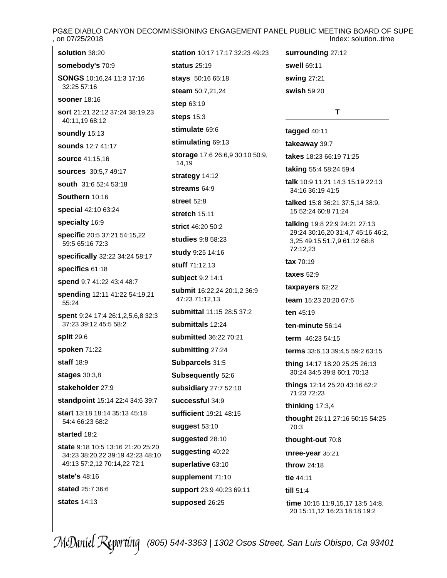# PG&E DIABLO CANYON DECOMMISSIONING ENGAGEMENT PANEL PUBLIC MEETING BOARD OF SUPE<br>ndex: solution..time [1] on 07/25/2018 Index: solution..time

| solution 38:20                                                        | <b>station</b> 10:17 17:17 32:23 49:23   | surrounding 27:12                                                 |
|-----------------------------------------------------------------------|------------------------------------------|-------------------------------------------------------------------|
| somebody's 70:9                                                       | <b>status</b> 25:19                      | swell 69:11                                                       |
| SONGS 10:16,24 11:3 17:16                                             | stays 50:16 65:18                        | swing 27:21                                                       |
| 32:25 57:16                                                           | steam 50:7,21,24                         | swish 59:20                                                       |
| <b>sooner</b> 18:16                                                   | <b>step 63:19</b>                        |                                                                   |
| sort 21:21 22:12 37:24 38:19,23<br>40:11,19 68:12                     | steps $15:3$                             | т                                                                 |
| soundly 15:13                                                         | stimulate 69:6                           | tagged 40:11                                                      |
| sounds 12:7 41:17                                                     | stimulating 69:13                        | takeaway 39:7                                                     |
| <b>source 41:15,16</b>                                                | storage 17:6 26:6,9 30:10 50:9,<br>14,19 | takes 18:23 66:19 71:25                                           |
| <b>sources</b> 30:5,7 49:17                                           | strategy 14:12                           | taking 55:4 58:24 59:4                                            |
| south 31:6 52:4 53:18                                                 | streams 64:9                             | <b>talk</b> 10:9 11:21 14:3 15:19 22:13                           |
| Southern 10:16                                                        | <b>street</b> 52:8                       | 34:16 36:19 41:5                                                  |
| special 42:10 63:24                                                   | stretch $15:11$                          | talked 15:8 36:21 37:5,14 38:9,<br>15 52:24 60:8 71:24            |
| specialty 16:9                                                        | <b>strict</b> 46:20 50:2                 | talking 19:8 22:9 24:21 27:13                                     |
| specific 20:5 37:21 54:15,22                                          | studies 9:8 58:23                        | 29:24 30:16,20 31:4,7 45:16 46:2,<br>3,25 49:15 51:7,9 61:12 68:8 |
| 59:5 65:16 72:3                                                       | study 9:25 14:16                         | 72:12,23                                                          |
| specifically 32:22 34:24 58:17                                        | stuff 71:12,13                           | $\textbf{tax}$ 70:19                                              |
| specifics 61:18                                                       | subject 9:2 14:1                         | <b>taxes</b> 52:9                                                 |
| spend 9:7 41:22 43:4 48:7                                             | submit 16:22,24 20:1,2 36:9              | taxpayers 62:22                                                   |
| spending 12:11 41:22 54:19,21<br>55:24                                | 47:23 71:12,13                           | team 15:23 20:20 67:6                                             |
| spent 9:24 17:4 26:1,2,5,6,8 32:3                                     | submittal 11:15 28:5 37:2                | ten 45:19                                                         |
| 37:23 39:12 45:5 58:2                                                 | submittals 12:24                         | ten-minute 56:14                                                  |
| <b>split 29:6</b>                                                     | submitted 36:22 70:21                    | term 46:23 54:15                                                  |
| spoken 71:22                                                          | submitting 27:24                         | terms 33:6,13 39:4,5 59:2 63:15                                   |
| <b>staff</b> 18:9                                                     | Subparcels 31:5                          | thing 14:17 18:20 25:25 26:13                                     |
| stages $30:3,8$                                                       | Subsequently 52:6                        | 30:24 34:5 39:8 60:1 70:13                                        |
| stakeholder 27:9                                                      | subsidiary 27:7 52:10                    | <b>things</b> 12:14 25:20 43:16 62:2<br>71:23 72:23               |
| standpoint 15:14 22:4 34:6 39:7                                       | successful 34:9                          | thinking 17:3,4                                                   |
| <b>start</b> 13:18 18:14 35:13 45:18                                  | sufficient 19:21 48:15                   | thought 26:11 27:16 50:15 54:25                                   |
| 54:4 66:23 68:2                                                       | suggest 53:10                            | 70:3                                                              |
| started 18:2                                                          | suggested 28:10                          | thought-out 70:8                                                  |
| state 9:18 10:5 13:16 21:20 25:20<br>34:23 38:20,22 39:19 42:23 48:10 | suggesting 40:22                         | three-year 35:21                                                  |
| 49:13 57:2,12 70:14,22 72:1                                           | superlative 63:10                        | throw 24:18                                                       |
| state's 48:16                                                         | supplement 71:10                         | tie 44:11                                                         |
| <b>stated</b> 25:7 36:6                                               | support 23:9 40:23 69:11                 | till 51:4                                                         |
| <b>states</b> 14:13                                                   | supposed 26:25                           | time 10:15 11:9,15,17 13:5 14:8,<br>20 15:11,12 16:23 18:18 19:2  |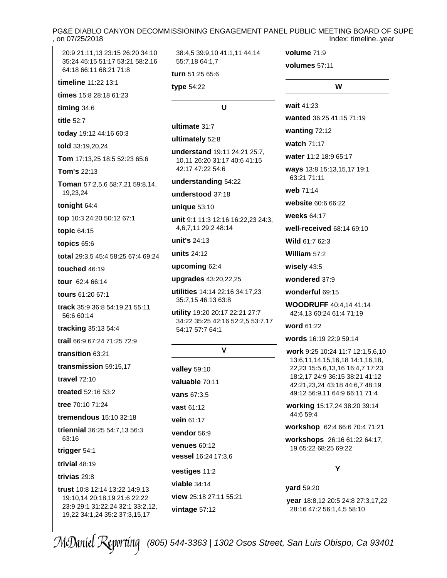### PG&E DIABLO CANYON DECOMMISSIONING ENGAGEMENT PANEL PUBLIC MEETING BOARD OF SUPE , on 07/25/2018 Index: timeline..year

| 20:9 21:11,13 23:15 26:20 34:10<br>35:24 45:15 51:17 53:21 58:2,16<br>64:18 66:11 68:21 71:8 | 38:4,5 39:9,10 41:1,11 44:14<br>55:7.18 64:1.7       | volume 71:9<br>volumes 57:11                                       |
|----------------------------------------------------------------------------------------------|------------------------------------------------------|--------------------------------------------------------------------|
| timeline 11:22 13:1                                                                          | turn 51:25 65:6                                      |                                                                    |
| times 15:8 28:18 61:23                                                                       | type 54:22                                           | W                                                                  |
| timing 34:6                                                                                  | U                                                    | wait 41:23                                                         |
| title 52:7                                                                                   |                                                      | wanted 36:25 41:15 71:19                                           |
| today 19:12 44:16 60:3                                                                       | ultimate 31:7                                        | wanting 72:12                                                      |
| told 33:19,20,24                                                                             | ultimately 52:8                                      | watch 71:17                                                        |
| Tom 17:13,25 18:5 52:23 65:6                                                                 | understand 19:11 24:21 25:7,                         | water 11:2 18:9 65:17                                              |
| <b>Tom's 22:13</b>                                                                           | 10,11 26:20 31:17 40:6 41:15<br>42:17 47:22 54:6     | ways 13:8 15:13,15,17 19:1                                         |
|                                                                                              | understanding 54:22                                  | 63:21 71:11                                                        |
| Toman 57:2,5,6 58:7,21 59:8,14,<br>19,23,24                                                  | understood 37:18                                     | web 71:14                                                          |
| tonight 64:4                                                                                 | unique 53:10                                         | website 60:6 66:22                                                 |
| top 10:3 24:20 50:12 67:1                                                                    | unit 9:1 11:3 12:16 16:22,23 24:3,                   | weeks 64:17                                                        |
| topic 64:15                                                                                  | 4,6,7,11 29:2 48:14                                  | well-received 68:14 69:10                                          |
| topics 65:6                                                                                  | unit's 24:13                                         | Wild 61:7 62:3                                                     |
| total 29:3,5 45:4 58:25 67:4 69:24                                                           | units 24:12                                          | William 57:2                                                       |
| touched 46:19                                                                                | upcoming 62:4                                        | wisely 43:5                                                        |
| tour 62:4 66:14                                                                              | upgrades 43:20,22,25                                 | wondered 37:9                                                      |
| tours 61:20 67:1                                                                             | utilities 14:14 22:16 34:17,23                       | wonderful 69:15                                                    |
| track 35:9 36:8 54:19,21 55:11<br>56:6 60:14                                                 | 35:7,15 46:13 63:8<br>utility 19:20 20:17 22:21 27:7 | <b>WOODRUFF</b> 40:4,14 41:14<br>42:4,13 60:24 61:4 71:19          |
| tracking 35:13 54:4                                                                          | 34:22 35:25 42:16 52:2,5 53:7,17<br>54:17 57:7 64:1  | word 61:22                                                         |
| trail 66:9 67:24 71:25 72:9                                                                  |                                                      | words 16:19 22:9 59:14                                             |
| transition 63:21                                                                             | V                                                    | work 9:25 10:24 11:7 12:1,5,6,10                                   |
| transmission 59:15,17                                                                        | valley 59:10                                         | 13:6,11,14,15,16,18 14:1,16,18,<br>22,23 15:5,6,13,16 16:4,7 17:23 |
| <b>travel 72:10</b>                                                                          | valuable 70:11                                       | 18:2,17 24:9 36:15 38:21 41:12                                     |
| treated 52:16 53:2                                                                           | <b>vans 67:3,5</b>                                   | 42:21,23,24 43:18 44:6,7 48:19<br>49:12 56:9,11 64:9 66:11 71:4    |
| tree 70:10 71:24                                                                             | vast 61:12                                           | working 15:17,24 38:20 39:14                                       |
| tremendous 15:10 32:18                                                                       | vein 61:17                                           | 44:6 59:4                                                          |
| triennial 36:25 54:7,13 56:3                                                                 | vendor 56:9                                          | workshop 62:4 66:6 70:4 71:21                                      |
| 63:16<br>trigger 54:1                                                                        | <b>venues 60:12</b>                                  | workshops 26:16 61:22 64:17,<br>19 65:22 68:25 69:22               |
| trivial 48:19                                                                                | vessel 16:24 17:3,6                                  |                                                                    |
| trivias 29:8                                                                                 | vestiges 11:2                                        | Y                                                                  |
|                                                                                              | viable $34:14$                                       | <b>yard</b> 59:20                                                  |
| trust 10:8 12:14 13:22 14:9,13<br>19:10,14 20:18,19 21:6 22:22                               | view 25:18 27:11 55:21                               | year 18:8,12 20:5 24:8 27:3,17,22                                  |
| 23:9 29:1 31:22,24 32:1 33:2,12,<br>19,22 34:1,24 35:2 37:3,15,17                            | vintage 57:12                                        | 28:16 47:2 56:1,4,5 58:10                                          |